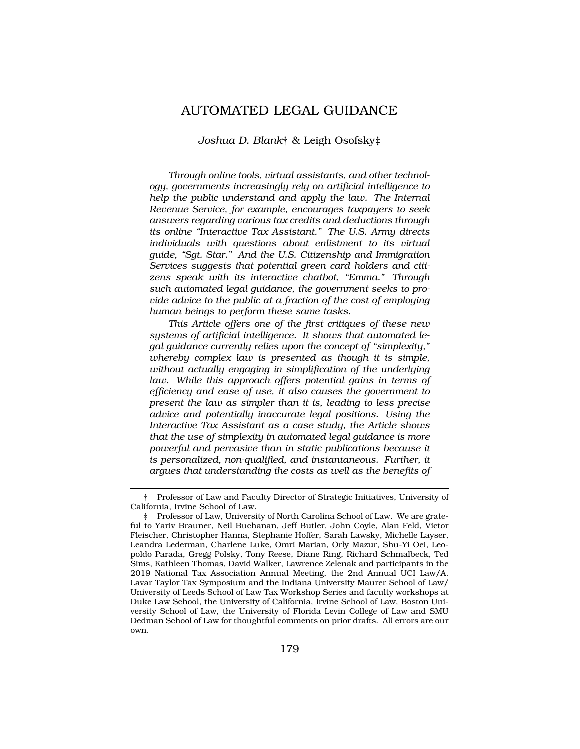# AUTOMATED LEGAL GUIDANCE

### *Joshua D. Blank*† & Leigh Osofsky‡

*Through online tools, virtual assistants, and other technology, governments increasingly rely on artificial intelligence to help the public understand and apply the law. The Internal Revenue Service, for example, encourages taxpayers to seek answers regarding various tax credits and deductions through its online "Interactive Tax Assistant." The U.S. Army directs individuals with questions about enlistment to its virtual guide, "Sgt. Star." And the U.S. Citizenship and Immigration Services suggests that potential green card holders and citizens speak with its interactive chatbot, "Emma." Through such automated legal guidance, the government seeks to provide advice to the public at a fraction of the cost of employing human beings to perform these same tasks.* 

*This Article offers one of the first critiques of these new systems of artificial intelligence. It shows that automated legal guidance currently relies upon the concept of "simplexity," whereby complex law is presented as though it is simple, without actually engaging in simplification of the underlying*  law. While this approach offers potential gains in terms of *efficiency and ease of use, it also causes the government to present the law as simpler than it is, leading to less precise advice and potentially inaccurate legal positions. Using the Interactive Tax Assistant as a case study, the Article shows that the use of simplexity in automated legal guidance is more powerful and pervasive than in static publications because it is personalized, non-qualified, and instantaneous. Further, it argues that understanding the costs as well as the benefits of* 

<sup>†</sup> Professor of Law and Faculty Director of Strategic Initiatives, University of California, Irvine School of Law.

<sup>‡</sup> Professor of Law, University of North Carolina School of Law. We are grateful to Yariv Brauner, Neil Buchanan, Jeff Butler, John Coyle, Alan Feld, Victor Fleischer, Christopher Hanna, Stephanie Hoffer, Sarah Lawsky, Michelle Layser, Leandra Lederman, Charlene Luke, Omri Marian, Orly Mazur, Shu-Yi Oei, Leopoldo Parada, Gregg Polsky, Tony Reese, Diane Ring, Richard Schmalbeck, Ted Sims, Kathleen Thomas, David Walker, Lawrence Zelenak and participants in the 2019 National Tax Association Annual Meeting, the 2nd Annual UCI Law/A. Lavar Taylor Tax Symposium and the Indiana University Maurer School of Law/ University of Leeds School of Law Tax Workshop Series and faculty workshops at Duke Law School, the University of California, Irvine School of Law, Boston University School of Law, the University of Florida Levin College of Law and SMU Dedman School of Law for thoughtful comments on prior drafts. All errors are our own.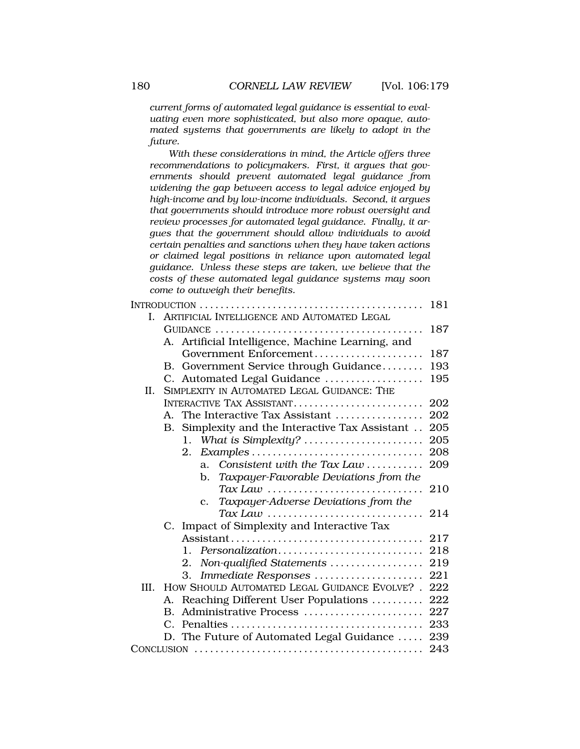*current forms of automated legal guidance is essential to evaluating even more sophisticated, but also more opaque, automated systems that governments are likely to adopt in the future.* 

*With these considerations in mind, the Article offers three recommendations to policymakers. First, it argues that governments should prevent automated legal guidance from widening the gap between access to legal advice enjoyed by high-income and by low-income individuals. Second, it argues that governments should introduce more robust oversight and review processes for automated legal guidance. Finally, it argues that the government should allow individuals to avoid certain penalties and sanctions when they have taken actions or claimed legal positions in reliance upon automated legal guidance. Unless these steps are taken, we believe that the costs of these automated legal guidance systems may soon come to outweigh their benefits.* 

|      |                                                        | 181 |
|------|--------------------------------------------------------|-----|
| L    | ARTIFICIAL INTELLIGENCE AND AUTOMATED LEGAL            |     |
|      |                                                        | 187 |
|      | A. Artificial Intelligence, Machine Learning, and      |     |
|      | Government Enforcement                                 | 187 |
|      | B. Government Service through Guidance                 | 193 |
|      | C. Automated Legal Guidance                            | 195 |
| Π.   | SIMPLEXITY IN AUTOMATED LEGAL GUIDANCE: THE            |     |
|      | INTERACTIVE TAX ASSISTANT                              | 202 |
|      | A. The Interactive Tax Assistant                       | 202 |
|      | Simplexity and the Interactive Tax Assistant<br>B.     | 205 |
|      | What is Simplexity?<br>1.                              | 205 |
|      | 2.                                                     | 208 |
|      | Consistent with the Tax Law<br>a.                      | 209 |
|      | Taxpayer-Favorable Deviations from the<br>b.           |     |
|      | $\textit{Tax Law}$                                     | 210 |
|      | Taxpayer-Adverse Deviations from the<br>$\mathbf{c}$ . |     |
|      | $\textit{Tax Law}$                                     | 214 |
|      | C. Impact of Simplexity and Interactive Tax            |     |
|      |                                                        | 217 |
|      | Personalization<br>1.                                  | 218 |
|      | Non-qualified Statements<br>2.                         | 219 |
|      | Immediate Responses<br>3.                              | 221 |
| III. | HOW SHOULD AUTOMATED LEGAL GUIDANCE EVOLVE?.           | 222 |
|      | Reaching Different User Populations<br>А.              | 222 |
|      | Administrative Process<br>B.                           | 227 |
|      | C.                                                     | 233 |
|      | D. The Future of Automated Legal Guidance              | 239 |
|      |                                                        | 243 |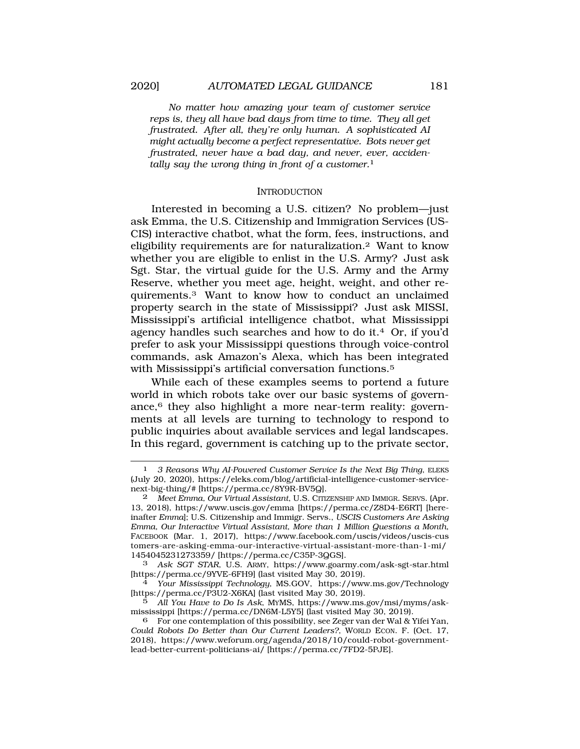*No matter how amazing your team of customer service reps is, they all have bad days from time to time. They all get frustrated. After all, they're only human. A sophisticated AI might actually become a perfect representative. Bots never get frustrated, never have a bad day, and never, ever, accidentally say the wrong thing in front of a customer.*1

#### **INTRODUCTION**

Interested in becoming a U.S. citizen? No problem—just ask Emma, the U.S. Citizenship and Immigration Services (US-CIS) interactive chatbot, what the form, fees, instructions, and eligibility requirements are for naturalization.2 Want to know whether you are eligible to enlist in the U.S. Army? Just ask Sgt. Star, the virtual guide for the U.S. Army and the Army Reserve, whether you meet age, height, weight, and other requirements.3 Want to know how to conduct an unclaimed property search in the state of Mississippi? Just ask MISSI, Mississippi's artificial intelligence chatbot, what Mississippi agency handles such searches and how to do it.4 Or, if you'd prefer to ask your Mississippi questions through voice-control commands, ask Amazon's Alexa, which has been integrated with Mississippi's artificial conversation functions.5

While each of these examples seems to portend a future world in which robots take over our basic systems of governance,6 they also highlight a more near-term reality: governments at all levels are turning to technology to respond to public inquiries about available services and legal landscapes. In this regard, government is catching up to the private sector,

<sup>1</sup> *3 Reasons Why AI-Powered Customer Service Is the Next Big Thing*, ELEKS (July 20, 2020), <https://eleks.com/blog/artificial-intelligence-customer-service>next-big-thing/# [\[https://perma.cc/8Y9R-BV5Q\]](https://perma.cc/8Y9R-BV5Q).

<sup>2</sup> *Meet Emma, Our Virtual Assistant*, U.S. CITIZENSHIP AND IMMIGR. SERVS. (Apr. 13, 2018), <https://www.uscis.gov/emma>[[https://perma.cc/Z8D4-E6RT\]](https://perma.cc/Z8D4-E6RT) [hereinafter *Emma*]; U.S. Citizenship and Immigr. Servs., *USCIS Customers Are Asking Emma, Our Interactive Virtual Assistant, More than 1 Million Questions a Month*, FACEBOOK (Mar. 1, 2017), <https://www.facebook.com/uscis/videos/uscis-cus> tomers-are-asking-emma-our-interactive-virtual-assistant-more-than-1-mi/ 1454045231273359/ [<https://perma.cc/C35P-3QGS>].

<sup>3</sup> *Ask SGT STAR*, U.S. ARMY, <https://www.goarmy.com/ask-sgt-star.html> [<https://perma.cc/9YVE-6FH9>] (last visited May 30, 2019). [4](https://perma.cc/9YVE-6FH9) *Your Mississippi Technology*, MS.GOV, <https://www.ms.gov/Technology>

<sup>[</sup><https://perma.cc/P3U2-X6KA>] (last visited May 30, 2019).

<sup>5</sup> *All You Have to Do Is Ask*, MYMS, <https://www.ms.gov/msi/myms/ask>mississippi [<https://perma.cc/DN6M-L5Y5>] (last visited May 30, 2019).

<sup>6</sup> For one contemplation of this possibility, see Zeger van der Wal & Yifei Yan, *Could Robots Do Better than Our Current Leaders?*, WORLD ECON. F. (Oct. 17, 2018), <https://www.weforum.org/agenda/2018/10/could-robot-government>lead-better-current-politicians-ai/ [<https://perma.cc/7FD2-5PJE>].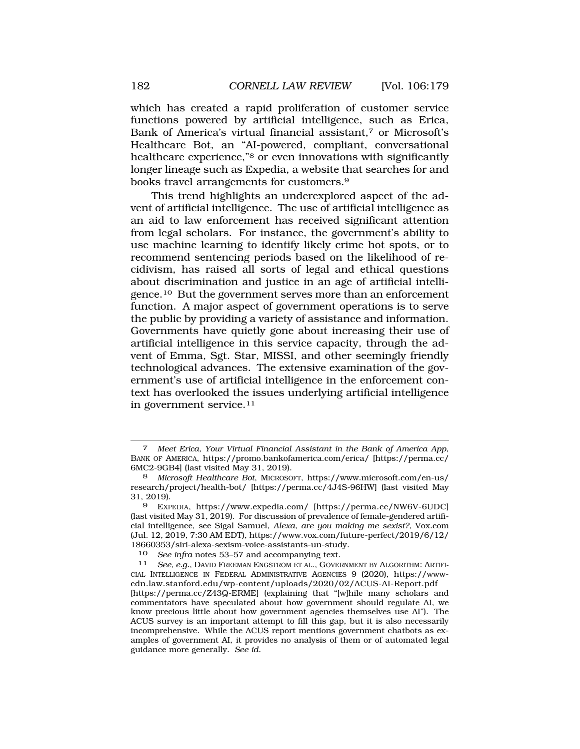which has created a rapid proliferation of customer service functions powered by artificial intelligence, such as Erica, Bank of America's virtual financial assistant,7 or Microsoft's Healthcare Bot, an "AI-powered, compliant, conversational healthcare experience,"8 or even innovations with significantly longer lineage such as Expedia, a website that searches for and books travel arrangements for customers.9

This trend highlights an underexplored aspect of the advent of artificial intelligence. The use of artificial intelligence as an aid to law enforcement has received significant attention from legal scholars. For instance, the government's ability to use machine learning to identify likely crime hot spots, or to recommend sentencing periods based on the likelihood of recidivism, has raised all sorts of legal and ethical questions about discrimination and justice in an age of artificial intelli[gence.10](https://gence.10) But the government serves more than an enforcement function. A major aspect of government operations is to serve the public by providing a variety of assistance and information. Governments have quietly gone about increasing their use of artificial intelligence in this service capacity, through the advent of Emma, Sgt. Star, MISSI, and other seemingly friendly technological advances. The extensive examination of the government's use of artificial intelligence in the enforcement context has overlooked the issues underlying artificial intelligence in government [service.11](https://service.11) 

10 *See infra* notes 53–57 and accompanying text.

<sup>7</sup> *Meet Erica, Your Virtual Financial Assistant in the Bank of America App*, BANK OF AMERICA, [https://promo.bankofamerica.com/erica/](https://promo.bankofamerica.com/erica) [\[https://perma.cc/](https://perma.cc) 6MC2-9GB4] (last visited May 31, 2019).

<sup>8</sup> *Microsoft Healthcare Bot*, MICROSOFT, [https://www.microsoft.com/en-us/](https://www.microsoft.com/en-us) research/project/health-bot/ [[https://perma.cc/4J4S-96HW\]](https://perma.cc/4J4S-96HW) (last visited May 31, 2019).

<sup>9</sup> EXPEDIA, [https://www.expedia.com/](https://www.expedia.com) [<https://perma.cc/NW6V-6UDC>] (last visited May 31, 2019). For discussion of prevalence of female-gendered artificial intelligence, see Sigal Samuel, *Alexa, are you making me sexist?*, Vox.com (Jul. 12, 2019, 7:30 AM EDT), [https://www.vox.com/future-perfect/2019/6/12/](https://www.vox.com/future-perfect/2019/6/12) 18660353/siri-alexa-sexism-voice-assistants-un-study.

<sup>11</sup> *See, e.g.*, DAVID FREEMAN ENGSTROM ET AL., GOVERNMENT BY ALGORITHM: ARTIFI-CIAL INTELLIGENCE IN FEDERAL ADMINISTRATIVE AGENCIES 9 (2020), <https://www>[cdn.law.stanford.edu/wp-content/uploads/2020/02/ACUS-AI-Report.pdf](https://cdn.law.stanford.edu/wp-content/uploads/2020/02/ACUS-AI-Report.pdf) [[https://perma.cc/Z43Q-ERME\]](https://perma.cc/Z43Q-ERME) (explaining that "[w]hile many scholars and commentators have speculated about how government should regulate AI, we know precious little about how government agencies themselves use AI"). The ACUS survey is an important attempt to fill this gap, but it is also necessarily incomprehensive. While the ACUS report mentions government chatbots as examples of government AI, it provides no analysis of them or of automated legal guidance more generally. *See id.*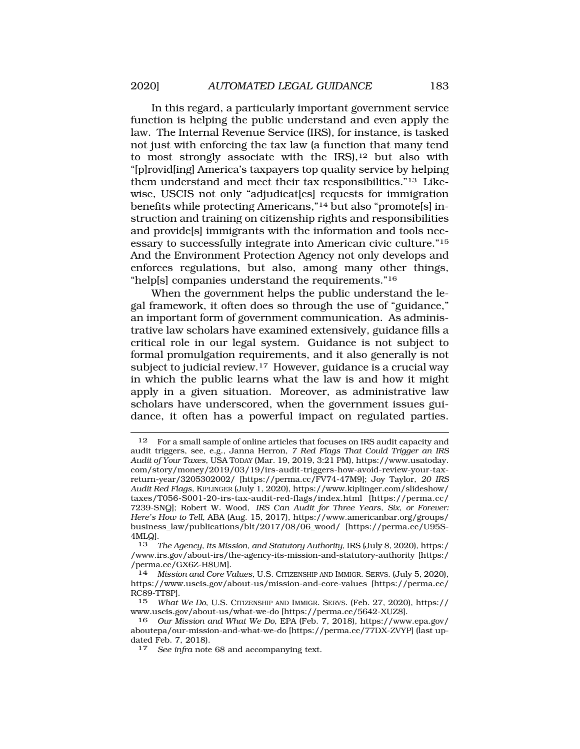In this regard, a particularly important government service function is helping the public understand and even apply the law. The Internal Revenue Service (IRS), for instance, is tasked not just with enforcing the tax law (a function that many tend to most strongly associate with the  $IRS$ ),<sup>12</sup> but also with "[p]rovid[ing] America's taxpayers top quality service by helping them understand and meet their tax responsibilities."13 Likewise, USCIS not only "adjudicat[es] requests for immigration benefits while protecting Americans,"14 but also "promote[s] instruction and training on citizenship rights and responsibilities and provide[s] immigrants with the information and tools necessary to successfully integrate into American civic culture."15 And the Environment Protection Agency not only develops and enforces regulations, but also, among many other things, "help[s] companies understand the requirements."16

When the government helps the public understand the legal framework, it often does so through the use of "guidance," an important form of government communication. As administrative law scholars have examined extensively, guidance fills a critical role in our legal system. Guidance is not subject to formal promulgation requirements, and it also generally is not subject to judicial [review.17](https://review.17) However, guidance is a crucial way in which the public learns what the law is and how it might apply in a given situation. Moreover, as administrative law scholars have underscored, when the government issues guidance, it often has a powerful impact on regulated parties.

13 *The Agency, Its Mission, and Statutory Authority*, IRS (July 8, 2020), https:/ [/www.irs.gov/about-irs/the-agency-its-mission-and-statutory-authority](www.irs.gov/about-irs/the-agency-its-mission-and-statutory-authority) [https:/ /perma.cc/GX6Z-H8UM].

<sup>12</sup> For a small sample of online articles that focuses on IRS audit capacity and audit triggers, see, e.g., Janna Herron, *7 Red Flags That Could Trigger an IRS Audit of Your Taxes*, USA TODAY (Mar. 19, 2019, 3:21 PM),<https://www.usatoday>. com/story/money/2019/03/19/irs-audit-triggers-how-avoid-review-your-taxreturn-year/3205302002/ [<https://perma.cc/FV74-47M9>]; Joy Taylor, *20 IRS Audit Red Flags*, KIPLINGER (July 1, 2020), [https://www.kiplinger.com/slideshow/](https://www.kiplinger.com/slideshow) taxes/T056-S001-20-irs-tax-audit-red-flags/index.html [\[https://perma.cc/](https://perma.cc) 7239-SNQ]; Robert W. Wood, *IRS Can Audit for Three Years, Six, or Forever: Here's How to Tell*, ABA (Aug. 15, 2017), [https://www.americanbar.org/groups/](https://www.americanbar.org/groups) business\_law/publications/blt/2017/08/06\_wood/ [[https://perma.cc/U95S-](https://perma.cc/U95S)4MLQ].

<sup>14</sup> *Mission and Core Values*, U.S. CITIZENSHIP AND IMMIGR. SERVS. (July 5, 2020), <https://www.uscis.gov/about-us/mission-and-core-values> [[https://perma.cc/](https://perma.cc) RC89-TT8P].<br>15 What

<sup>15</sup> *What We Do*, U.S. CITIZENSHIP AND IMMIGR. SERVS. (Feb. 27, 2020), https:// <www.uscis.gov/about-us/what-we-do>[[https://perma.cc/5642-XUZ8\]](https://perma.cc/5642-XUZ8).

<sup>16</sup> *Our Mission and What We Do*, EPA (Feb. 7, 2018), [https://www.epa.gov/](https://www.epa.gov) aboutepa/our-mission-and-what-we-do [<https://perma.cc/77DX-ZVYP>] (last updated Feb. 7, 2018).

<sup>17</sup> *See infra* note 68 and accompanying text.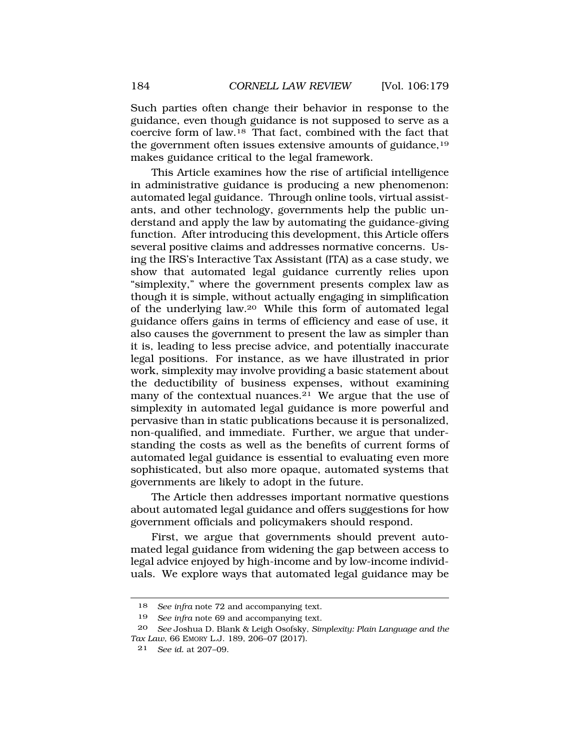Such parties often change their behavior in response to the guidance, even though guidance is not supposed to serve as a coercive form of law.18 That fact, combined with the fact that the government often issues extensive amounts of guidance,19 makes guidance critical to the legal framework.

This Article examines how the rise of artificial intelligence in administrative guidance is producing a new phenomenon: automated legal guidance. Through online tools, virtual assistants, and other technology, governments help the public understand and apply the law by automating the guidance-giving function. After introducing this development, this Article offers several positive claims and addresses normative concerns. Using the IRS's Interactive Tax Assistant (ITA) as a case study, we show that automated legal guidance currently relies upon "simplexity," where the government presents complex law as though it is simple, without actually engaging in simplification of the underlying law.20 While this form of automated legal guidance offers gains in terms of efficiency and ease of use, it also causes the government to present the law as simpler than it is, leading to less precise advice, and potentially inaccurate legal positions. For instance, as we have illustrated in prior work, simplexity may involve providing a basic statement about the deductibility of business expenses, without examining many of the contextual nuances.<sup>21</sup> We argue that the use of simplexity in automated legal guidance is more powerful and pervasive than in static publications because it is personalized, non-qualified, and immediate. Further, we argue that understanding the costs as well as the benefits of current forms of automated legal guidance is essential to evaluating even more sophisticated, but also more opaque, automated systems that governments are likely to adopt in the future.

The Article then addresses important normative questions about automated legal guidance and offers suggestions for how government officials and policymakers should respond.

First, we argue that governments should prevent automated legal guidance from widening the gap between access to legal advice enjoyed by high-income and by low-income individuals. We explore ways that automated legal guidance may be

<sup>18</sup> *See infra* note 72 and accompanying text.

<sup>19</sup> *See infra* note 69 and accompanying text.

<sup>20</sup> *See* Joshua D. Blank & Leigh Osofsky, *Simplexity: Plain Language and the Tax Law*, 66 EMORY L.J. 189, 206–07 (2017).

<sup>21</sup> *See id.* at 207–09.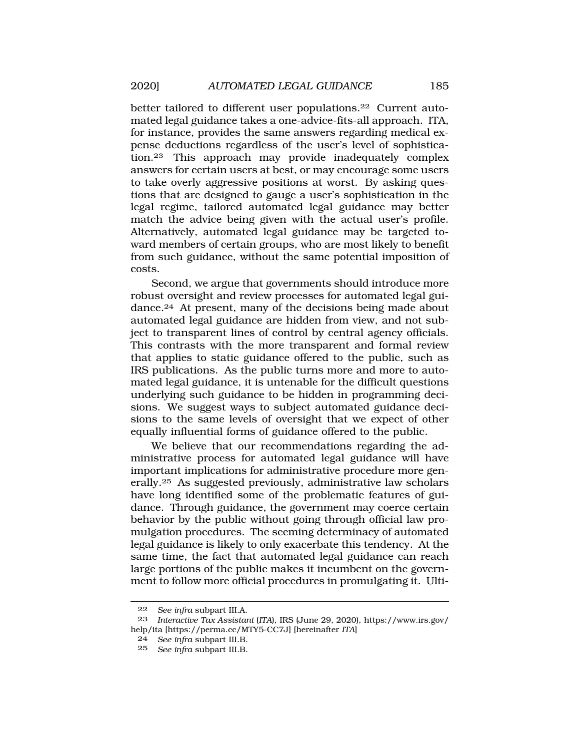better tailored to different user populations.<sup>22</sup> Current automated legal guidance takes a one-advice-fits-all approach. ITA, for instance, provides the same answers regarding medical expense deductions regardless of the user's level of sophistication.23 This approach may provide inadequately complex answers for certain users at best, or may encourage some users to take overly aggressive positions at worst. By asking questions that are designed to gauge a user's sophistication in the legal regime, tailored automated legal guidance may better match the advice being given with the actual user's profile. Alternatively, automated legal guidance may be targeted toward members of certain groups, who are most likely to benefit from such guidance, without the same potential imposition of costs.

Second, we argue that governments should introduce more robust oversight and review processes for automated legal guidance.<sup>24</sup> At present, many of the decisions being made about automated legal guidance are hidden from view, and not subject to transparent lines of control by central agency officials. This contrasts with the more transparent and formal review that applies to static guidance offered to the public, such as IRS publications. As the public turns more and more to automated legal guidance, it is untenable for the difficult questions underlying such guidance to be hidden in programming decisions. We suggest ways to subject automated guidance decisions to the same levels of oversight that we expect of other equally influential forms of guidance offered to the public.

We believe that our recommendations regarding the administrative process for automated legal guidance will have important implications for administrative procedure more gen[erally.25](https://erally.25) As suggested previously, administrative law scholars have long identified some of the problematic features of guidance. Through guidance, the government may coerce certain behavior by the public without going through official law promulgation procedures. The seeming determinacy of automated legal guidance is likely to only exacerbate this tendency. At the same time, the fact that automated legal guidance can reach large portions of the public makes it incumbent on the government to follow more official procedures in promulgating it. Ulti-

<sup>22</sup> *See infra* subpart III.A.

<sup>23</sup> *Interactive Tax Assistant* (*ITA*), IRS (June 29, 2020), [https://www.irs.gov/](https://www.irs.gov) help/ita [\[https://perma.cc/MTY5-CC7J\]](https://perma.cc/MTY5-CC7J) [hereinafter *ITA*]

<sup>24</sup> *See infra* subpart III.B.

<sup>25</sup> *See infra* subpart III.B.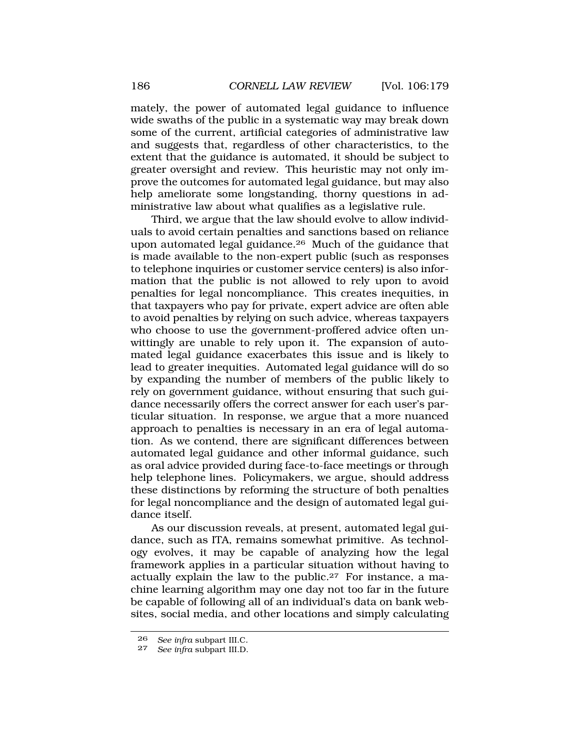mately, the power of automated legal guidance to influence wide swaths of the public in a systematic way may break down some of the current, artificial categories of administrative law and suggests that, regardless of other characteristics, to the extent that the guidance is automated, it should be subject to greater oversight and review. This heuristic may not only improve the outcomes for automated legal guidance, but may also help ameliorate some longstanding, thorny questions in administrative law about what qualifies as a legislative rule.

Third, we argue that the law should evolve to allow individuals to avoid certain penalties and sanctions based on reliance upon automated legal [guidance.26](https://guidance.26) Much of the guidance that is made available to the non-expert public (such as responses to telephone inquiries or customer service centers) is also information that the public is not allowed to rely upon to avoid penalties for legal noncompliance. This creates inequities, in that taxpayers who pay for private, expert advice are often able to avoid penalties by relying on such advice, whereas taxpayers who choose to use the government-proffered advice often unwittingly are unable to rely upon it. The expansion of automated legal guidance exacerbates this issue and is likely to lead to greater inequities. Automated legal guidance will do so by expanding the number of members of the public likely to rely on government guidance, without ensuring that such guidance necessarily offers the correct answer for each user's particular situation. In response, we argue that a more nuanced approach to penalties is necessary in an era of legal automation. As we contend, there are significant differences between automated legal guidance and other informal guidance, such as oral advice provided during face-to-face meetings or through help telephone lines. Policymakers, we argue, should address these distinctions by reforming the structure of both penalties for legal noncompliance and the design of automated legal guidance itself.

As our discussion reveals, at present, automated legal guidance, such as ITA, remains somewhat primitive. As technology evolves, it may be capable of analyzing how the legal framework applies in a particular situation without having to actually explain the law to the [public.27](https://public.27) For instance, a machine learning algorithm may one day not too far in the future be capable of following all of an individual's data on bank websites, social media, and other locations and simply calculating

<sup>26</sup>*See infra* subpart III.C*.* 27 *See infra* subpart III.D.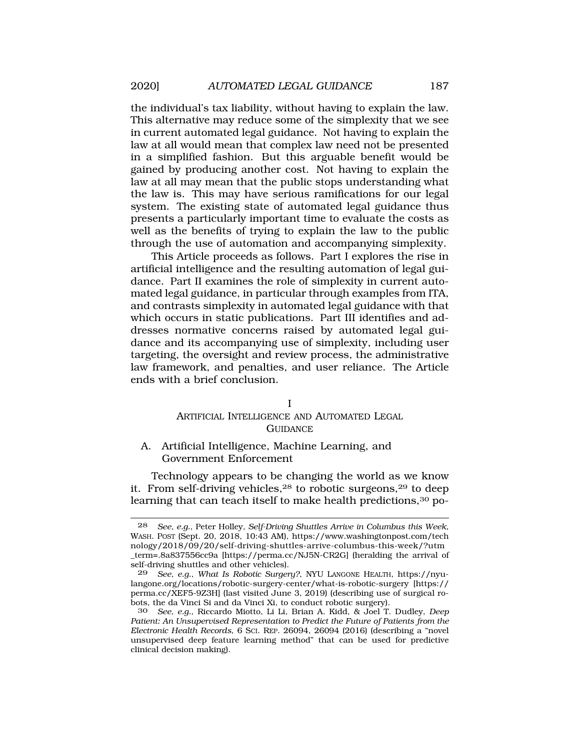the individual's tax liability, without having to explain the law. This alternative may reduce some of the simplexity that we see in current automated legal guidance. Not having to explain the law at all would mean that complex law need not be presented in a simplified fashion. But this arguable benefit would be gained by producing another cost. Not having to explain the law at all may mean that the public stops understanding what the law is. This may have serious ramifications for our legal system. The existing state of automated legal guidance thus presents a particularly important time to evaluate the costs as well as the benefits of trying to explain the law to the public through the use of automation and accompanying simplexity.

This Article proceeds as follows. Part I explores the rise in artificial intelligence and the resulting automation of legal guidance. Part II examines the role of simplexity in current automated legal guidance, in particular through examples from ITA, and contrasts simplexity in automated legal guidance with that which occurs in static publications. Part III identifies and addresses normative concerns raised by automated legal guidance and its accompanying use of simplexity, including user targeting, the oversight and review process, the administrative law framework, and penalties, and user reliance. The Article ends with a brief conclusion.

## I ARTIFICIAL INTELLIGENCE AND AUTOMATED LEGAL **GUIDANCE**

A. Artificial Intelligence, Machine Learning, and Government Enforcement

Technology appears to be changing the world as we know it. From self-driving vehicles,28 to robotic surgeons,29 to deep learning that can teach itself to make health predictions,<sup>30</sup> po-

<sup>28</sup> *See, e.g.*, Peter Holley, *Self-Driving Shuttles Arrive in Columbus this Week*, WASH. POST (Sept. 20, 2018, 10:43 AM), <https://www.washingtonpost.com/tech> nology/2018/09/20/self-driving-shuttles-arrive-columbus-this-week/?utm \_term=.8a837556cc9a [[https://perma.cc/NJ5N-CR2G\]](https://perma.cc/NJ5N-CR2G) (heralding the arrival of self-driving shuttles and other vehicles).

<sup>29</sup> *See, e.g.*, *What Is Robotic Surgery?*, NYU LANGONE HEALTH, <https://nyu>[langone.org/locations/robotic-surgery-center/what-is-robotic-surgery](https://langone.org/locations/robotic-surgery-center/what-is-robotic-surgery) [https:// perma.cc/XEF5-9Z3H] (last visited June 3, 2019) (describing use of surgical robots, the da Vinci Si and da Vinci Xi, to conduct robotic surgery).

<sup>30</sup> *See, e.g.*, Riccardo Miotto, Li Li, Brian A. Kidd, & Joel T. Dudley, *Deep Patient: An Unsupervised Representation to Predict the Future of Patients from the Electronic Health Records*, 6 SCI. REP. 26094, 26094 (2016) (describing a "novel unsupervised deep feature learning method" that can be used for predictive clinical decision making).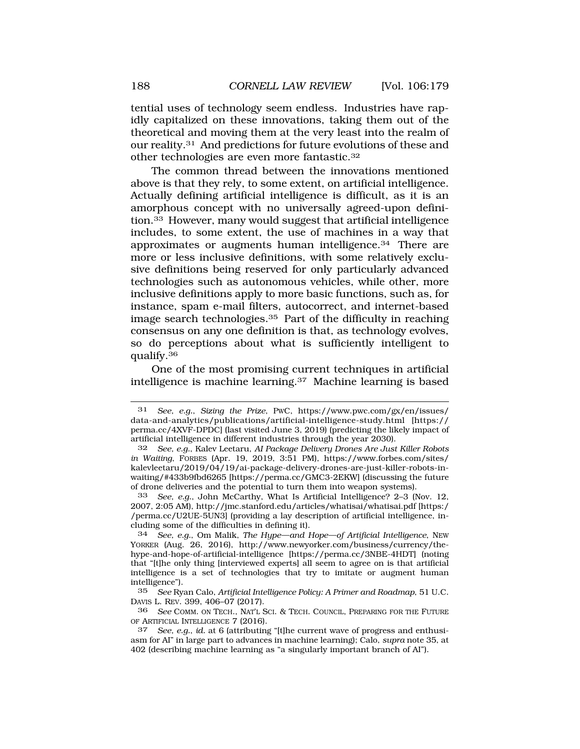tential uses of technology seem endless. Industries have rapidly capitalized on these innovations, taking them out of the theoretical and moving them at the very least into the realm of our [reality.31](https://reality.31) And predictions for future evolutions of these and other technologies are even more [fantastic.32](https://fantastic.32)

The common thread between the innovations mentioned above is that they rely, to some extent, on artificial intelligence. Actually defining artificial intelligence is difficult, as it is an amorphous concept with no universally agreed-upon definition.33 However, many would suggest that artificial intelligence includes, to some extent, the use of machines in a way that approximates or augments human [intelligence.34](https://intelligence.34) There are more or less inclusive definitions, with some relatively exclusive definitions being reserved for only particularly advanced technologies such as autonomous vehicles, while other, more inclusive definitions apply to more basic functions, such as, for instance, spam e-mail filters, autocorrect, and internet-based image search [technologies.35](https://technologies.35) Part of the difficulty in reaching consensus on any one definition is that, as technology evolves, so do perceptions about what is sufficiently intelligent to [qualify.36](https://qualify.36) 

One of the most promising current techniques in artificial intelligence is machine [learning.37](https://learning.37) Machine learning is based

<sup>31</sup> *See, e.g.*, *Sizing the Prize*, PWC, [https://www.pwc.com/gx/en/issues/](https://www.pwc.com/gx/en/issues) data-and-analytics/publications/artificial-intelligence-study.html [https:// perma.cc/4XVF-DPDC] (last visited June 3, 2019) (predicting the likely impact of artificial intelligence in different industries through the year 2030).

<sup>32</sup> *See, e.g.*, Kalev Leetaru, *AI Package Delivery Drones Are Just Killer Robots in Waiting*, FORBES (Apr. 19, 2019, 3:51 PM), [https://www.forbes.com/sites/](https://www.forbes.com/sites) kalevleetaru/2019/04/19/ai-package-delivery-drones-are-just-killer-robots-inwaiting/#433b9fbd6265 [[https://perma.cc/GMC3-2EKW\]](https://perma.cc/GMC3-2EKW) (discussing the future of drone deliveries and the potential to turn them into weapon systems).

<sup>33</sup> *See, e.g.*, John McCarthy, What Is Artificial Intelligence? 2–3 (Nov. 12, 2007, 2:05 AM),<http://jmc.stanford.edu/articles/whatisai/whatisai.pdf> [https:/ /perma.cc/U2UE-5UN3] (providing a lay description of artificial intelligence, including some of the difficulties in defining it).

<sup>34</sup> *See, e.g.*, Om Malik, *The Hype—and Hope—of Artificial Intelligence*, NEW YORKER (Aug. 26, 2016), <http://www.newyorker.com/business/currency/the>hype-and-hope-of-artificial-intelligence [[https://perma.cc/3NBE-4HDT\]](https://perma.cc/3NBE-4HDT) (noting that "[t]he only thing [interviewed experts] all seem to agree on is that artificial intelligence is a set of technologies that try to imitate or augment human intelligence").

<sup>35</sup> *See* Ryan Calo, *Artificial Intelligence Policy: A Primer and Roadmap*, 51 U.C. DAVIS L. REV. 399, 406–07 (2017).

<sup>36</sup> *See* COMM. ON TECH., NAT'L SCI. & TECH. COUNCIL, PREPARING FOR THE FUTURE OF ARTIFICIAL INTELLIGENCE 7 (2016).

<sup>37</sup> *See, e.g.*, *id.* at 6 (attributing "[t]he current wave of progress and enthusiasm for AI" in large part to advances in machine learning); Calo, *supra* note 35, at 402 (describing machine learning as "a singularly important branch of AI").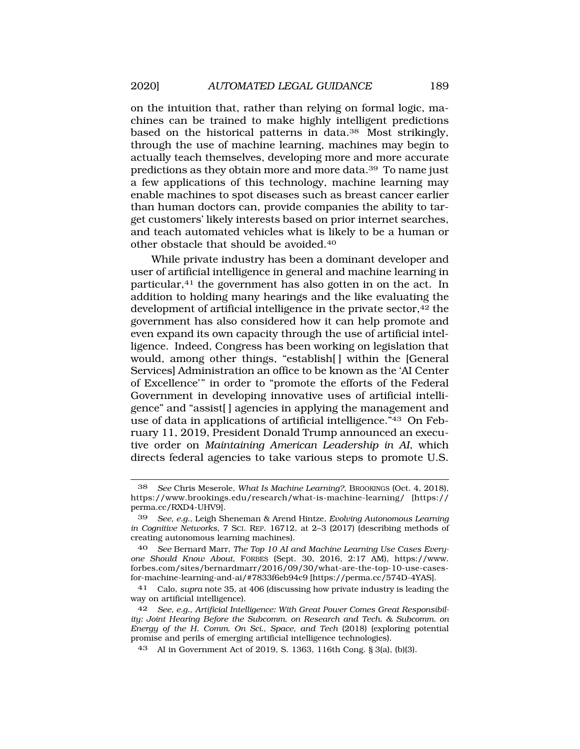on the intuition that, rather than relying on formal logic, machines can be trained to make highly intelligent predictions based on the historical patterns in data.38 Most strikingly, through the use of machine learning, machines may begin to actually teach themselves, developing more and more accurate predictions as they obtain more and more data.39 To name just a few applications of this technology, machine learning may enable machines to spot diseases such as breast cancer earlier than human doctors can, provide companies the ability to target customers' likely interests based on prior internet searches, and teach automated vehicles what is likely to be a human or other obstacle that should be [avoided.40](https://avoided.40)

While private industry has been a dominant developer and user of artificial intelligence in general and machine learning in particular,<sup>41</sup> the government has also gotten in on the act. In addition to holding many hearings and the like evaluating the development of artificial intelligence in the private sector,<sup>42</sup> the government has also considered how it can help promote and even expand its own capacity through the use of artificial intelligence. Indeed, Congress has been working on legislation that would, among other things, "establish[] within the [General Services] Administration an office to be known as the 'AI Center of Excellence'" in order to "promote the efforts of the Federal Government in developing innovative uses of artificial intelligence" and "assist[ ] agencies in applying the management and use of data in applications of artificial intelligence."43 On February 11, 2019, President Donald Trump announced an executive order on *Maintaining American Leadership in AI*, which directs federal agencies to take various steps to promote U.S.

40 *See* Bernard Marr, *The Top 10 AI and Machine Learning Use Cases Everyone Should Know About*, FORBES (Sept. 30, 2016, 2:17 AM), <https://www>. [forbes.com/sites/bernardmarr/2016/09/30/what-are-the-top-10-use-cases](https://forbes.com/sites/bernardmarr/2016/09/30/what-are-the-top-10-use-cases)for-machine-learning-and-ai/#7833f6eb94c9 [\[https://perma.cc/574D-4YAS\]](https://perma.cc/574D-4YAS).

<sup>38</sup> *See* Chris Meserole, *What Is Machine Learning?*, BROOKINGS (Oct. 4, 2018), <https://www.brookings.edu/research/what-is-machine-learning>/ [https:// perma.cc/RXD4-UHV9].

<sup>39</sup> *See, e.g.*, Leigh Sheneman & Arend Hintze, *Evolving Autonomous Learning in Cognitive Networks*, 7 SCI. REP. 16712, at 2–3 (2017) (describing methods of creating autonomous learning machines).

<sup>41</sup> Calo, *supra* note 35, at 406 (discussing how private industry is leading the way on artificial intelligence).

See, e.g., Artificial Intelligence: With Great Power Comes Great Responsibil*ity: Joint Hearing Before the Subcomm. on Research and Tech. & Subcomm. on Energy of the H. Comm. On Sci., Space, and Tech* (2018) (exploring potential promise and perils of emerging artificial intelligence technologies).

<sup>43</sup> AI in Government Act of 2019, S. 1363, 116th Cong. § 3(a), (b)(3).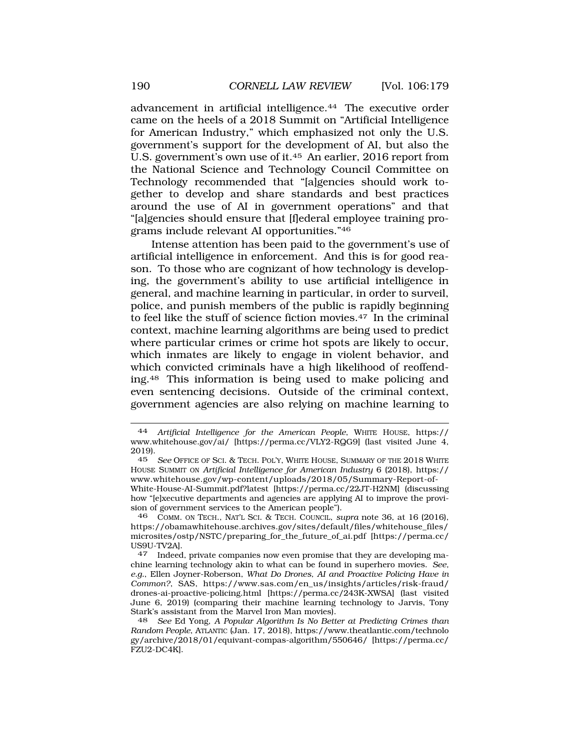advancement in artificial [intelligence.44](https://intelligence.44) The executive order came on the heels of a 2018 Summit on "Artificial Intelligence for American Industry," which emphasized not only the U.S. government's support for the development of AI, but also the U.S. government's own use of it.45 An earlier, 2016 report from the National Science and Technology Council Committee on Technology recommended that "[a]gencies should work together to develop and share standards and best practices around the use of AI in government operations" and that "[a]gencies should ensure that [f]ederal employee training programs include relevant AI opportunities."46

Intense attention has been paid to the government's use of artificial intelligence in enforcement. And this is for good reason. To those who are cognizant of how technology is developing, the government's ability to use artificial intelligence in general, and machine learning in particular, in order to surveil, police, and punish members of the public is rapidly beginning to feel like the stuff of science fiction [movies.47](https://movies.47) In the criminal context, machine learning algorithms are being used to predict where particular crimes or crime hot spots are likely to occur, which inmates are likely to engage in violent behavior, and which convicted criminals have a high likelihood of reoffending.48 This information is being used to make policing and even sentencing decisions. Outside of the criminal context, government agencies are also relying on machine learning to

<sup>44</sup> *Artificial Intelligence for the American People*, WHITE HOUSE, https:// <www.whitehouse.gov/ai>/ [[https://perma.cc/VLY2-RQG9\]](https://perma.cc/VLY2-RQG9) (last visited June 4, 2019).

<sup>45</sup> *See* OFFICE OF SCI. & TECH. POL'Y, WHITE HOUSE, SUMMARY OF THE 2018 WHITE HOUSE SUMMIT ON *Artificial Intelligence for American Industry* 6 (2018), https:// <www.whitehouse.gov/wp-content/uploads/2018/05/Summary-Report-of>-White-House-AI-Summit.pdf?latest [\[https://perma.cc/22JT-H2NM\]](https://perma.cc/22JT-H2NM) (discussing

how "[e]xecutive departments and agencies are applying AI to improve the provision of government services to the American people").

<sup>46</sup> COMM. ON TECH., NAT'L SCI. & TECH. COUNCIL, *supra* note 36, at 16 (2016), [https://obamawhitehouse.archives.gov/sites/default/files/whitehouse\\_files](https://obamawhitehouse.archives.gov/sites/default/files/whitehouse_files)/ microsites/ostp/NSTC/preparing\_for\_the\_future\_of\_ai.pdf [\[https://perma.cc/](https://perma.cc) US9U-TV2A].

<sup>47</sup> Indeed, private companies now even promise that they are developing machine learning technology akin to what can be found in superhero movies. *See, e.g.*, Ellen Joyner-Roberson, *What Do Drones, AI and Proactive Policing Have in Common?*, SAS, [https://www.sas.com/en\\_us/insights/articles/risk-fraud/](https://www.sas.com/en_us/insights/articles/risk-fraud) drones-ai-proactive-policing.html [\[https://perma.cc/243K-XWSA\]](https://perma.cc/243K-XWSA) (last visited June 6, 2019) (comparing their machine learning technology to Jarvis, Tony Stark's assistant from the Marvel Iron Man movies).

<sup>48</sup> *See* Ed Yong, *A Popular Algorithm Is No Better at Predicting Crimes than Random People*, ATLANTIC (Jan. 17, 2018), <https://www.theatlantic.com/technolo> gy/archive/2018/01/equivant-compas-algorithm/550646/ [[https://perma.cc/](https://perma.cc) FZU2-DC4K].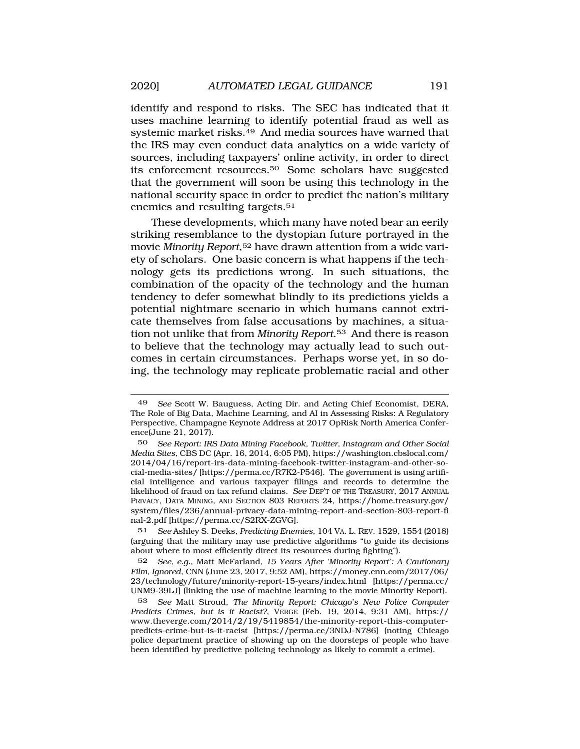identify and respond to risks. The SEC has indicated that it uses machine learning to identify potential fraud as well as systemic market [risks.49](https://risks.49) And media sources have warned that the IRS may even conduct data analytics on a wide variety of sources, including taxpayers' online activity, in order to direct its enforcement [resources.50](https://resources.50) Some scholars have suggested that the government will soon be using this technology in the national security space in order to predict the nation's military enemies and resulting targets.<sup>51</sup>

These developments, which many have noted bear an eerily striking resemblance to the dystopian future portrayed in the movie *Minority Report*,52 have drawn attention from a wide variety of scholars. One basic concern is what happens if the technology gets its predictions wrong. In such situations, the combination of the opacity of the technology and the human tendency to defer somewhat blindly to its predictions yields a potential nightmare scenario in which humans cannot extricate themselves from false accusations by machines, a situation not unlike that from *Minority [Report](https://Report.53)*.53 And there is reason to believe that the technology may actually lead to such outcomes in certain circumstances. Perhaps worse yet, in so doing, the technology may replicate problematic racial and other

51 *See* Ashley S. Deeks, *Predicting Enemies*, 104 VA. L. REV. 1529, 1554 (2018) (arguing that the military may use predictive algorithms "to guide its decisions about where to most efficiently direct its resources during fighting").

52 *See, e.g.*, Matt McFarland, *15 Years After 'Minority Report': A Cautionary Film, Ignored*, CNN (June 23, 2017, 9:52 AM), [https://money.cnn.com/2017/06/](https://money.cnn.com/2017/06) 23/technology/future/minority-report-15-years/index.html [\[https://perma.cc/](https://perma.cc) UNM9-39LJ] (linking the use of machine learning to the movie Minority Report).

<sup>49</sup> *See* Scott W. Bauguess, Acting Dir. and Acting Chief Economist, DERA, The Role of Big Data, Machine Learning, and AI in Assessing Risks: A Regulatory Perspective, Champagne Keynote Address at 2017 OpRisk North America Conference(June 21, 2017).

<sup>50</sup> *See Report: IRS Data Mining Facebook, Twitter, Instagram and Other Social Media Sites*, CBS DC (Apr. 16, 2014, 6:05 PM), [https://washington.cbslocal.com/](https://washington.cbslocal.com) 2014/04/16/report-irs-data-mining-facebook-twitter-instagram-and-other-social-media-sites/ [\[https://perma.cc/R7K2-P546](https://perma.cc/R7K2-P546)]. The government is using artificial intelligence and various taxpayer filings and records to determine the likelihood of fraud on tax refund claims. *See* DEP'T OF THE TREASURY, 2017 ANNUAL PRIVACY, DATA MINING, AND SECTION 803 REPORTS 24, [https://home.treasury.gov/](https://home.treasury.gov) system/files/236/annual-privacy-data-mining-report-and-section-803-report-fi nal-2.pdf [<https://perma.cc/S2RX-ZGVG>].

<sup>53</sup> *See* Matt Stroud, *The Minority Report: Chicago's New Police Computer Predicts Crimes, but is it Racist?*, VERGE (Feb. 19, 2014, 9:31 AM), https:// <www.theverge.com/2014/2/19/5419854/the-minority-report-this-computer>predicts-crime-but-is-it-racist [\[https://perma.cc/3NDJ-N786](https://perma.cc/3NDJ-N786)] (noting Chicago police department practice of showing up on the doorsteps of people who have been identified by predictive policing technology as likely to commit a crime).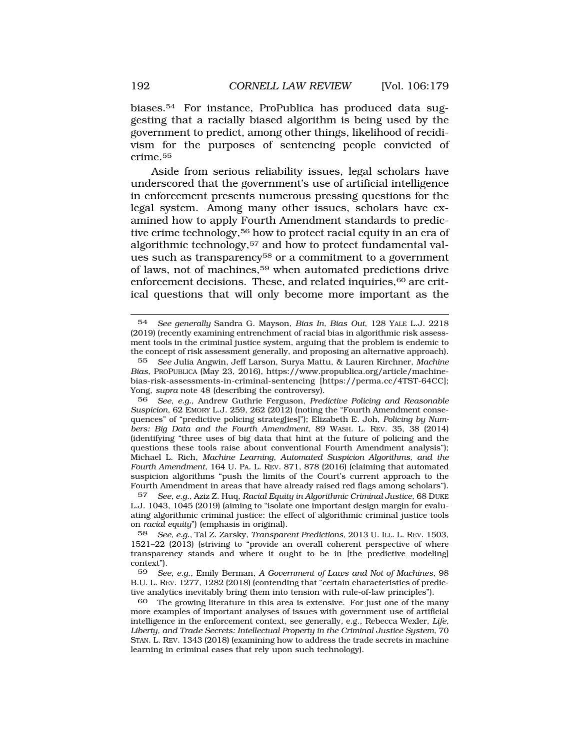[biases.54](https://biases.54) For instance, ProPublica has produced data suggesting that a racially biased algorithm is being used by the government to predict, among other things, likelihood of recidivism for the purposes of sentencing people convicted of [crime.55](https://crime.55)

Aside from serious reliability issues, legal scholars have underscored that the government's use of artificial intelligence in enforcement presents numerous pressing questions for the legal system. Among many other issues, scholars have examined how to apply Fourth Amendment standards to predictive crime technology,56 how to protect racial equity in an era of algorithmic technology,57 and how to protect fundamental values such as transparency<sup>58</sup> or a commitment to a government of laws, not of machines,59 when automated predictions drive enforcement decisions. These, and related inquiries,<sup>60</sup> are critical questions that will only become more important as the

56 *See, e.g.*, Andrew Guthrie Ferguson, *Predictive Policing and Reasonable Suspicion*, 62 EMORY L.J. 259, 262 (2012) (noting the "Fourth Amendment consequences" of "predictive policing strateg[ies]"); Elizabeth E. Joh, *Policing by Numbers: Big Data and the Fourth Amendment*, 89 WASH. L. REV. 35, 38 (2014) (identifying "three uses of big data that hint at the future of policing and the questions these tools raise about conventional Fourth Amendment analysis"); Michael L. Rich, *Machine Learning, Automated Suspicion Algorithms, and the Fourth Amendment*, 164 U. PA. L. REV. 871, 878 (2016) (claiming that automated suspicion algorithms "push the limits of the Court's current approach to the Fourth Amendment in areas that have already raised red flags among scholars").

57 *See, e.g.*, Aziz Z. Huq, *Racial Equity in Algorithmic Criminal Justice*, 68 DUKE L.J. 1043, 1045 (2019) (aiming to "isolate one important design margin for evaluating algorithmic criminal justice: the effect of algorithmic criminal justice tools on *racial equity*") (emphasis in original).

58 *See, e.g.*, Tal Z. Zarsky, *Transparent Predictions*, 2013 U. ILL. L. REV. 1503, 1521–22 (2013) (striving to "provide an overall coherent perspective of where transparency stands and where it ought to be in [the predictive modeling] context").

59 *See, e.g.*, Emily Berman, *A Government of Laws and Not of Machines*, 98 B.U. L. REV. 1277, 1282 (2018) (contending that "certain characteristics of predictive analytics inevitably bring them into tension with rule-of-law principles").

<sup>54</sup> *See generally* Sandra G. Mayson, *Bias In, Bias Out*, 128 YALE L.J. 2218 (2019) (recently examining entrenchment of racial bias in algorithmic risk assessment tools in the criminal justice system, arguing that the problem is endemic to the concept of risk assessment generally, and proposing an alternative approach).

<sup>55</sup> *See* Julia Angwin, Jeff Larson, Surya Mattu, & Lauren Kirchner, *Machine Bias*, PROPUBLICA (May 23, 2016), <https://www.propublica.org/article/machine>bias-risk-assessments-in-criminal-sentencing [\[https://perma.cc/4TST-64CC](https://perma.cc/4TST-64CC)]; Yong, *supra* note 48 (describing the controversy).

<sup>60</sup> The growing literature in this area is extensive. For just one of the many more examples of important analyses of issues with government use of artificial intelligence in the enforcement context, see generally*,* e.g., Rebecca Wexler, *Life, Liberty, and Trade Secrets: Intellectual Property in the Criminal Justice System*, 70 STAN. L. REV. 1343 (2018) (examining how to address the trade secrets in machine learning in criminal cases that rely upon such technology).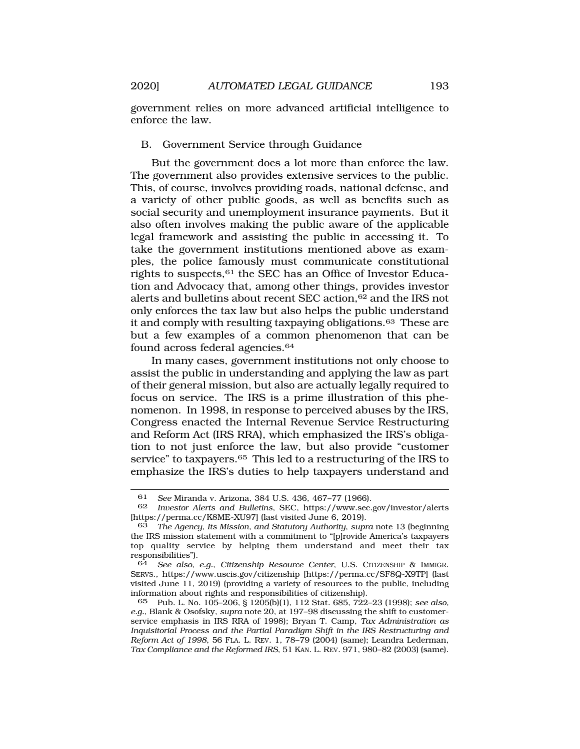government relies on more advanced artificial intelligence to enforce the law.

#### B. Government Service through Guidance

But the government does a lot more than enforce the law. The government also provides extensive services to the public. This, of course, involves providing roads, national defense, and a variety of other public goods, as well as benefits such as social security and unemployment insurance payments. But it also often involves making the public aware of the applicable legal framework and assisting the public in accessing it. To take the government institutions mentioned above as examples, the police famously must communicate constitutional rights to suspects,<sup>61</sup> the SEC has an Office of Investor Education and Advocacy that, among other things, provides investor alerts and bulletins about recent SEC action,<sup>62</sup> and the IRS not only enforces the tax law but also helps the public understand it and comply with resulting taxpaying [obligations.63](https://obligations.63) These are but a few examples of a common phenomenon that can be found across federal agencies.<sup>64</sup>

In many cases, government institutions not only choose to assist the public in understanding and applying the law as part of their general mission, but also are actually legally required to focus on service. The IRS is a prime illustration of this phenomenon. In 1998, in response to perceived abuses by the IRS, Congress enacted the Internal Revenue Service Restructuring and Reform Act (IRS RRA), which emphasized the IRS's obligation to not just enforce the law, but also provide "customer service" to taxpayers.<sup>65</sup> This led to a restructuring of the IRS to emphasize the IRS's duties to help taxpayers understand and

<sup>61</sup> *See* Miranda v. Arizona, 384 U.S. 436, 467–77 (1966).

<sup>62</sup> *Investor Alerts and Bulletins*, SEC, <https://www.sec.gov/investor/alerts> [<https://perma.cc/K8ME-XU97>] (last visited June 6, 2019).

<sup>63</sup> *The Agency, Its Mission, and Statutory Authority*, *supra* note 13 (beginning the IRS mission statement with a commitment to "[p]rovide America's taxpayers top quality service by helping them understand and meet their tax responsibilities").

<sup>64</sup> *See also, e.g.*, *Citizenship Resource Center*, U.S. CITIZENSHIP & IMMIGR. SERVS., <https://www.uscis.gov/citizenship>[\[https://perma.cc/SF8Q-X9TP\]](https://perma.cc/SF8Q-X9TP) (last visited June 11, 2019) (providing a variety of resources to the public, including information about rights and responsibilities of citizenship).

<sup>65</sup> Pub. L. No. 105–206, § 1205(b)(1), 112 Stat. 685, 722–23 (1998); *see also, e.g.*, Blank & Osofsky, *supra* note 20, at 197–98 discussing the shift to customerservice emphasis in IRS RRA of 1998); Bryan T. Camp, *Tax Administration as Inquisitorial Process and the Partial Paradigm Shift in the IRS Restructuring and Reform Act of 1998*, 56 FLA. L. REV. 1, 78–79 (2004) (same); Leandra Lederman, *Tax Compliance and the Reformed IRS*, 51 KAN. L. REV. 971, 980–82 (2003) (same).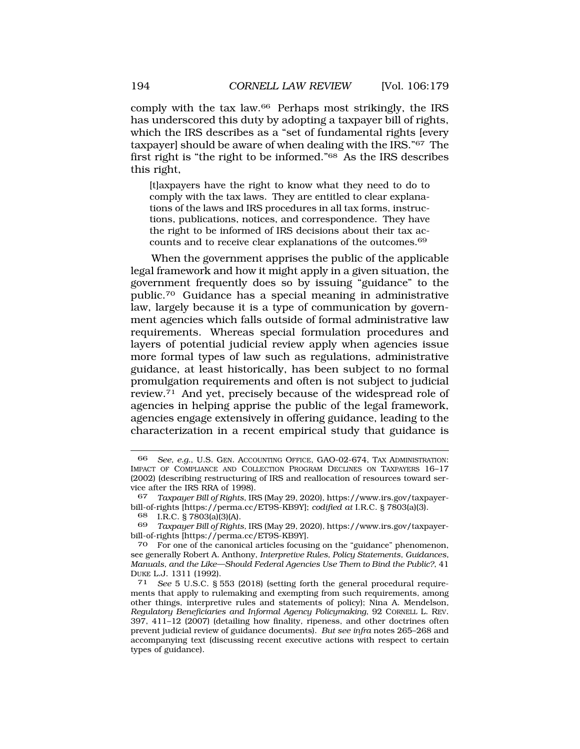comply with the tax law.66 Perhaps most strikingly, the IRS has underscored this duty by adopting a taxpayer bill of rights, which the IRS describes as a "set of fundamental rights [every taxpayer] should be aware of when dealing with the IRS."67 The first right is "the right to be informed."68 As the IRS describes this right,

[t]axpayers have the right to know what they need to do to comply with the tax laws. They are entitled to clear explanations of the laws and IRS procedures in all tax forms, instructions, publications, notices, and correspondence. They have the right to be informed of IRS decisions about their tax accounts and to receive clear explanations of the [outcomes.](https://outcomes.69)<sup>69</sup>

When the government apprises the public of the applicable legal framework and how it might apply in a given situation, the government frequently does so by issuing "guidance" to the [public.70](https://public.70) Guidance has a special meaning in administrative law, largely because it is a type of communication by government agencies which falls outside of formal administrative law requirements. Whereas special formulation procedures and layers of potential judicial review apply when agencies issue more formal types of law such as regulations, administrative guidance, at least historically, has been subject to no formal promulgation requirements and often is not subject to judicial [review.71](https://review.71) And yet, precisely because of the widespread role of agencies in helping apprise the public of the legal framework, agencies engage extensively in offering guidance, leading to the characterization in a recent empirical study that guidance is

69 *Taxpayer Bill of Rights,* IRS (May 29, 2020)*,* <https://www.irs.gov/taxpayer>bill-of-rights [<https://perma.cc/ET9S-KB9Y>].

70 For one of the canonical articles focusing on the "guidance" phenomenon, see generally Robert A. Anthony, *Interpretive Rules, Policy Statements, Guidances, Manuals, and the Like—Should Federal Agencies Use Them to Bind the Public?*, 41 DUKE L.J. 1311 (1992).<br><sup>71</sup> *See* 5 U.S.C. § 553 (2018) (setting forth the general procedural require-

<sup>66</sup> *See, e.g.*, U.S. GEN. ACCOUNTING OFFICE, GAO-02-674, TAX ADMINISTRATION: IMPACT OF COMPLIANCE AND COLLECTION PROGRAM DECLINES ON TAXPAYERS 16–17 (2002) (describing restructuring of IRS and reallocation of resources toward service after the IRS RRA of 1998).<br>67 Taxpauer Bill of Rights IR

<sup>67</sup> *Taxpayer Bill of Rights*, IRS (May 29, 2020),<https://www.irs.gov/taxpayer>bill-of-rights [<https://perma.cc/ET9S-KB9Y>]; *codified at* I.R.C. § 7803(a)(3).

<sup>68</sup> I.R.C. § 7803(a)(3)(A).

ments that apply to rulemaking and exempting from such requirements, among other things, interpretive rules and statements of policy); Nina A. Mendelson*, Regulatory Beneficiaries and Informal Agency Policymaking*, 92 CORNELL L. REV. 397, 411–12 (2007) (detailing how finality, ripeness, and other doctrines often prevent judicial review of guidance documents). *But see infra* notes 265–268 and accompanying text (discussing recent executive actions with respect to certain types of guidance).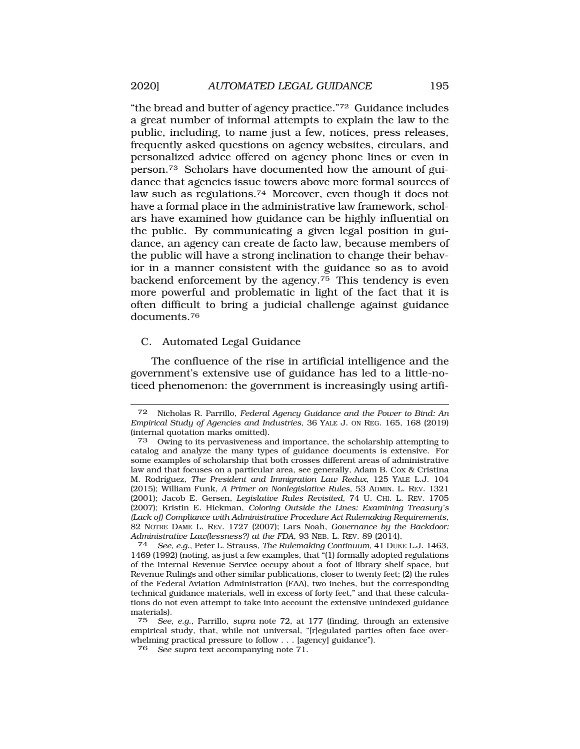"the bread and butter of agency practice."72 Guidance includes a great number of informal attempts to explain the law to the public, including, to name just a few, notices, press releases, frequently asked questions on agency websites, circulars, and personalized advice offered on agency phone lines or even in [person.73](https://person.73) Scholars have documented how the amount of guidance that agencies issue towers above more formal sources of law such as [regulations.74](https://regulations.74) Moreover, even though it does not have a formal place in the administrative law framework, scholars have examined how guidance can be highly influential on the public. By communicating a given legal position in guidance, an agency can create de facto law, because members of the public will have a strong inclination to change their behavior in a manner consistent with the guidance so as to avoid backend enforcement by the agency. $75$  This tendency is even more powerful and problematic in light of the fact that it is often difficult to bring a judicial challenge against guidance [documents.76](https://documents.76) 

#### C. Automated Legal Guidance

The confluence of the rise in artificial intelligence and the government's extensive use of guidance has led to a little-noticed phenomenon: the government is increasingly using artifi-

<sup>72</sup> Nicholas R. Parrillo, *Federal Agency Guidance and the Power to Bind: An Empirical Study of Agencies and Industries*, 36 YALE J. ON REG. 165, 168 (2019) (internal quotation marks omitted).

<sup>73</sup> Owing to its pervasiveness and importance, the scholarship attempting to catalog and analyze the many types of guidance documents is extensive. For some examples of scholarship that both crosses different areas of administrative law and that focuses on a particular area, see generally, Adam B. Cox & Cristina M. Rodr´ıguez, *The President and Immigration Law Redux*, 125 YALE L.J. 104 (2015); William Funk, *A Primer on Nonlegislative Rules*, 53 ADMIN. L. REV. 1321 (2001); Jacob E. Gersen, *Legislative Rules Revisited*, 74 U. CHI. L. REV. 1705 (2007); Kristin E. Hickman, *Coloring Outside the Lines: Examining Treasury's (Lack of) Compliance with Administrative Procedure Act Rulemaking Requirements*, 82 NOTRE DAME L. REV. 1727 (2007); Lars Noah, *Governance by the Backdoor: Administrative Law(lessness?) at the FDA*, 93 NEB. L. REV. 89 (2014). 74 *See, e.g.*, Peter L. Strauss, *The Rulemaking Continuum*, 41 DUKE L.J. 1463,

<sup>1469 (1992) (</sup>noting, as just a few examples, that "(1) formally adopted regulations of the Internal Revenue Service occupy about a foot of library shelf space, but Revenue Rulings and other similar publications, closer to twenty feet; (2) the rules of the Federal Aviation Administration (FAA), two inches, but the corresponding technical guidance materials, well in excess of forty feet," and that these calculations do not even attempt to take into account the extensive unindexed guidance materials).

<sup>75</sup> *See, e.g.*, Parrillo, *supra* note 72, at 177 (finding, through an extensive empirical study, that, while not universal, "[r]egulated parties often face overwhelming practical pressure to follow . . . [agency] guidance").

<sup>76</sup> *See supra* text accompanying note 71.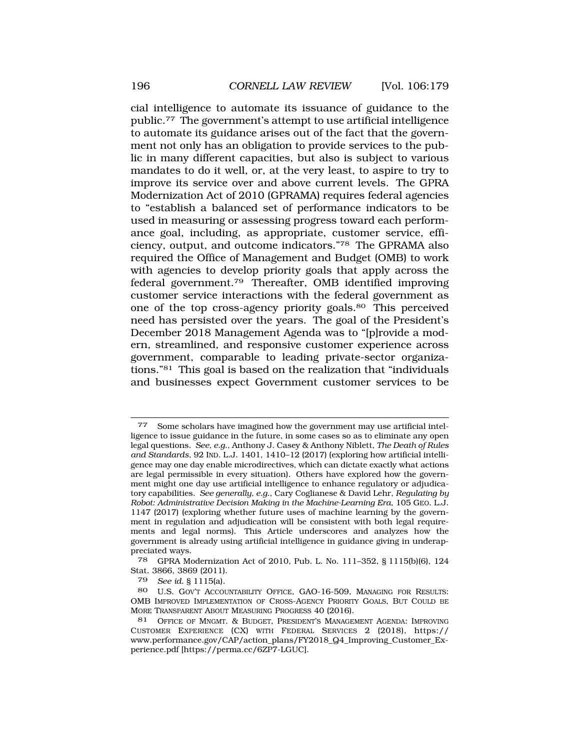cial intelligence to automate its issuance of guidance to the [public.77](https://public.77) The government's attempt to use artificial intelligence to automate its guidance arises out of the fact that the government not only has an obligation to provide services to the public in many different capacities, but also is subject to various mandates to do it well, or, at the very least, to aspire to try to improve its service over and above current levels. The GPRA Modernization Act of 2010 (GPRAMA) requires federal agencies to "establish a balanced set of performance indicators to be used in measuring or assessing progress toward each performance goal, including, as appropriate, customer service, efficiency, output, and outcome indicators."78 The GPRAMA also required the Office of Management and Budget (OMB) to work with agencies to develop priority goals that apply across the federal [government.79](https://government.79) Thereafter, OMB identified improving customer service interactions with the federal government as one of the top cross-agency priority goals.<sup>80</sup> This perceived need has persisted over the years. The goal of the President's December 2018 Management Agenda was to "[p]rovide a modern, streamlined, and responsive customer experience across government, comparable to leading private-sector organizations."81 This goal is based on the realization that "individuals and businesses expect Government customer services to be

79 *See id.* § 1115(a).

Some scholars have imagined how the government may use artificial intelligence to issue guidance in the future, in some cases so as to eliminate any open legal questions. *See, e.g.*, Anthony J. Casey & Anthony Niblett, *The Death of Rules and Standards*, 92 IND. L.J. 1401, 1410–12 (2017) (exploring how artificial intelligence may one day enable microdirectives, which can dictate exactly what actions are legal permissible in every situation). Others have explored how the government might one day use artificial intelligence to enhance regulatory or adjudicatory capabilities. *See generally, e.g.*, Cary Coglianese & David Lehr, *Regulating by Robot: Administrative Decision Making in the Machine-Learning Era*, 105 GEO. L.J. 1147 (2017) (exploring whether future uses of machine learning by the government in regulation and adjudication will be consistent with both legal requirements and legal norms). This Article underscores and analyzes how the government is already using artificial intelligence in guidance giving in underappreciated ways.

<sup>78</sup> GPRA Modernization Act of 2010, Pub. L. No. 111–352, § 1115(b)(6), 124 Stat. 3866, 3869 (2011).

<sup>80</sup> U.S. GOV'T ACCOUNTABILITY OFFICE, GAO-16-509, MANAGING FOR RESULTS: OMB IMPROVED IMPLEMENTATION OF CROSS-AGENCY PRIORITY GOALS, BUT COULD BE MORE TRANSPARENT ABOUT MEASURING PROGRESS 40 (2016).

<sup>81</sup> OFFICE OF MNGMT. & BUDGET, PRESIDENT'S MANAGEMENT AGENDA: IMPROVING CUSTOMER EXPERIENCE (CX) WITH FEDERAL SERVICES 2 (2018), https:// [www.performance.gov/CAP/action\\_plans/FY2018\\_Q4\\_Improving\\_Customer\\_Ex](www.performance.gov/CAP/action_plans/FY2018_Q4_Improving_Customer_Ex)perience.pdf [\[https://perma.cc/6ZP7-LGUC](https://perma.cc/6ZP7-LGUC)].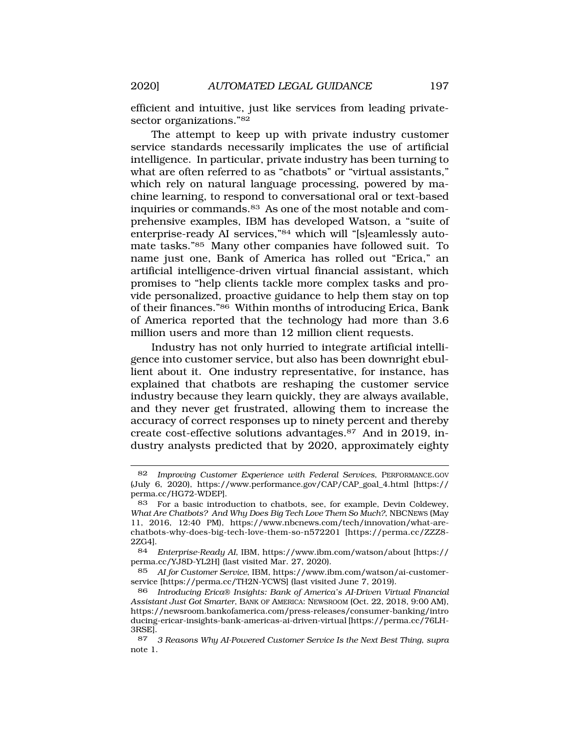efficient and intuitive, just like services from leading privatesector organizations."82

The attempt to keep up with private industry customer service standards necessarily implicates the use of artificial intelligence. In particular, private industry has been turning to what are often referred to as "chatbots" or "virtual assistants," which rely on natural language processing, powered by machine learning, to respond to conversational oral or text-based inquiries or [commands.83](https://commands.83) As one of the most notable and comprehensive examples, IBM has developed Watson, a "suite of enterprise-ready AI services,"<sup>84</sup> which will "[s]eamlessly automate tasks."85 Many other companies have followed suit. To name just one, Bank of America has rolled out "Erica," an artificial intelligence-driven virtual financial assistant, which promises to "help clients tackle more complex tasks and provide personalized, proactive guidance to help them stay on top of their finances."86 Within months of introducing Erica, Bank of America reported that the technology had more than 3.6 million users and more than 12 million client requests.

Industry has not only hurried to integrate artificial intelligence into customer service, but also has been downright ebullient about it. One industry representative, for instance, has explained that chatbots are reshaping the customer service industry because they learn quickly, they are always available, and they never get frustrated, allowing them to increase the accuracy of correct responses up to ninety percent and thereby create cost-effective solutions [advantages.87](https://advantages.87) And in 2019, industry analysts predicted that by 2020, approximately eighty

<sup>82</sup> *Improving Customer Experience with Federal Services*, [PERFORMANCE.GOV](https://PERFORMANCE.GOV)  (July 6, 2020), [https://www.performance.gov/CAP/CAP\\_goal\\_4.html](https://www.performance.gov/CAP/CAP_goal_4.html) [https:// perma.cc/HG72-WDEP].

<sup>83</sup> For a basic introduction to chatbots, see, for example, Devin Coldewey, *What Are Chatbots? And Why Does Big Tech Love Them So Much?*, NBCNEWS (May 11, 2016, 12:40 PM), <https://www.nbcnews.com/tech/innovation/what-are>chatbots-why-does-big-tech-love-them-so-n572201 [\[https://perma.cc/ZZZ8](https://perma.cc/ZZZ8)- 2ZG4].

<sup>84</sup> *Enterprise-Ready AI*, IBM, <https://www.ibm.com/watson/about>[https:// perma.cc/YJ8D-YL2H] (last visited Mar. 27, 2020).

<sup>85</sup> *AI for Customer Service*, IBM,<https://www.ibm.com/watson/ai-customer>service [<https://perma.cc/TH2N-YCWS>] (last visited June 7, 2019).

<sup>86</sup> *Introducing Erica*® *Insights: Bank of America's AI-Driven Virtual Financial Assistant Just Got Smarter*, BANK OF AMERICA: NEWSROOM (Oct. 22, 2018, 9:00 AM), <https://newsroom.bankofamerica.com/press-releases/consumer-banking/intro> ducing-ericar-insights-bank-americas-ai-driven-virtual [\[https://perma.cc/76LH-](https://perma.cc/76LH)3RSE].

<sup>87</sup> *3 Reasons Why AI-Powered Customer Service Is the Next Best Thing*, *supra*  note 1.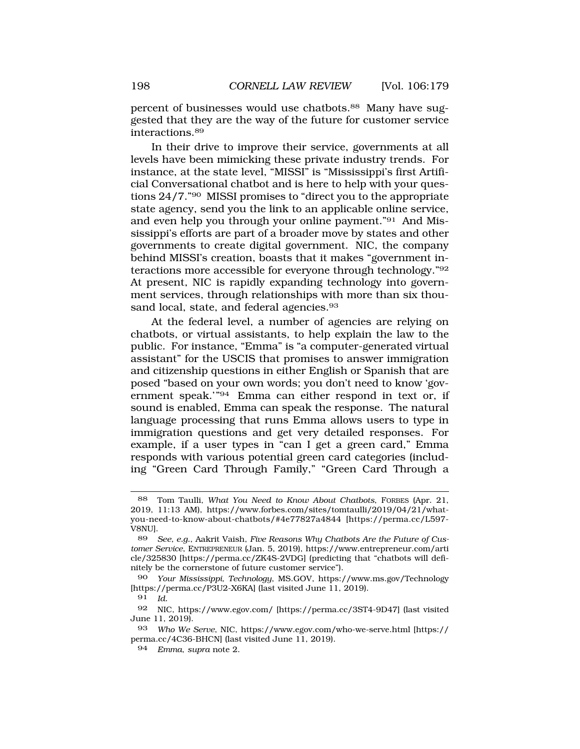percent of businesses would use [chatbots.88](https://chatbots.88) Many have suggested that they are the way of the future for customer service [interactions.89](https://interactions.89) 

In their drive to improve their service, governments at all levels have been mimicking these private industry trends. For instance, at the state level, "MISSI" is "Mississippi's first Artificial Conversational chatbot and is here to help with your questions 24/7."90 MISSI promises to "direct you to the appropriate state agency, send you the link to an applicable online service, and even help you through your online payment."91 And Mississippi's efforts are part of a broader move by states and other governments to create digital government. NIC, the company behind MISSI's creation, boasts that it makes "government interactions more accessible for everyone through technology."92 At present, NIC is rapidly expanding technology into government services, through relationships with more than six thousand local, state, and federal agencies.<sup>93</sup>

At the federal level, a number of agencies are relying on chatbots, or virtual assistants, to help explain the law to the public. For instance, "Emma" is "a computer-generated virtual assistant" for the USCIS that promises to answer immigration and citizenship questions in either English or Spanish that are posed "based on your own words; you don't need to know 'government speak.'"94 Emma can either respond in text or, if sound is enabled, Emma can speak the response. The natural language processing that runs Emma allows users to type in immigration questions and get very detailed responses. For example, if a user types in "can I get a green card," Emma responds with various potential green card categories (including "Green Card Through Family," "Green Card Through a

<sup>88</sup> Tom Taulli, *What You Need to Know About Chatbots*, FORBES (Apr. 21, 2019, 11:13 AM), <https://www.forbes.com/sites/tomtaulli/2019/04/21/what>you-need-to-know-about-chatbots/#4e77827a4844 [\[https://perma.cc/L597](https://perma.cc/L597)- V8NU].

<sup>89</sup> *See, e.g.*, Aakrit Vaish, *Five Reasons Why Chatbots Are the Future of Customer Service*, ENTREPRENEUR (Jan. 5, 2019), <https://www.entrepreneur.com/arti> cle/325830 [\[https://perma.cc/ZK4S-2VDG\]](https://perma.cc/ZK4S-2VDG) (predicting that "chatbots will definitely be the cornerstone of future customer service").

<sup>90</sup> *Your Mississippi, Technology*, MS.GOV, <https://www.ms.gov/Technology> [<https://perma.cc/P3U2-X6KA>] (last visited June 11, 2019).

<sup>91</sup> *Id.* 

<sup>92</sup> NIC, <https://www.egov.com>/ [[https://perma.cc/3ST4-9D47\]](https://perma.cc/3ST4-9D47) (last visited June 11, 2019).

<sup>93</sup> *Who We Serve*, NIC, <https://www.egov.com/who-we-serve.html> [https:// perma.cc/4C36-BHCN] (last visited June 11, 2019).

<sup>94</sup> *Emma*, *supra* note 2.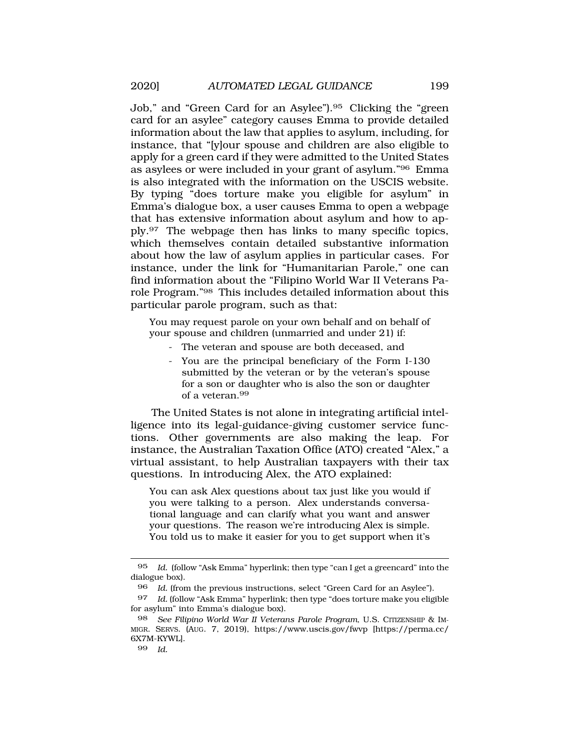Job," and "Green Card for an [Asylee"\).95](https://Asylee�).95) Clicking the "green card for an asylee" category causes Emma to provide detailed information about the law that applies to asylum, including, for instance, that "[y]our spouse and children are also eligible to apply for a green card if they were admitted to the United States as asylees or were included in your grant of asylum."96 Emma is also integrated with the information on the USCIS website. By typing "does torture make you eligible for asylum" in Emma's dialogue box, a user causes Emma to open a webpage that has extensive information about asylum and how to apply.97 The webpage then has links to many specific topics, which themselves contain detailed substantive information about how the law of asylum applies in particular cases. For instance, under the link for "Humanitarian Parole," one can find information about the "Filipino World War II Veterans Parole Program."98 This includes detailed information about this particular parole program, such as that:

You may request parole on your own behalf and on behalf of your spouse and children (unmarried and under 21) if:

- The veteran and spouse are both deceased, and
- You are the principal beneficiary of the Form I-130 submitted by the veteran or by the veteran's spouse for a son or daughter who is also the son or daughter of a [veteran.](https://veteran.99)<sup>99</sup>

The United States is not alone in integrating artificial intelligence into its legal-guidance-giving customer service functions. Other governments are also making the leap. For instance, the Australian Taxation Office (ATO) created "Alex," a virtual assistant, to help Australian taxpayers with their tax questions. In introducing Alex, the ATO explained:

You can ask Alex questions about tax just like you would if you were talking to a person. Alex understands conversational language and can clarify what you want and answer your questions. The reason we're introducing Alex is simple. You told us to make it easier for you to get support when it's

<sup>95</sup> *Id.* (follow "Ask Emma" hyperlink; then type "can I get a greencard" into the dialogue box).

<sup>96</sup> *Id.* (from the previous instructions, select "Green Card for an Asylee").

<sup>97</sup> *Id.* (follow "Ask Emma" hyperlink; then type "does torture make you eligible for asylum" into Emma's dialogue box).

<sup>98</sup> *See Filipino World War II Veterans Parole Program*, U.S. CITIZENSHIP & IM-MIGR. SERVS. (AUG. 7, 2019), <https://www.uscis.gov/fwvp> [\[https://perma.cc/](https://perma.cc) 6X7M-KYWL].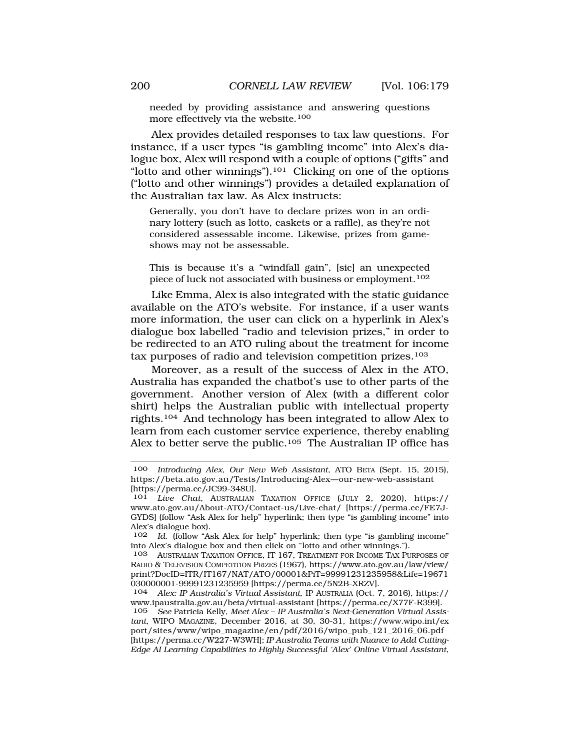needed by providing assistance and answering questions more effectively via the website.<sup>100</sup>

Alex provides detailed responses to tax law questions. For instance, if a user types "is gambling income" into Alex's dialogue box, Alex will respond with a couple of options ("gifts" and "lotto and other winnings").<sup>101</sup> Clicking on one of the options ("lotto and other winnings") provides a detailed explanation of the Australian tax law. As Alex instructs:

Generally, you don't have to declare prizes won in an ordinary lottery (such as lotto, caskets or a raffle), as they're not considered assessable income. Likewise, prizes from gameshows may not be assessable.

This is because it's a "windfall gain", [sic] an unexpected piece of luck not associated with business or employment.<sup>102</sup>

Like Emma, Alex is also integrated with the static guidance available on the ATO's website. For instance, if a user wants more information, the user can click on a hyperlink in Alex's dialogue box labelled "radio and television prizes," in order to be redirected to an ATO ruling about the treatment for income tax purposes of radio and television competition prizes.103

Moreover, as a result of the success of Alex in the ATO, Australia has expanded the chatbot's use to other parts of the government. Another version of Alex (with a different color shirt) helps the Australian public with intellectual property rights.104 And technology has been integrated to allow Alex to learn from each customer service experience, thereby enabling Alex to better serve the public.<sup>105</sup> The Australian IP office has

<sup>100</sup> *Introducing Alex, Our New Web Assistant*, ATO BETA (Sept. 15, 2015), [https://beta.ato.gov.au/Tests/Introducing-Alex—our-new-web-assistant](https://beta.ato.gov.au/Tests/Introducing-Alex�our-new-web-assistant) [[https://perma.cc/JC99-348U\]](https://perma.cc/JC99-348U).

<sup>101</sup> *Live Chat*, AUSTRALIAN TAXATION OFFICE (JULY 2, 2020), https:// <www.ato.gov.au/About-ATO/Contact-us/Live-chat>/ [<https://perma.cc/FE7J>-GYDS] (follow "Ask Alex for help" hyperlink; then type "is gambling income" into Alex's dialogue box).<br> $102$  *Id* (follow "A)

Id. (follow "Ask Alex for help" hyperlink; then type "is gambling income" into Alex's dialogue box and then click on "lotto and other winnings.").

<sup>103</sup> AUSTRALIAN TAXATION OFFICE, IT 167, TREATMENT FOR INCOME TAX PURPOSES OF RADIO & TELEVISION COMPETITION PRIZES (1967), [https://www.ato.gov.au/law/view/](https://www.ato.gov.au/law/view) print?DocID=ITR/IT167/NAT/ATO/00001&PiT=99991231235958&Life=19671 030000001-99991231235959 [[https://perma.cc/5N2B-XRZV\]](https://perma.cc/5N2B-XRZV).

<sup>104</sup> *Alex: IP Australia's Virtual Assistant*, IP AUSTRALIA (Oct. 7, 2016), https:// <www.ipaustralia.gov.au/beta/virtual-assistant>[\[https://perma.cc/X77F-R399](https://perma.cc/X77F-R399)].

<sup>105</sup> *See* Patricia Kelly, *Meet Alex – IP Australia's Next-Generation Virtual Assistant*, WIPO MAGAZINE, December 2016, at 30, 30-31, <https://www.wipo.int/ex> port/sites/www/wipo\_magazine/en/pdf/2016/wipo\_pub\_121\_2016\_06.pdf [[https://perma.cc/W227-W3WH\]](https://perma.cc/W227-W3WH); *IP Australia Teams with Nuance to Add Cutting-Edge AI Learning Capabilities to Highly Successful 'Alex' Online Virtual Assistant*,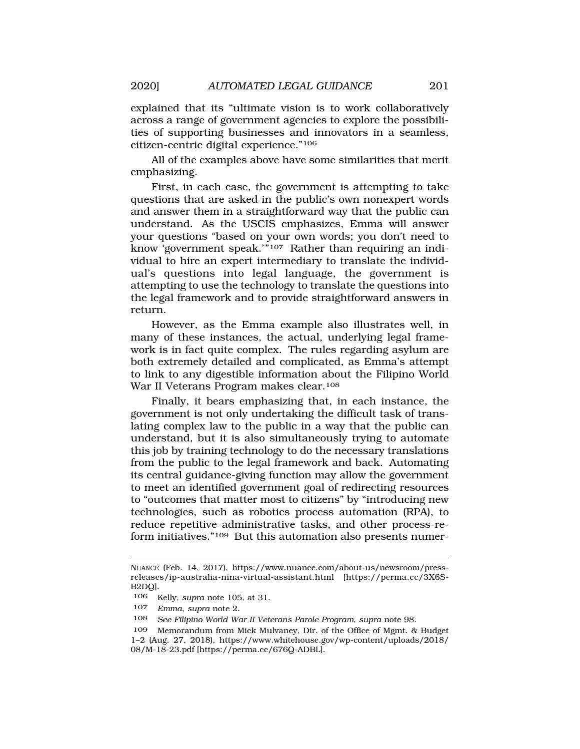explained that its "ultimate vision is to work collaboratively across a range of government agencies to explore the possibilities of supporting businesses and innovators in a seamless, citizen-centric digital experience."106

All of the examples above have some similarities that merit emphasizing.

First, in each case, the government is attempting to take questions that are asked in the public's own nonexpert words and answer them in a straightforward way that the public can understand. As the USCIS emphasizes, Emma will answer your questions "based on your own words; you don't need to know 'government speak.'"107 Rather than requiring an individual to hire an expert intermediary to translate the individual's questions into legal language, the government is attempting to use the technology to translate the questions into the legal framework and to provide straightforward answers in return.

However, as the Emma example also illustrates well, in many of these instances, the actual, underlying legal framework is in fact quite complex. The rules regarding asylum are both extremely detailed and complicated, as Emma's attempt to link to any digestible information about the Filipino World War II Veterans Program makes clear.108

Finally, it bears emphasizing that, in each instance, the government is not only undertaking the difficult task of translating complex law to the public in a way that the public can understand, but it is also simultaneously trying to automate this job by training technology to do the necessary translations from the public to the legal framework and back. Automating its central guidance-giving function may allow the government to meet an identified government goal of redirecting resources to "outcomes that matter most to citizens" by "introducing new technologies, such as robotics process automation (RPA), to reduce repetitive administrative tasks, and other process-reform initiatives."109 But this automation also presents numer-

NUANCE (Feb. 14, 2017), <https://www.nuance.com/about-us/newsroom/press>releases/ip-australia-nina-virtual-assistant.html [\[https://perma.cc/3X6S](https://perma.cc/3X6S)-B2DQ].

<sup>106</sup> Kelly, *supra* note 105, at 31.

<sup>107</sup> *Emma*, *supra* note 2.

<sup>108</sup> *See Filipino World War II Veterans Parole Program*, *supra* note 98.

<sup>109</sup> Memorandum from Mick Mulvaney, Dir. of the Office of Mgmt. & Budget 1–2 (Aug. 27, 2018), [https://www.whitehouse.gov/wp-content/uploads/2018/](https://www.whitehouse.gov/wp-content/uploads/2018) 08/M-18-23.pdf [\[https://perma.cc/676Q-ADBL](https://perma.cc/676Q-ADBL)].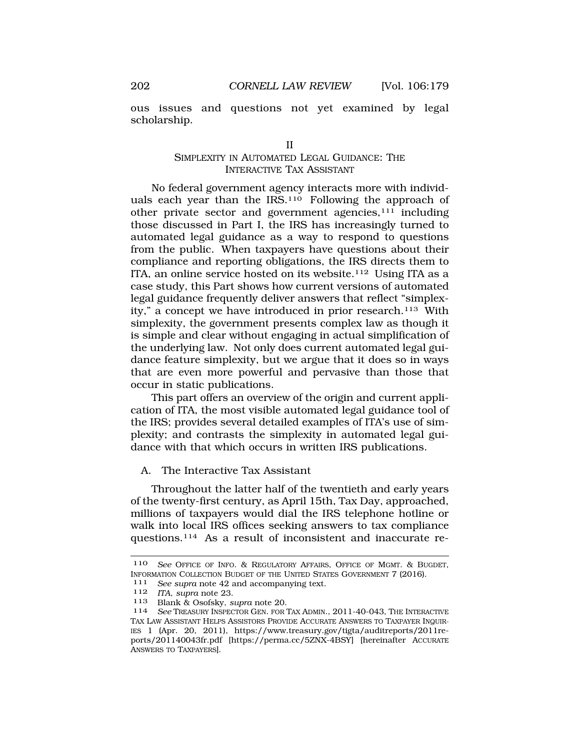<span id="page-23-0"></span>ous issues and questions not yet examined by legal scholarship.

#### II

### SIMPLEXITY IN AUTOMATED LEGAL GUIDANCE: THE INTERACTIVE TAX ASSISTANT

No federal government agency interacts more with individuals each year than the IRS.110 Following the approach of other private sector and government agencies,111 including those discussed in Part I, the IRS has increasingly turned to automated legal guidance as a way to respond to questions from the public. When taxpayers have questions about their compliance and reporting obligations, the IRS directs them to ITA, an online service hosted on its website.112 Using ITA as a case study, this Part shows how current versions of automated legal guidance frequently deliver answers that reflect "simplexity," a concept we have introduced in prior research.113 With simplexity, the government presents complex law as though it is simple and clear without engaging in actual simplification of the underlying law. Not only does current automated legal guidance feature simplexity, but we argue that it does so in ways that are even more powerful and pervasive than those that occur in static publications.

This part offers an overview of the origin and current application of ITA, the most visible automated legal guidance tool of the IRS; provides several detailed examples of ITA's use of simplexity; and contrasts the simplexity in automated legal guidance with that which occurs in written IRS publications.

#### A. The Interactive Tax Assistant

Throughout the latter half of the twentieth and early years of the twenty-first century, as April 15th, Tax Day, approached, millions of taxpayers would dial the IRS telephone hotline or walk into local IRS offices seeking answers to tax compliance questions.114 As a result of inconsistent and inaccurate re-

<sup>110</sup> *See* OFFICE OF INFO. & REGULATORY AFFAIRS, OFFICE OF MGMT. & BUGDET, INFORMATION COLLECTION BUDGET OF THE UNITED STATES GOVERNMENT 7 (2016). 111 *See supra* note 42 and accompanying text.

<sup>112</sup> *ITA*, *supra* note 23.

<sup>114</sup> See TREASURY INSPECTOR GEN. FOR TAX ADMIN., 2011-40-043, THE INTERACTIVE TAX LAW ASSISTANT HELPS ASSISTORS PROVIDE ACCURATE ANSWERS TO TAXPAYER INQUIR-IES 1 (Apr. 20, 2011), <https://www.treasury.gov/tigta/auditreports/2011re>ports/201140043fr.pdf [\[https://perma.cc/5ZNX-4BSY\]](https://perma.cc/5ZNX-4BSY) [hereinafter ACCURATE ANSWERS TO TAXPAYERS].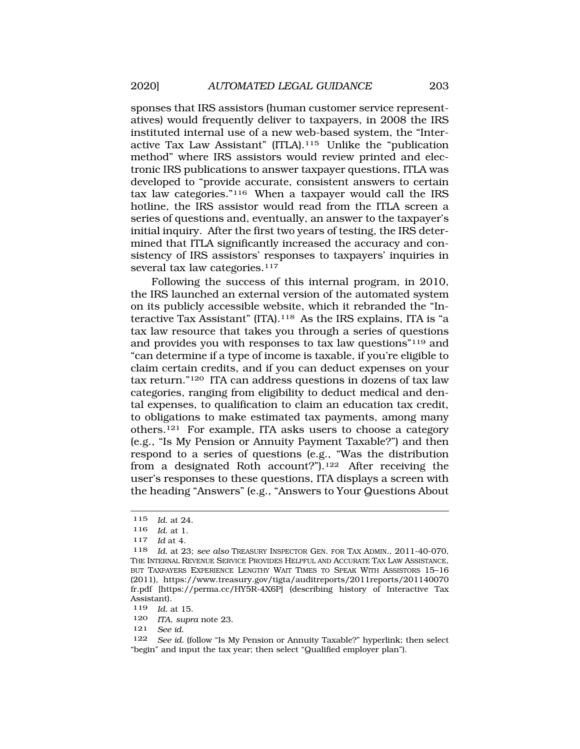sponses that IRS assistors (human customer service representatives) would frequently deliver to taxpayers, in 2008 the IRS instituted internal use of a new web-based system, the "Interactive Tax Law Assistant" (ITLA).115 Unlike the "publication method" where IRS assistors would review printed and electronic IRS publications to answer taxpayer questions, ITLA was developed to "provide accurate, consistent answers to certain tax law categories."116 When a taxpayer would call the IRS hotline, the IRS assistor would read from the ITLA screen a series of questions and, eventually, an answer to the taxpayer's initial inquiry. After the first two years of testing, the IRS determined that ITLA significantly increased the accuracy and consistency of IRS assistors' responses to taxpayers' inquiries in several tax law categories.<sup>117</sup>

Following the success of this internal program, in 2010, the IRS launched an external version of the automated system on its publicly accessible website, which it rebranded the "Interactive Tax Assistant" (ITA).118 As the IRS explains, ITA is "a tax law resource that takes you through a series of questions and provides you with responses to tax law questions"119 and "can determine if a type of income is taxable, if you're eligible to claim certain credits, and if you can deduct expenses on your tax return."120 ITA can address questions in dozens of tax law categories, ranging from eligibility to deduct medical and dental expenses, to qualification to claim an education tax credit, to obligations to make estimated tax payments, among many others.121 For example, ITA asks users to choose a category (e.g., "Is My Pension or Annuity Payment Taxable?") and then respond to a series of questions (e.g., "Was the distribution from a designated Roth account?").122 After receiving the user's responses to these questions, ITA displays a screen with the heading "Answers" (e.g., "Answers to Your Questions About

<sup>115</sup> *Id.* at 24.

<sup>116</sup> *Id.* at 1.

<sup>117</sup> *Id* at 4.

<sup>118</sup> *Id.* at 23; *see also* TREASURY INSPECTOR GEN. FOR TAX ADMIN., 2011-40-070, THE INTERNAL REVENUE SERVICE PROVIDES HELPFUL AND ACCURATE TAX LAW ASSISTANCE, BUT TAXPAYERS EXPERIENCE LENGTHY WAIT TIMES TO SPEAK WITH ASSISTORS 15–16 (2011), <https://www.treasury.gov/tigta/auditreports/2011reports/201140070> fr.pdf [[https://perma.cc/HY5R-4X6P\]](https://perma.cc/HY5R-4X6P) (describing history of Interactive Tax Assistant).

<sup>119</sup> *Id.* at 15.

<sup>120</sup> *ITA*, *supra* note 23.

<sup>121</sup> *See id.* 

<sup>122</sup> *See id.* (follow "Is My Pension or Annuity Taxable?" hyperlink; then select "begin" and input the tax year; then select "Qualified employer plan").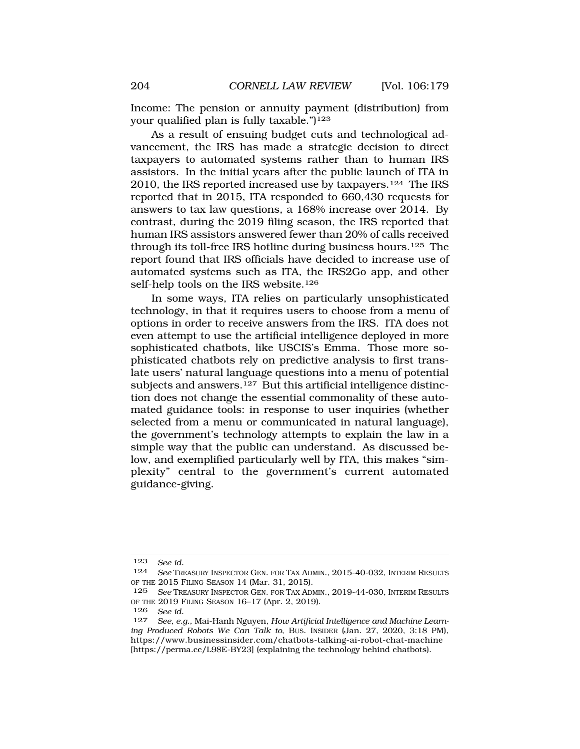Income: The pension or annuity payment (distribution) from your qualified plan is fully taxable.")<sup>123</sup>

As a result of ensuing budget cuts and technological advancement, the IRS has made a strategic decision to direct taxpayers to automated systems rather than to human IRS assistors. In the initial years after the public launch of ITA in 2010, the IRS reported increased use by taxpayers.<sup>124</sup> The IRS reported that in 2015, ITA responded to 660,430 requests for answers to tax law questions, a 168% increase over 2014. By contrast, during the 2019 filing season, the IRS reported that human IRS assistors answered fewer than 20% of calls received through its toll-free IRS hotline during business hours.125 The report found that IRS officials have decided to increase use of automated systems such as ITA, the IRS2Go app, and other self-help tools on the IRS website.126

In some ways, ITA relies on particularly unsophisticated technology, in that it requires users to choose from a menu of options in order to receive answers from the IRS. ITA does not even attempt to use the artificial intelligence deployed in more sophisticated chatbots, like USCIS's Emma. Those more sophisticated chatbots rely on predictive analysis to first translate users' natural language questions into a menu of potential subjects and answers.<sup>127</sup> But this artificial intelligence distinction does not change the essential commonality of these automated guidance tools: in response to user inquiries (whether selected from a menu or communicated in natural language), the government's technology attempts to explain the law in a simple way that the public can understand. As discussed below, and exemplified particularly well by ITA, this makes "simplexity" central to the government's current automated guidance-giving.

<sup>123</sup> *See id.* 

<sup>124</sup> *See* TREASURY INSPECTOR GEN. FOR TAX ADMIN., 2015-40-032, INTERIM RESULTS OF THE 2015 FILING SEASON 14 (Mar. 31, 2015).

<sup>125</sup> *See* TREASURY INSPECTOR GEN. FOR TAX ADMIN., 2019-44-030, INTERIM RESULTS OF THE 2019 FILING SEASON 16–17 (Apr. 2, 2019).

<sup>126</sup> *See id.* 

See, e.g., Mai-Hanh Nguyen, *How Artificial Intelligence and Machine Learning Produced Robots We Can Talk to*, BUS. INSIDER (Jan. 27, 2020, 3:18 PM), <https://www.businessinsider.com/chatbots-talking-ai-robot-chat-machine> [[https://perma.cc/L98E-BY23\]](https://perma.cc/L98E-BY23) (explaining the technology behind chatbots).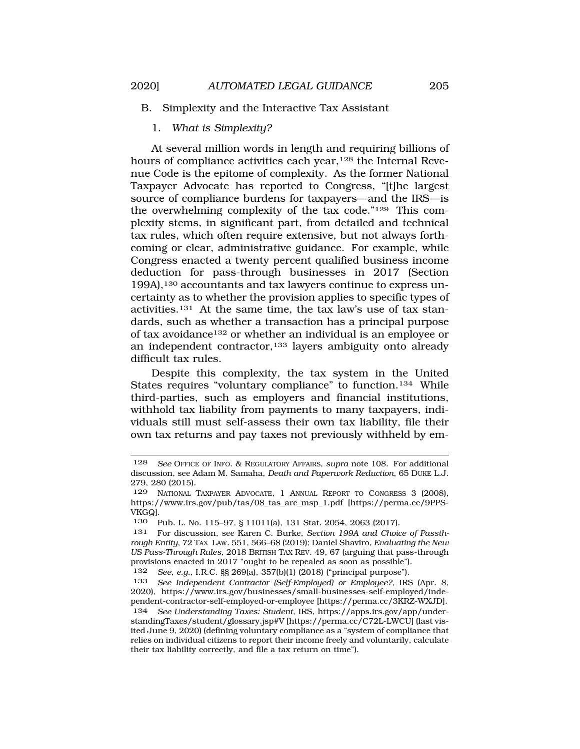#### B. Simplexity and the Interactive Tax Assistant

### 1. *What is Simplexity?*

At several million words in length and requiring billions of hours of compliance activities each year,<sup>128</sup> the Internal Revenue Code is the epitome of complexity. As the former National Taxpayer Advocate has reported to Congress, "[t]he largest source of compliance burdens for taxpayers—and the IRS—is the overwhelming complexity of the tax code."129 This complexity stems, in significant part, from detailed and technical tax rules, which often require extensive, but not always forthcoming or clear, administrative guidance. For example, while Congress enacted a twenty percent qualified business income deduction for pass-through businesses in 2017 (Section 199A),130 accountants and tax lawyers continue to express uncertainty as to whether the provision applies to specific types of activities.131 At the same time, the tax law's use of tax standards, such as whether a transaction has a principal purpose of tax avoidance132 or whether an individual is an employee or an independent contractor,<sup>133</sup> layers ambiguity onto already difficult tax rules.

Despite this complexity, the tax system in the United States requires "voluntary compliance" to function.134 While third-parties, such as employers and financial institutions, withhold tax liability from payments to many taxpayers, individuals still must self-assess their own tax liability, file their own tax returns and pay taxes not previously withheld by em-

<sup>128</sup> *See* OFFICE OF INFO. & REGULATORY AFFAIRS, *supra* note 108. For additional discussion, see Adam M. Samaha, *Death and Paperwork Reduction*, 65 DUKE L.J. 279, 280 (2015).

<sup>129</sup> NATIONAL TAXPAYER ADVOCATE, 1 ANNUAL REPORT TO CONGRESS 3 (2008), [https://www.irs.gov/pub/tas/08\\_tas\\_arc\\_msp\\_1.pdf](https://www.irs.gov/pub/tas/08_tas_arc_msp_1.pdf) [[https://perma.cc/9PPS-](https://perma.cc/9PPS)VKGQ].

<sup>130</sup> Pub. L. No. 115–97, § 11011(a), 131 Stat. 2054, 2063 (2017).

<sup>131</sup> For discussion, see Karen C. Burke, *Section 199A and Choice of Passthrough Entity*, 72 TAX LAW. 551, 566–68 (2019); Daniel Shaviro, *Evaluating the New US Pass-Through Rules*, 2018 BRITISH TAX REV. 49, 67 (arguing that pass-through provisions enacted in 2017 "ought to be repealed as soon as possible").

<sup>132</sup> *See, e.g.*, I.R.C. §§ 269(a), 357(b)(1) (2018) ("principal purpose").

<sup>133</sup> *See Independent Contractor (Self-Employed) or Employee?*, IRS (Apr. 8, 2020), <https://www.irs.gov/businesses/small-businesses-self-employed/inde>pendent-contractor-self-employed-or-employee [\[https://perma.cc/3KRZ-WXJD](https://perma.cc/3KRZ-WXJD)].

<sup>134</sup> *See Understanding Taxes: Student*, IRS, <https://apps.irs.gov/app/under>standingTaxes/student/glossary.jsp#V [\[https://perma.cc/C72L-LWCU](https://perma.cc/C72L-LWCU)] (last visited June 9, 2020) (defining voluntary compliance as a "system of compliance that relies on individual citizens to report their income freely and voluntarily, calculate their tax liability correctly, and file a tax return on time").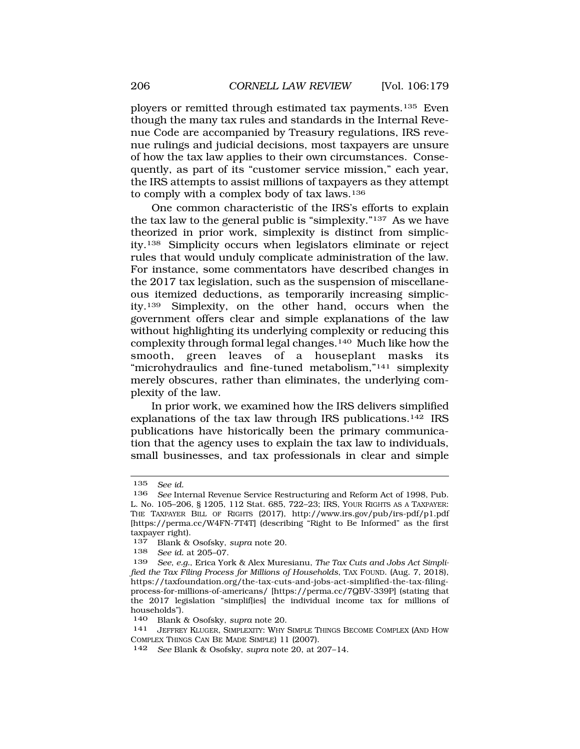ployers or remitted through estimated tax payments.135 Even though the many tax rules and standards in the Internal Revenue Code are accompanied by Treasury regulations, IRS revenue rulings and judicial decisions, most taxpayers are unsure of how the tax law applies to their own circumstances. Consequently, as part of its "customer service mission," each year, the IRS attempts to assist millions of taxpayers as they attempt to comply with a complex body of tax laws.136

One common characteristic of the IRS's efforts to explain the tax law to the general public is "simplexity."137 As we have theorized in prior work, simplexity is distinct from simplicity.138 Simplicity occurs when legislators eliminate or reject rules that would unduly complicate administration of the law. For instance, some commentators have described changes in the 2017 tax legislation, such as the suspension of miscellaneous itemized deductions, as temporarily increasing simplicity.139 Simplexity, on the other hand, occurs when the government offers clear and simple explanations of the law without highlighting its underlying complexity or reducing this complexity through formal legal changes.140 Much like how the smooth, green leaves of a houseplant masks its "microhydraulics and fine-tuned metabolism,"141 simplexity merely obscures, rather than eliminates, the underlying complexity of the law.

In prior work, we examined how the IRS delivers simplified explanations of the tax law through IRS publications.142 IRS publications have historically been the primary communication that the agency uses to explain the tax law to individuals, small businesses, and tax professionals in clear and simple

<sup>135</sup> *See id.* 

<sup>136</sup> *See* Internal Revenue Service Restructuring and Reform Act of 1998, Pub. L. No. 105–206, § 1205, 112 Stat. 685, 722–23; IRS, YOUR RIGHTS AS A TAXPAYER: THE TAXPAYER BILL OF RIGHTS (2017), <http://www.irs.gov/pub/irs-pdf/p1.pdf> [[https://perma.cc/W4FN-7T4T\]](https://perma.cc/W4FN-7T4T) (describing "Right to Be Informed" as the first taxpayer right).

<sup>137</sup> Blank & Osofsky, *supra* note 20.

<sup>138</sup> *See id.* at 205–07.

See, e.g., Erica York & Alex Muresianu, The Tax Cuts and Jobs Act Simpli*fied the Tax Filing Process for Millions of Households*, TAX FOUND. (Aug. 7, 2018), <https://taxfoundation.org/the-tax-cuts-and-jobs-act-simplified-the-tax-filing>process-for-millions-of-americans/ [\[https://perma.cc/7QBV-339P\]](https://perma.cc/7QBV-339P) (stating that the 2017 legislation "simplif[ies] the individual income tax for millions of households").

<sup>140</sup> Blank & Osofsky, *supra* note 20.

<sup>141</sup> JEFFREY KLUGER, SIMPLEXITY: WHY SIMPLE THINGS BECOME COMPLEX (AND HOW COMPLEX THINGS CAN BE MADE SIMPLE) 11 (2007).

<sup>142</sup> *See* Blank & Osofsky, *supra* note 20, at 207–14.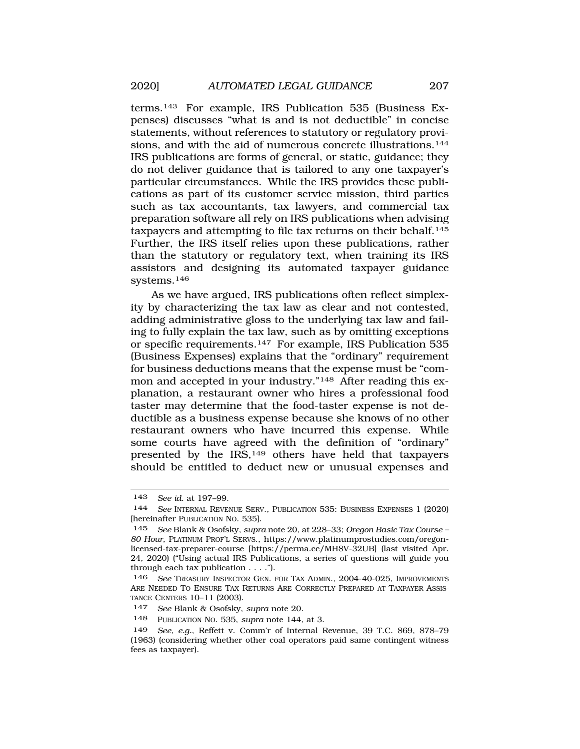terms.143 For example, IRS Publication 535 (Business Expenses) discusses "what is and is not deductible" in concise statements, without references to statutory or regulatory provisions, and with the aid of numerous concrete illustrations.<sup>144</sup> IRS publications are forms of general, or static, guidance; they do not deliver guidance that is tailored to any one taxpayer's particular circumstances. While the IRS provides these publications as part of its customer service mission, third parties such as tax accountants, tax lawyers, and commercial tax preparation software all rely on IRS publications when advising taxpayers and attempting to file tax returns on their behalf.<sup>145</sup> Further, the IRS itself relies upon these publications, rather than the statutory or regulatory text, when training its IRS assistors and designing its automated taxpayer guidance systems.146

As we have argued, IRS publications often reflect simplexity by characterizing the tax law as clear and not contested, adding administrative gloss to the underlying tax law and failing to fully explain the tax law, such as by omitting exceptions or specific requirements.147 For example, IRS Publication 535 (Business Expenses) explains that the "ordinary" requirement for business deductions means that the expense must be "common and accepted in your industry."148 After reading this explanation, a restaurant owner who hires a professional food taster may determine that the food-taster expense is not deductible as a business expense because she knows of no other restaurant owners who have incurred this expense. While some courts have agreed with the definition of "ordinary" presented by the IRS,149 others have held that taxpayers should be entitled to deduct new or unusual expenses and

<sup>143</sup> *See id.* at 197–99.

<sup>144</sup> *See* INTERNAL REVENUE SERV., PUBLICATION 535: BUSINESS EXPENSES 1 (2020) [hereinafter PUBLICATION NO. 535].

<sup>145</sup> *See* Blank & Osofsky, *supra* note 20, at 228–33; *Oregon Basic Tax Course – 80 Hour*, PLATINUM PROF'L SERVS., <https://www.platinumprostudies.com/oregon>licensed-tax-preparer-course [\[https://perma.cc/MH8V-32UB](https://perma.cc/MH8V-32UB)] (last visited Apr. 24, 2020) ("Using actual IRS Publications, a series of questions will guide you through each tax publication . . . .").

<sup>146</sup> *See* TREASURY INSPECTOR GEN. FOR TAX ADMIN., 2004-40-025, IMPROVEMENTS ARE NEEDED TO ENSURE TAX RETURNS ARE CORRECTLY PREPARED AT TAXPAYER ASSIS-TANCE CENTERS 10–11 (2003).

<sup>147</sup> *See* Blank & Osofsky, *supra* note 20.

<sup>148</sup> PUBLICATION NO. 535, *supra* note 144, at 3.

<sup>149</sup> *See, e.g.*, Reffett v. Comm'r of Internal Revenue, 39 T.C. 869, 878–79 (1963) (considering whether other coal operators paid same contingent witness fees as taxpayer).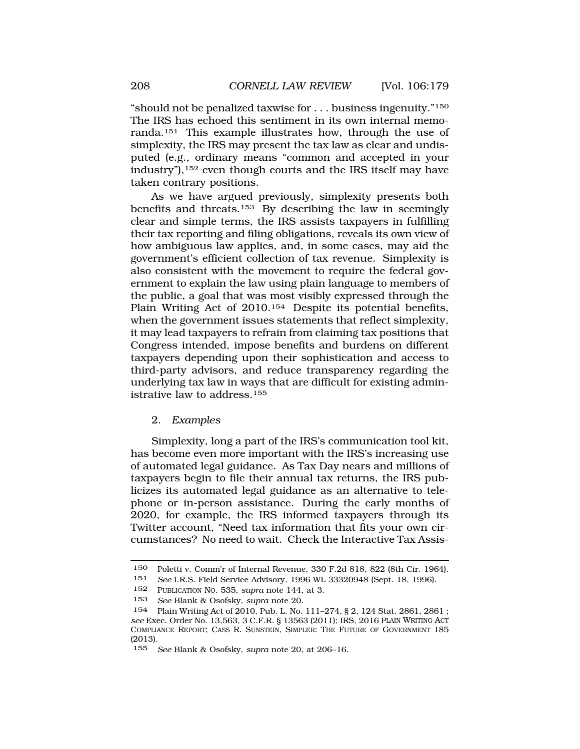<span id="page-29-0"></span>"should not be penalized taxwise for . . . business ingenuity."150 The IRS has echoed this sentiment in its own internal memoranda.151 This example illustrates how, through the use of simplexity, the IRS may present the tax law as clear and undisputed (e.g., ordinary means "common and accepted in your industry"),152 even though courts and the IRS itself may have taken contrary positions.

As we have argued previously, simplexity presents both benefits and threats.153 By describing the law in seemingly clear and simple terms, the IRS assists taxpayers in fulfilling their tax reporting and filing obligations, reveals its own view of how ambiguous law applies, and, in some cases, may aid the government's efficient collection of tax revenue. Simplexity is also consistent with the movement to require the federal government to explain the law using plain language to members of the public, a goal that was most visibly expressed through the Plain Writing Act of 2010.<sup>154</sup> Despite its potential benefits, when the government issues statements that reflect simplexity, it may lead taxpayers to refrain from claiming tax positions that Congress intended, impose benefits and burdens on different taxpayers depending upon their sophistication and access to third-party advisors, and reduce transparency regarding the underlying tax law in ways that are difficult for existing administrative law to address.155

#### 2. *Examples*

Simplexity, long a part of the IRS's communication tool kit, has become even more important with the IRS's increasing use of automated legal guidance. As Tax Day nears and millions of taxpayers begin to file their annual tax returns, the IRS publicizes its automated legal guidance as an alternative to telephone or in-person assistance. During the early months of 2020, for example, the IRS informed taxpayers through its Twitter account, "Need tax information that fits your own circumstances? No need to wait. Check the Interactive Tax Assis-

<sup>150</sup> Poletti v. Comm'r of Internal Revenue,  $330$  F.2d 818, 822 (8th Cir. 1964).<br>151 See LR S. Field Service Advisory 1996 WL 33320948 (Sept. 18, 1996)

See I.R.S. Field Service Advisory, 1996 WL 33320948 (Sept. 18, 1996).

<sup>152</sup> PUBLICATION NO. 535, *supra* note 144, at 3.

<sup>153</sup> *See* Blank & Osofsky, *supra* note 20.

<sup>154</sup> Plain Writing Act of 2010, Pub. L. No. 111–274, § 2, 124 Stat. 2861, 2861 ; *see* Exec. Order No. 13,563, 3 C.F.R. § 13563 (2011); IRS, 2016 PLAIN WRITING ACT COMPLIANCE REPORT; CASS R. SUNSTEIN, SIMPLER: THE FUTURE OF GOVERNMENT 185 (2013).

<sup>155</sup> *See* Blank & Osofsky, *supra* note 20, at 206–16.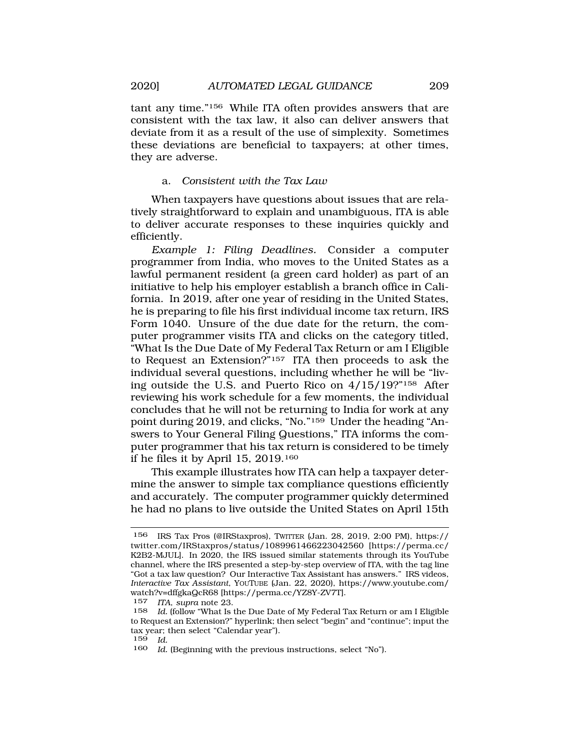tant any time."156 While ITA often provides answers that are consistent with the tax law, it also can deliver answers that deviate from it as a result of the use of simplexity. Sometimes these deviations are beneficial to taxpayers; at other times, they are adverse.

## a. *Consistent with the Tax Law*

When taxpayers have questions about issues that are relatively straightforward to explain and unambiguous, ITA is able to deliver accurate responses to these inquiries quickly and efficiently.

*Example 1: Filing Deadlines.* Consider a computer programmer from India, who moves to the United States as a lawful permanent resident (a green card holder) as part of an initiative to help his employer establish a branch office in California. In 2019, after one year of residing in the United States, he is preparing to file his first individual income tax return, IRS Form 1040. Unsure of the due date for the return, the computer programmer visits ITA and clicks on the category titled, "What Is the Due Date of My Federal Tax Return or am I Eligible to Request an Extension?"157 ITA then proceeds to ask the individual several questions, including whether he will be "living outside the U.S. and Puerto Rico on 4/15/19?"158 After reviewing his work schedule for a few moments, the individual concludes that he will not be returning to India for work at any point during 2019, and clicks, "No."159 Under the heading "Answers to Your General Filing Questions," ITA informs the computer programmer that his tax return is considered to be timely if he files it by April 15,  $2019.<sup>160</sup>$ 

This example illustrates how ITA can help a taxpayer determine the answer to simple tax compliance questions efficiently and accurately. The computer programmer quickly determined he had no plans to live outside the United States on April 15th

<sup>156</sup> IRS Tax Pros (@IRStaxpros), TWITTER (Jan. 28, 2019, 2:00 PM), https:// [twitter.com/IRStaxpros/status/1089961466223042560](https://twitter.com/IRStaxpros/status/1089961466223042560) [\[https://perma.cc/](https://perma.cc) K2B2-MJUL]. In 2020, the IRS issued similar statements through its YouTube channel, where the IRS presented a step-by-step overview of ITA, with the tag line "Got a tax law question? Our Interactive Tax Assistant has answers." IRS videos, *Interactive Tax Assistant*, YOUTUBE (Jan. 22, 2020), [https://www.youtube.com/](https://www.youtube.com) watch?v=dffgkaQcR68 [<https://perma.cc/YZ8Y-ZV7T>].

<sup>157</sup> *ITA*, *supra* note 23.

<sup>158</sup> *Id.* (follow "What Is the Due Date of My Federal Tax Return or am I Eligible to Request an Extension?" hyperlink; then select "begin" and "continue"; input the tax year; then select "Calendar year").

 $\frac{159}{160}$  *Id.* 

Id. (Beginning with the previous instructions, select "No").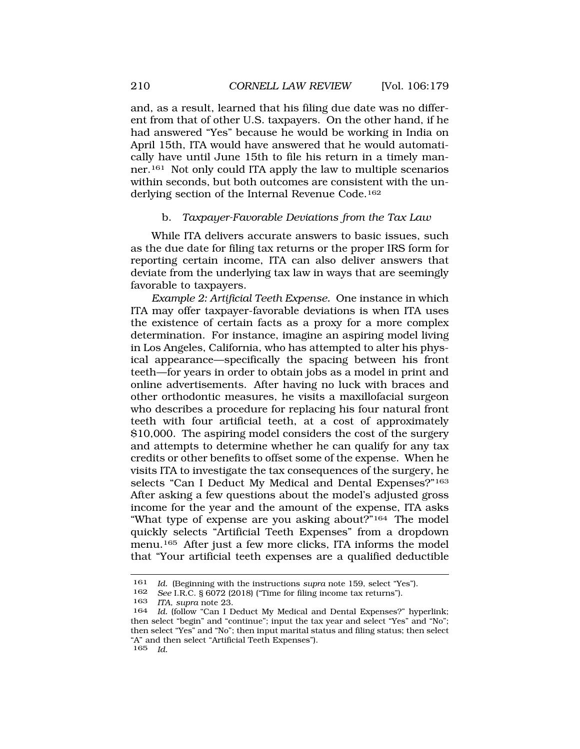<span id="page-31-0"></span>and, as a result, learned that his filing due date was no different from that of other U.S. taxpayers. On the other hand, if he had answered "Yes" because he would be working in India on April 15th, ITA would have answered that he would automatically have until June 15th to file his return in a timely manner.161 Not only could ITA apply the law to multiple scenarios within seconds, but both outcomes are consistent with the underlying section of the Internal Revenue Code.162

#### b. *Taxpayer-Favorable Deviations from the Tax Law*

While ITA delivers accurate answers to basic issues, such as the due date for filing tax returns or the proper IRS form for reporting certain income, ITA can also deliver answers that deviate from the underlying tax law in ways that are seemingly favorable to taxpayers.

*Example 2: Artificial Teeth Expense.* One instance in which ITA may offer taxpayer-favorable deviations is when ITA uses the existence of certain facts as a proxy for a more complex determination. For instance, imagine an aspiring model living in Los Angeles, California, who has attempted to alter his physical appearance—specifically the spacing between his front teeth—for years in order to obtain jobs as a model in print and online advertisements. After having no luck with braces and other orthodontic measures, he visits a maxillofacial surgeon who describes a procedure for replacing his four natural front teeth with four artificial teeth, at a cost of approximately \$10,000. The aspiring model considers the cost of the surgery and attempts to determine whether he can qualify for any tax credits or other benefits to offset some of the expense. When he visits ITA to investigate the tax consequences of the surgery, he selects "Can I Deduct My Medical and Dental Expenses?"163 After asking a few questions about the model's adjusted gross income for the year and the amount of the expense, ITA asks "What type of expense are you asking about?"164 The model quickly selects "Artificial Teeth Expenses" from a dropdown menu.<sup>165</sup> After just a few more clicks, ITA informs the model that "Your artificial teeth expenses are a qualified deductible

<sup>161</sup> *Id.* (Beginning with the instructions *supra* note 159, select "Yes").<br>162 *See* LR C 8 6072 (2018) ("Time for filing income tax returns").

<sup>162</sup> *See* I.R.C. § 6072 (2018) ("Time for filing income tax returns").

<sup>163</sup> *ITA*, *supra* note 23.

<sup>164</sup> *Id.* (follow "Can I Deduct My Medical and Dental Expenses?" hyperlink; then select "begin" and "continue"; input the tax year and select "Yes" and "No"; then select "Yes" and "No"; then input marital status and filing status; then select "A" and then select "Artificial Teeth Expenses"). 165 *Id.*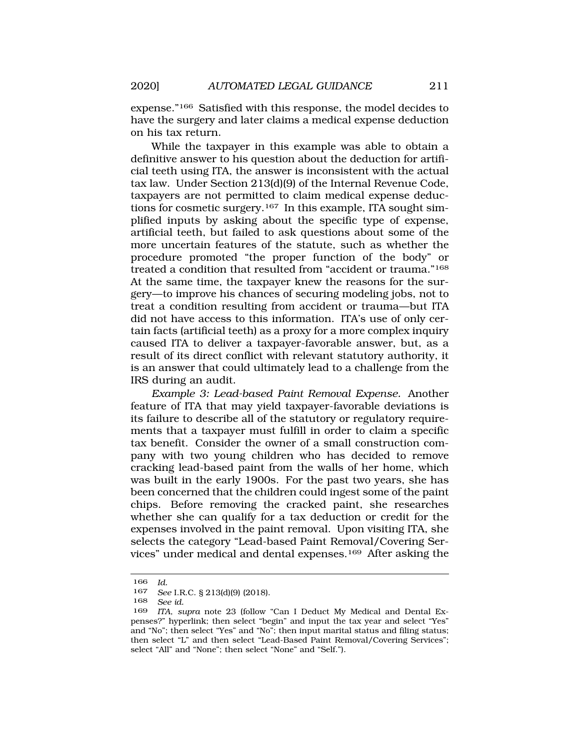expense."166 Satisfied with this response, the model decides to have the surgery and later claims a medical expense deduction on his tax return.

While the taxpayer in this example was able to obtain a definitive answer to his question about the deduction for artificial teeth using ITA, the answer is inconsistent with the actual tax law. Under Section 213(d)(9) of the Internal Revenue Code, taxpayers are not permitted to claim medical expense deductions for cosmetic surgery.167 In this example, ITA sought simplified inputs by asking about the specific type of expense, artificial teeth, but failed to ask questions about some of the more uncertain features of the statute, such as whether the procedure promoted "the proper function of the body" or treated a condition that resulted from "accident or trauma."168 At the same time, the taxpayer knew the reasons for the surgery—to improve his chances of securing modeling jobs, not to treat a condition resulting from accident or trauma—but ITA did not have access to this information. ITA's use of only certain facts (artificial teeth) as a proxy for a more complex inquiry caused ITA to deliver a taxpayer-favorable answer, but, as a result of its direct conflict with relevant statutory authority, it is an answer that could ultimately lead to a challenge from the IRS during an audit.

*Example 3: Lead-based Paint Removal Expense.* Another feature of ITA that may yield taxpayer-favorable deviations is its failure to describe all of the statutory or regulatory requirements that a taxpayer must fulfill in order to claim a specific tax benefit. Consider the owner of a small construction company with two young children who has decided to remove cracking lead-based paint from the walls of her home, which was built in the early 1900s. For the past two years, she has been concerned that the children could ingest some of the paint chips. Before removing the cracked paint, she researches whether she can qualify for a tax deduction or credit for the expenses involved in the paint removal. Upon visiting ITA, she selects the category "Lead-based Paint Removal/Covering Services" under medical and dental expenses.169 After asking the

<sup>166</sup> *Id.* 

<sup>167</sup> *See* I.R.C. § 213(d)(9) (2018).

See *id.* 

<sup>169</sup> *ITA*, *supra* note 23 (follow "Can I Deduct My Medical and Dental Expenses?" hyperlink; then select "begin" and input the tax year and select "Yes" and "No"; then select "Yes" and "No"; then input marital status and filing status; then select "L" and then select "Lead-Based Paint Removal/Covering Services"; select "All" and "None"; then select "None" and "Self.").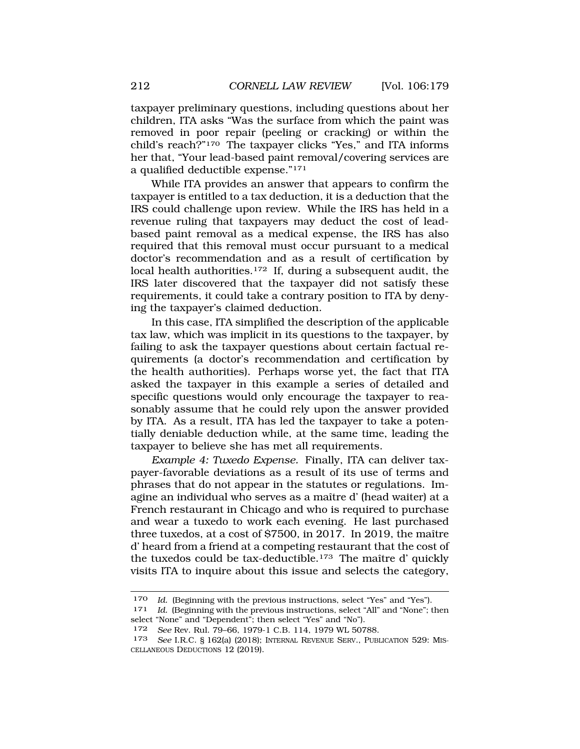taxpayer preliminary questions, including questions about her children, ITA asks "Was the surface from which the paint was removed in poor repair (peeling or cracking) or within the child's reach?"170 The taxpayer clicks "Yes," and ITA informs her that, "Your lead-based paint removal/covering services are a qualified deductible expense."171

While ITA provides an answer that appears to confirm the taxpayer is entitled to a tax deduction, it is a deduction that the IRS could challenge upon review. While the IRS has held in a revenue ruling that taxpayers may deduct the cost of leadbased paint removal as a medical expense, the IRS has also required that this removal must occur pursuant to a medical doctor's recommendation and as a result of certification by local health authorities.<sup>172</sup> If, during a subsequent audit, the IRS later discovered that the taxpayer did not satisfy these requirements, it could take a contrary position to ITA by denying the taxpayer's claimed deduction.

In this case, ITA simplified the description of the applicable tax law, which was implicit in its questions to the taxpayer, by failing to ask the taxpayer questions about certain factual requirements (a doctor's recommendation and certification by the health authorities). Perhaps worse yet, the fact that ITA asked the taxpayer in this example a series of detailed and specific questions would only encourage the taxpayer to reasonably assume that he could rely upon the answer provided by ITA. As a result, ITA has led the taxpayer to take a potentially deniable deduction while, at the same time, leading the taxpayer to believe she has met all requirements.

*Example 4: Tuxedo Expense.* Finally, ITA can deliver taxpayer-favorable deviations as a result of its use of terms and phrases that do not appear in the statutes or regulations. Imagine an individual who serves as a maître d' (head waiter) at a French restaurant in Chicago and who is required to purchase and wear a tuxedo to work each evening. He last purchased three tuxedos, at a cost of  $$7500$ , in 2017. In 2019, the maître d' heard from a friend at a competing restaurant that the cost of the tuxedos could be tax-deductible.<sup>173</sup> The maître d' quickly visits ITA to inquire about this issue and selects the category,

<sup>170</sup> *Id.* (Beginning with the previous instructions, select "Yes" and "Yes").

<sup>171</sup> *Id.* (Beginning with the previous instructions, select "All" and "None"; then select "None" and "Dependent"; then select "Yes" and "No").

<sup>172</sup> *See* Rev. Rul. 79–66, 1979-1 C.B. 114, 1979 WL 50788.

<sup>173</sup> *See* I.R.C. § 162(a) (2018); INTERNAL REVENUE SERV., PUBLICATION 529: MIS-CELLANEOUS DEDUCTIONS 12 (2019).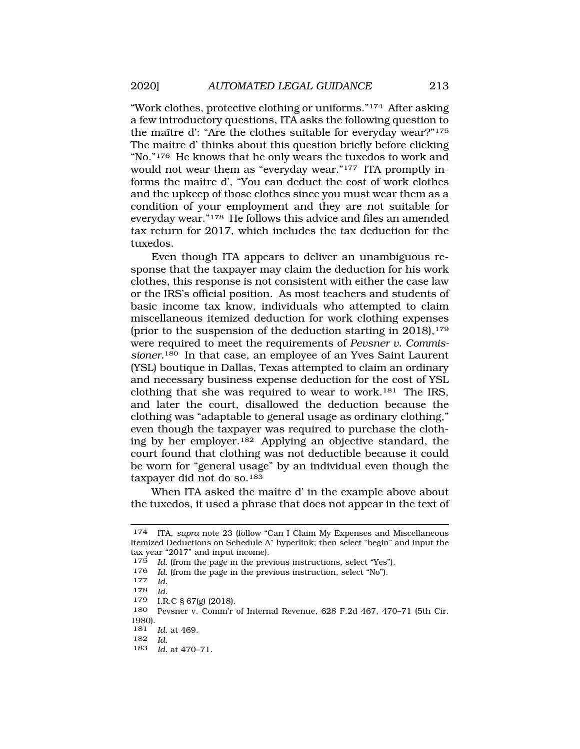"Work clothes, protective clothing or uniforms."174 After asking a few introductory questions, ITA asks the following question to the maître d': "Are the clothes suitable for everyday wear?"<sup>175</sup> The maître d' thinks about this question briefly before clicking "No."176 He knows that he only wears the tuxedos to work and would not wear them as "everyday wear."177 ITA promptly informs the maître d', "You can deduct the cost of work clothes and the upkeep of those clothes since you must wear them as a condition of your employment and they are not suitable for everyday wear."178 He follows this advice and files an amended tax return for 2017, which includes the tax deduction for the tuxedos.

Even though ITA appears to deliver an unambiguous response that the taxpayer may claim the deduction for his work clothes, this response is not consistent with either the case law or the IRS's official position. As most teachers and students of basic income tax know, individuals who attempted to claim miscellaneous itemized deduction for work clothing expenses (prior to the suspension of the deduction starting in  $2018$ ),<sup>179</sup> were required to meet the requirements of *Pevsner v. Commissioner.*180 In that case, an employee of an Yves Saint Laurent (YSL) boutique in Dallas, Texas attempted to claim an ordinary and necessary business expense deduction for the cost of YSL clothing that she was required to wear to work.181 The IRS, and later the court, disallowed the deduction because the clothing was "adaptable to general usage as ordinary clothing," even though the taxpayer was required to purchase the clothing by her employer.182 Applying an objective standard, the court found that clothing was not deductible because it could be worn for "general usage" by an individual even though the taxpayer did not do so.183

When ITA asked the maître d' in the example above about the tuxedos, it used a phrase that does not appear in the text of

- 179 I.R.C § 67(g) (2018).
- 180 Pevsner v. Comm'r of Internal Revenue, 628 F.2d 467, 470–71 (5th Cir. 1980).
- 181 *Id.* at 469.
- 182 *Id.*
- 183 *Id.* at 470–71.

<sup>174</sup> ITA, *supra* note 23 (follow "Can I Claim My Expenses and Miscellaneous Itemized Deductions on Schedule A" hyperlink; then select "begin" and input the tax year "2017" and input income).

<sup>175</sup> *Id.* (from the page in the previous instructions, select "Yes").

<sup>176</sup>*Id.* (from the page in the previous instruction, select "No"). 177 *Id.* 

<sup>178</sup> *Id.*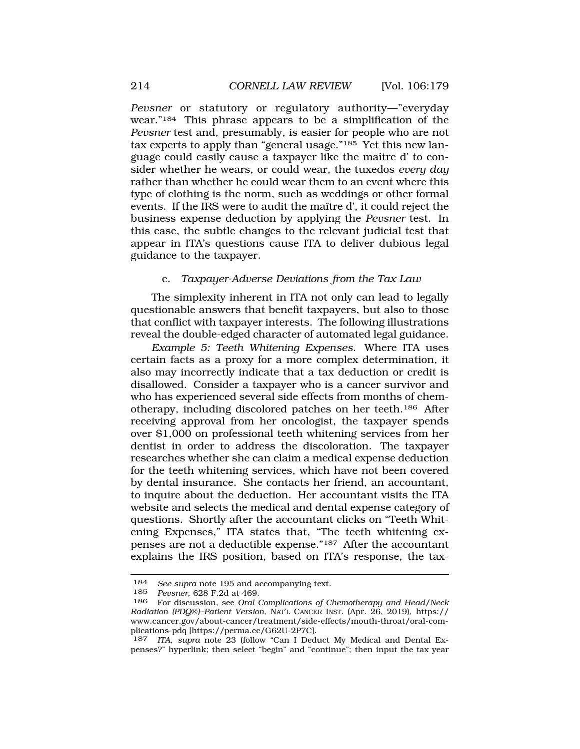<span id="page-35-0"></span>*Pevsner* or statutory or regulatory authority—"everyday wear."184 This phrase appears to be a simplification of the *Pevsner* test and, presumably, is easier for people who are not tax experts to apply than "general usage."185 Yet this new language could easily cause a taxpayer like the maître d' to consider whether he wears, or could wear, the tuxedos *every day*  rather than whether he could wear them to an event where this type of clothing is the norm, such as weddings or other formal events. If the IRS were to audit the maître d', it could reject the business expense deduction by applying the *Pevsner* test. In this case, the subtle changes to the relevant judicial test that appear in ITA's questions cause ITA to deliver dubious legal guidance to the taxpayer.

#### c. *Taxpayer-Adverse Deviations from the Tax Law*

The simplexity inherent in ITA not only can lead to legally questionable answers that benefit taxpayers, but also to those that conflict with taxpayer interests. The following illustrations reveal the double-edged character of automated legal guidance.

*Example 5: Teeth Whitening Expenses*. Where ITA uses certain facts as a proxy for a more complex determination, it also may incorrectly indicate that a tax deduction or credit is disallowed. Consider a taxpayer who is a cancer survivor and who has experienced several side effects from months of chemotherapy, including discolored patches on her teeth.186 After receiving approval from her oncologist, the taxpayer spends over \$1,000 on professional teeth whitening services from her dentist in order to address the discoloration. The taxpayer researches whether she can claim a medical expense deduction for the teeth whitening services, which have not been covered by dental insurance. She contacts her friend, an accountant, to inquire about the deduction. Her accountant visits the ITA website and selects the medical and dental expense category of questions. Shortly after the accountant clicks on "Teeth Whitening Expenses," ITA states that, "The teeth whitening expenses are not a deductible expense."187 After the accountant explains the IRS position, based on ITA's response, the tax-

<sup>184</sup> *See supra* note 195 and accompanying text.

<sup>185</sup> *Pevsner*, 628 F.2d at 469.

<sup>186</sup> For discussion, see *Oral Complications of Chemotherapy and Head/Neck Radiation (PDQ*®*)–Patient Version*, NAT'L CANCER INST. (Apr. 26, 2019), https:// <www.cancer.gov/about-cancer/treatment/side-effects/mouth-throat/oral-com>plications-pdq [\[https://perma.cc/G62U-2P7C\]](https://perma.cc/G62U-2P7C).

<sup>187</sup> *ITA*, *supra* note 23 (follow "Can I Deduct My Medical and Dental Expenses?" hyperlink; then select "begin" and "continue"; then input the tax year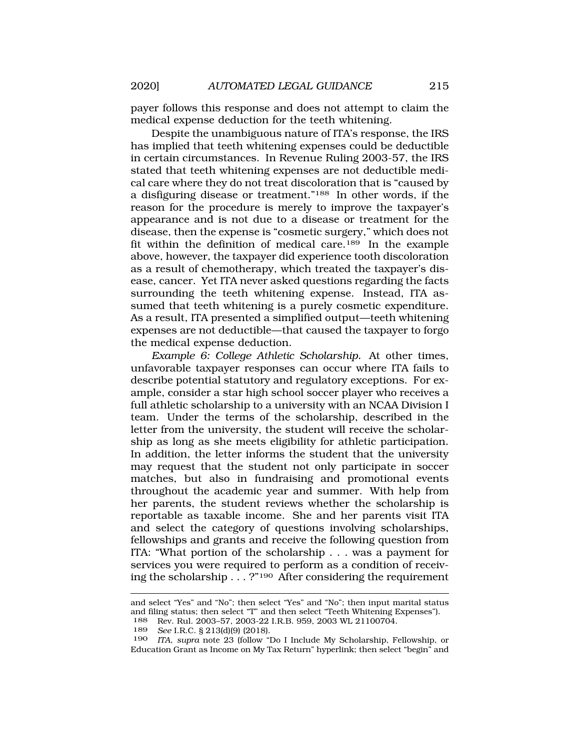payer follows this response and does not attempt to claim the medical expense deduction for the teeth whitening.

Despite the unambiguous nature of ITA's response, the IRS has implied that teeth whitening expenses could be deductible in certain circumstances. In Revenue Ruling 2003-57, the IRS stated that teeth whitening expenses are not deductible medical care where they do not treat discoloration that is "caused by a disfiguring disease or treatment."188 In other words, if the reason for the procedure is merely to improve the taxpayer's appearance and is not due to a disease or treatment for the disease, then the expense is "cosmetic surgery," which does not fit within the definition of medical care.189 In the example above, however, the taxpayer did experience tooth discoloration as a result of chemotherapy, which treated the taxpayer's disease, cancer. Yet ITA never asked questions regarding the facts surrounding the teeth whitening expense. Instead, ITA assumed that teeth whitening is a purely cosmetic expenditure. As a result, ITA presented a simplified output—teeth whitening expenses are not deductible—that caused the taxpayer to forgo the medical expense deduction.

*Example 6: College Athletic Scholarship.* At other times, unfavorable taxpayer responses can occur where ITA fails to describe potential statutory and regulatory exceptions. For example, consider a star high school soccer player who receives a full athletic scholarship to a university with an NCAA Division I team. Under the terms of the scholarship, described in the letter from the university, the student will receive the scholarship as long as she meets eligibility for athletic participation. In addition, the letter informs the student that the university may request that the student not only participate in soccer matches, but also in fundraising and promotional events throughout the academic year and summer. With help from her parents, the student reviews whether the scholarship is reportable as taxable income. She and her parents visit ITA and select the category of questions involving scholarships, fellowships and grants and receive the following question from ITA: "What portion of the scholarship . . . was a payment for services you were required to perform as a condition of receiving the scholarship . . . ?"<sup>190</sup> After considering the requirement

and select "Yes" and "No"; then select "Yes" and "No"; then input marital status and filing status; then select "T" and then select "Teeth Whitening Expenses").<br> $188$  Rev Rul 2003-57 2003-22 LR B 959 2003 WL 21100704 Rev. Rul. 2003-57, 2003-22 I.R.B. 959, 2003 WL 21100704.

<sup>189</sup> *See* I.R.C. § 213(d)(9) (2018).

<sup>190</sup> *ITA*, *supra* note 23 (follow "Do I Include My Scholarship, Fellowship, or Education Grant as Income on My Tax Return" hyperlink; then select "begin" and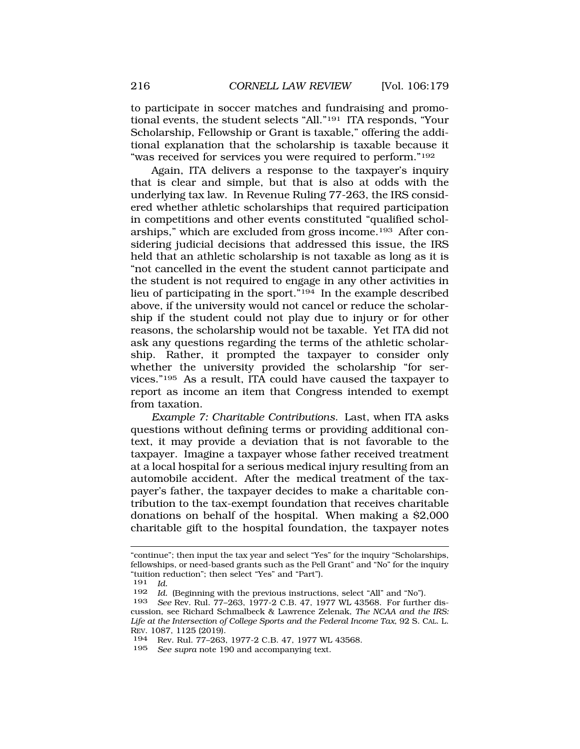to participate in soccer matches and fundraising and promotional events, the student selects "All."191 ITA responds, "Your Scholarship, Fellowship or Grant is taxable," offering the additional explanation that the scholarship is taxable because it "was received for services you were required to perform."<sup>192</sup>

Again, ITA delivers a response to the taxpayer's inquiry that is clear and simple, but that is also at odds with the underlying tax law. In Revenue Ruling 77-263, the IRS considered whether athletic scholarships that required participation in competitions and other events constituted "qualified scholarships," which are excluded from gross income.193 After considering judicial decisions that addressed this issue, the IRS held that an athletic scholarship is not taxable as long as it is "not cancelled in the event the student cannot participate and the student is not required to engage in any other activities in lieu of participating in the sport."194 In the example described above, if the university would not cancel or reduce the scholarship if the student could not play due to injury or for other reasons, the scholarship would not be taxable. Yet ITA did not ask any questions regarding the terms of the athletic scholarship. Rather, it prompted the taxpayer to consider only whether the university provided the scholarship "for services."195 As a result, ITA could have caused the taxpayer to report as income an item that Congress intended to exempt from taxation.

*Example 7: Charitable Contributions*. Last, when ITA asks questions without defining terms or providing additional context, it may provide a deviation that is not favorable to the taxpayer. Imagine a taxpayer whose father received treatment at a local hospital for a serious medical injury resulting from an automobile accident. After the medical treatment of the taxpayer's father, the taxpayer decides to make a charitable contribution to the tax-exempt foundation that receives charitable donations on behalf of the hospital. When making a \$2,000 charitable gift to the hospital foundation, the taxpayer notes

<sup>&</sup>quot;continue"; then input the tax year and select "Yes" for the inquiry "Scholarships, fellowships, or need-based grants such as the Pell Grant" and "No" for the inquiry "tuition reduction"; then select "Yes" and "Part").

<sup>191</sup> *Id.* 

<sup>192</sup> *Id.* (Beginning with the previous instructions, select "All" and "No").<br>193 *See Rev. Rul. 77-263*, 1977-2.C.B. 47, 1977 WL 43568. For further

See Rev. Rul. 77-263, 1977-2 C.B. 47, 1977 WL 43568. For further discussion, see Richard Schmalbeck & Lawrence Zelenak, *The NCAA and the IRS: Life at the Intersection of College Sports and the Federal Income Tax*, 92 S. CAL. L. REV. 1087, 1125 (2019).

<sup>194</sup> Rev. Rul. 77–263, 1977-2 C.B. 47, 1977 WL 43568.

<sup>195</sup> *See supra* note 190 and accompanying text.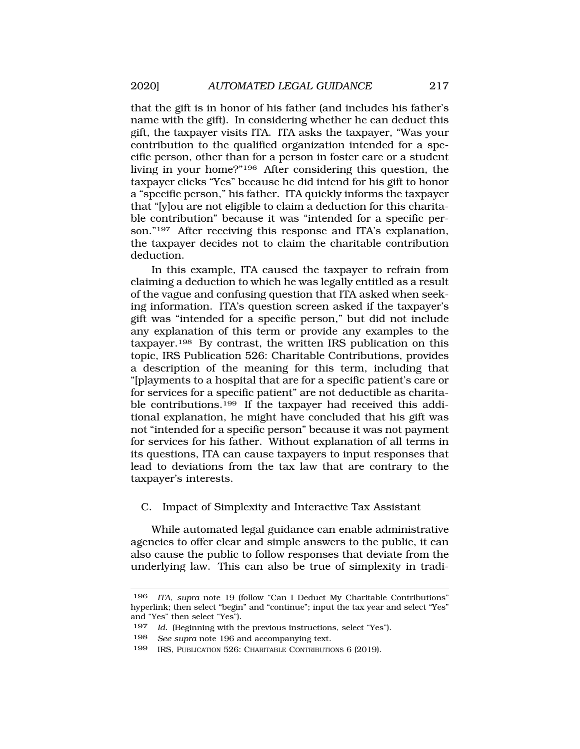that the gift is in honor of his father (and includes his father's name with the gift). In considering whether he can deduct this gift, the taxpayer visits ITA. ITA asks the taxpayer, "Was your contribution to the qualified organization intended for a specific person, other than for a person in foster care or a student living in your home?"196 After considering this question, the taxpayer clicks "Yes" because he did intend for his gift to honor a "specific person," his father. ITA quickly informs the taxpayer that "[y]ou are not eligible to claim a deduction for this charitable contribution" because it was "intended for a specific person."<sup>197</sup> After receiving this response and ITA's explanation, the taxpayer decides not to claim the charitable contribution deduction.

In this example, ITA caused the taxpayer to refrain from claiming a deduction to which he was legally entitled as a result of the vague and confusing question that ITA asked when seeking information. ITA's question screen asked if the taxpayer's gift was "intended for a specific person," but did not include any explanation of this term or provide any examples to the taxpayer.198 By contrast, the written IRS publication on this topic, IRS Publication 526: Charitable Contributions, provides a description of the meaning for this term, including that "[p]ayments to a hospital that are for a specific patient's care or for services for a specific patient" are not deductible as charitable contributions.<sup>199</sup> If the taxpayer had received this additional explanation, he might have concluded that his gift was not "intended for a specific person" because it was not payment for services for his father. Without explanation of all terms in its questions, ITA can cause taxpayers to input responses that lead to deviations from the tax law that are contrary to the taxpayer's interests.

### C. Impact of Simplexity and Interactive Tax Assistant

While automated legal guidance can enable administrative agencies to offer clear and simple answers to the public, it can also cause the public to follow responses that deviate from the underlying law. This can also be true of simplexity in tradi-

<sup>196</sup> *ITA*, *supra* note 19 (follow "Can I Deduct My Charitable Contributions" hyperlink; then select "begin" and "continue"; input the tax year and select "Yes" and "Yes" then select "Yes")*.* 

<sup>197</sup> *Id.* (Beginning with the previous instructions, select "Yes").

<sup>198</sup> *See supra* note 196 and accompanying text.

<sup>199</sup> IRS, PUBLICATION 526: CHARITABLE CONTRIBUTIONS 6 (2019).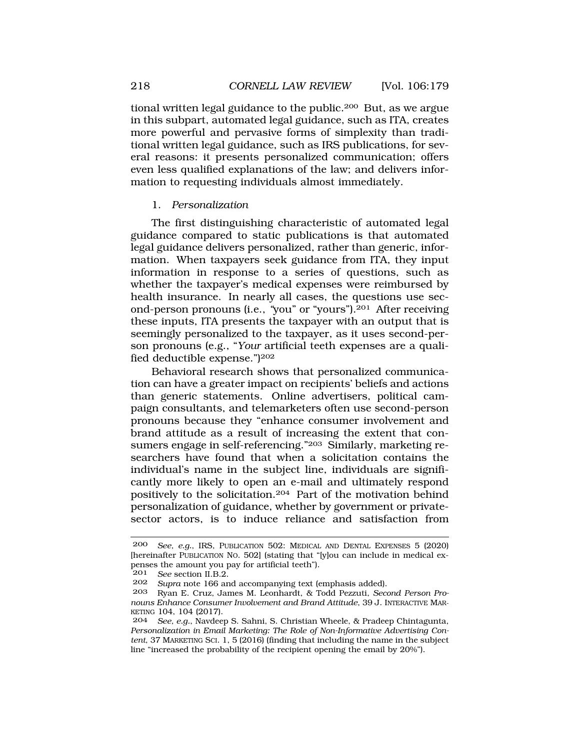<span id="page-39-0"></span>tional written legal guidance to the public.200 But, as we argue in this subpart, automated legal guidance, such as ITA, creates more powerful and pervasive forms of simplexity than traditional written legal guidance, such as IRS publications, for several reasons: it presents personalized communication; offers even less qualified explanations of the law; and delivers information to requesting individuals almost immediately.

### 1. *Personalization*

The first distinguishing characteristic of automated legal guidance compared to static publications is that automated legal guidance delivers personalized, rather than generic, information. When taxpayers seek guidance from ITA, they input information in response to a series of questions, such as whether the taxpayer's medical expenses were reimbursed by health insurance. In nearly all cases, the questions use second-person pronouns (i.e., *"*you" or "yours").201 After receiving these inputs, ITA presents the taxpayer with an output that is seemingly personalized to the taxpayer, as it uses second-person pronouns (e.g., "*Your* artificial teeth expenses are a qualified deductible expense.")202

Behavioral research shows that personalized communication can have a greater impact on recipients' beliefs and actions than generic statements. Online advertisers, political campaign consultants, and telemarketers often use second-person pronouns because they "enhance consumer involvement and brand attitude as a result of increasing the extent that consumers engage in self-referencing."203 Similarly, marketing researchers have found that when a solicitation contains the individual's name in the subject line, individuals are significantly more likely to open an e-mail and ultimately respond positively to the solicitation.204 Part of the motivation behind personalization of guidance, whether by government or privatesector actors, is to induce reliance and satisfaction from

<sup>200</sup> *See, e.g.*, IRS, PUBLICATION 502: MEDICAL AND DENTAL EXPENSES 5 (2020) [hereinafter PUBLICATION NO. 502] (stating that "[y]ou can include in medical expenses the amount you pay for artificial teeth").

<sup>201</sup> *See* section II.B.2.

<sup>202</sup> *Supra* note 166 and accompanying text (emphasis added).

<sup>203</sup> Ryan E. Cruz, James M. Leonhardt, & Todd Pezzuti, *Second Person Pronouns Enhance Consumer Involvement and Brand Attitude*, 39 J. INTERACTIVE MAR-KETING 104, 104 (2017).

<sup>204</sup> *See, e.g.*, Navdeep S. Sahni, S. Christian Wheele, & Pradeep Chintagunta, *Personalization in Email Marketing: The Role of Non-Informative Advertising Content*, 37 MARKETING SCI. 1, 5 (2016) (finding that including the name in the subject line "increased the probability of the recipient opening the email by 20%").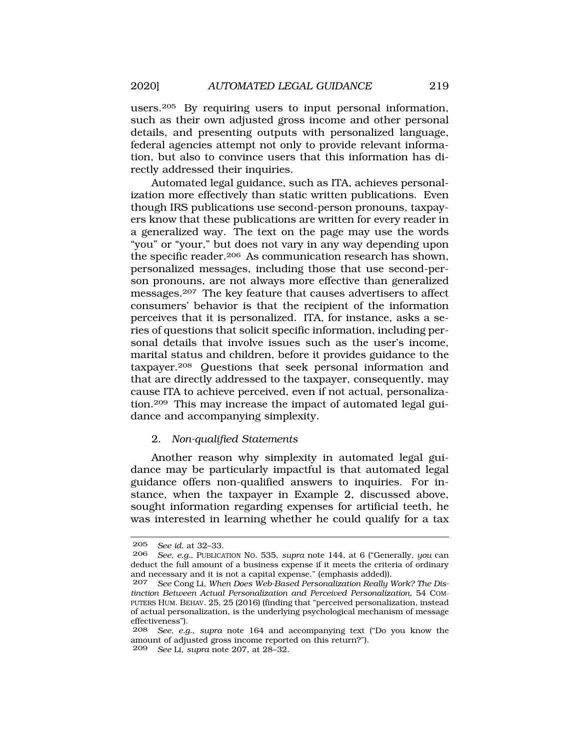users.205 By requiring users to input personal information, such as their own adjusted gross income and other personal details, and presenting outputs with personalized language, federal agencies attempt not only to provide relevant information, but also to convince users that this information has directly addressed their inquiries.

Automated legal guidance, such as ITA, achieves personalization more effectively than static written publications. Even though IRS publications use second-person pronouns, taxpayers know that these publications are written for every reader in a generalized way. The text on the page may use the words "you" or "your," but does not vary in any way depending upon the specific reader.206 As communication research has shown, personalized messages, including those that use second-person pronouns, are not always more effective than generalized messages.207 The key feature that causes advertisers to affect consumers' behavior is that the recipient of the information perceives that it is personalized. ITA, for instance, asks a series of questions that solicit specific information, including personal details that involve issues such as the user's income, marital status and children, before it provides guidance to the taxpayer.208 Questions that seek personal information and that are directly addressed to the taxpayer, consequently, may cause ITA to achieve perceived, even if not actual, personalization.209 This may increase the impact of automated legal guidance and accompanying simplexity.

#### 2. *Non-qualified Statements*

Another reason why simplexity in automated legal guidance may be particularly impactful is that automated legal guidance offers non-qualified answers to inquiries. For instance, when the taxpayer in Example 2, discussed above, sought information regarding expenses for artificial teeth, he was interested in learning whether he could qualify for a tax

<sup>205</sup> *See id.* at 32–33.

<sup>206</sup> *See, e.g.*, PUBLICATION NO. 535, *supra* note 144, at 6 ("Generally, *you* can deduct the full amount of a business expense if it meets the criteria of ordinary and necessary and it is not a capital expense." (emphasis added)).

<sup>207</sup> *See* Cong Li, *When Does Web-Based Personalization Really Work? The Distinction Between Actual Personalization and Perceived Personalization*, 54 COM-PUTERS HUM. BEHAV. 25, 25 (2016) (finding that "perceived personalization, instead of actual personalization, is the underlying psychological mechanism of message effectiveness").

<sup>208</sup> *See, e.g.*, *supra* note 164 and accompanying text ("Do you know the amount of adjusted gross income reported on this return?"). 209 *See* Li, *supra* note 207, at 28–32.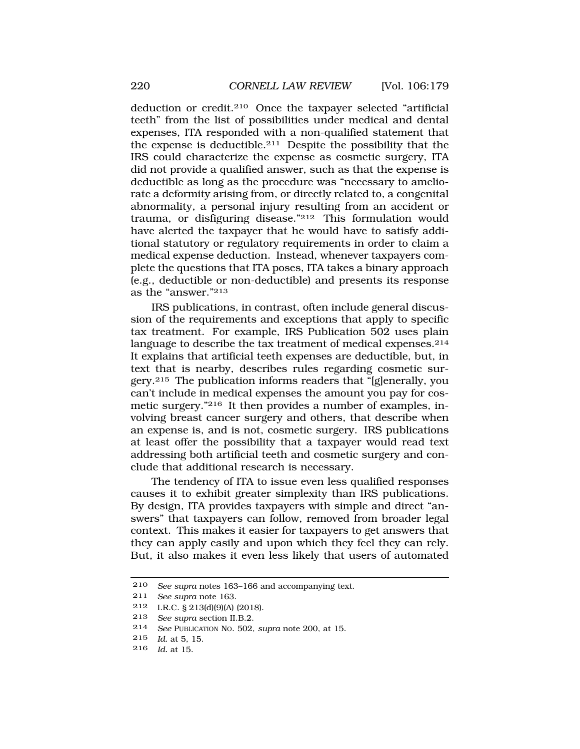deduction or credit.210 Once the taxpayer selected "artificial teeth" from the list of possibilities under medical and dental expenses, ITA responded with a non-qualified statement that the expense is deductible.211 Despite the possibility that the IRS could characterize the expense as cosmetic surgery, ITA did not provide a qualified answer, such as that the expense is deductible as long as the procedure was "necessary to ameliorate a deformity arising from, or directly related to, a congenital abnormality, a personal injury resulting from an accident or trauma, or disfiguring disease."212 This formulation would have alerted the taxpayer that he would have to satisfy additional statutory or regulatory requirements in order to claim a medical expense deduction. Instead, whenever taxpayers complete the questions that ITA poses, ITA takes a binary approach (e.g., deductible or non-deductible) and presents its response as the "answer."213

IRS publications, in contrast, often include general discussion of the requirements and exceptions that apply to specific tax treatment. For example, IRS Publication 502 uses plain language to describe the tax treatment of medical expenses.<sup>214</sup> It explains that artificial teeth expenses are deductible, but, in text that is nearby, describes rules regarding cosmetic surgery.215 The publication informs readers that "[g]enerally, you can't include in medical expenses the amount you pay for cosmetic surgery."216 It then provides a number of examples, involving breast cancer surgery and others, that describe when an expense is, and is not, cosmetic surgery. IRS publications at least offer the possibility that a taxpayer would read text addressing both artificial teeth and cosmetic surgery and conclude that additional research is necessary.

The tendency of ITA to issue even less qualified responses causes it to exhibit greater simplexity than IRS publications. By design, ITA provides taxpayers with simple and direct "answers" that taxpayers can follow, removed from broader legal context. This makes it easier for taxpayers to get answers that they can apply easily and upon which they feel they can rely. But, it also makes it even less likely that users of automated

216 *Id.* at 15.

<sup>210</sup> *See supra* notes 163–166 and accompanying text.

<sup>211</sup> *See supra* note 163.

<sup>212</sup> I.R.C. § 213(d)(9)(A) (2018).

<sup>213</sup> *See supra* section II.B.2.

<sup>214</sup> *See* PUBLICATION NO. 502, *supra* note 200, at 15.

<sup>215</sup> *Id.* at 5, 15.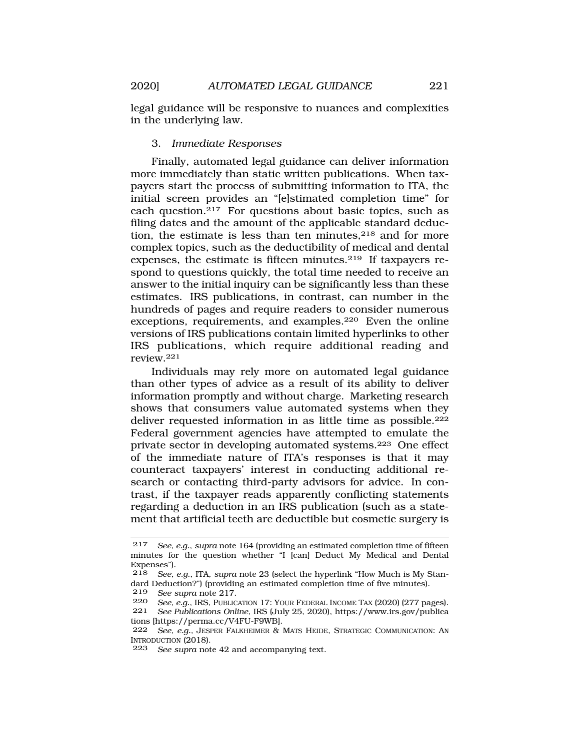legal guidance will be responsive to nuances and complexities in the underlying law.

### 3. *Immediate Responses*

Finally, automated legal guidance can deliver information more immediately than static written publications. When taxpayers start the process of submitting information to ITA, the initial screen provides an "[e]stimated completion time" for each question.217 For questions about basic topics, such as filing dates and the amount of the applicable standard deduction, the estimate is less than ten minutes, $218$  and for more complex topics, such as the deductibility of medical and dental expenses, the estimate is fifteen minutes.219 If taxpayers respond to questions quickly, the total time needed to receive an answer to the initial inquiry can be significantly less than these estimates. IRS publications, in contrast, can number in the hundreds of pages and require readers to consider numerous exceptions, requirements, and examples.220 Even the online versions of IRS publications contain limited hyperlinks to other IRS publications, which require additional reading and review.221

Individuals may rely more on automated legal guidance than other types of advice as a result of its ability to deliver information promptly and without charge. Marketing research shows that consumers value automated systems when they deliver requested information in as little time as possible.<sup>222</sup> Federal government agencies have attempted to emulate the private sector in developing automated systems.223 One effect of the immediate nature of ITA's responses is that it may counteract taxpayers' interest in conducting additional research or contacting third-party advisors for advice. In contrast, if the taxpayer reads apparently conflicting statements regarding a deduction in an IRS publication (such as a statement that artificial teeth are deductible but cosmetic surgery is

<sup>217</sup> *See, e.g.*, *supra* note 164 (providing an estimated completion time of fifteen minutes for the question whether "I [can] Deduct My Medical and Dental Expenses").

<sup>218</sup> *See, e.g.*, ITA, *supra* note 23 (select the hyperlink "How Much is My Standard Deduction?") (providing an estimated completion time of five minutes).

<sup>219</sup>*See supra* note 217*.* 220 *See, e.g.*, IRS, PUBLICATION 17: YOUR FEDERAL INCOME TAX (2020) (277 pages).

<sup>221</sup> *See Publications Online*, IRS (July 25, 2020), <https://www.irs.gov/publica> tions [<https://perma.cc/V4FU-F9WB>].

<sup>222</sup> *See, e.g.,* JESPER FALKHEIMER & MATS HEIDE, STRATEGIC COMMUNICATION: AN INTRODUCTION (2018).

<sup>223</sup> *See supra* note 42 and accompanying text.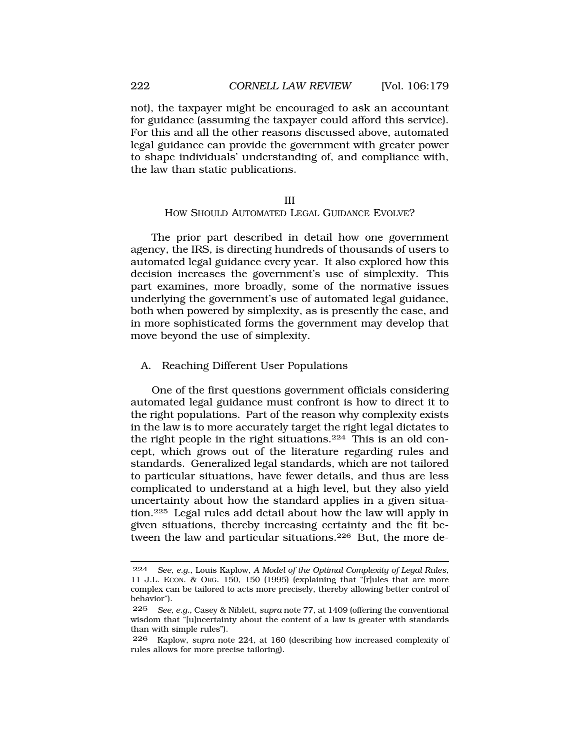not), the taxpayer might be encouraged to ask an accountant for guidance (assuming the taxpayer could afford this service). For this and all the other reasons discussed above, automated legal guidance can provide the government with greater power to shape individuals' understanding of, and compliance with, the law than static publications.

#### III HOW SHOULD AUTOMATED LEGAL GUIDANCE EVOLVE?

The prior part described in detail how one government agency, the IRS, is directing hundreds of thousands of users to automated legal guidance every year. It also explored how this decision increases the government's use of simplexity. This part examines, more broadly, some of the normative issues underlying the government's use of automated legal guidance, both when powered by simplexity, as is presently the case, and in more sophisticated forms the government may develop that move beyond the use of simplexity.

#### A. Reaching Different User Populations

One of the first questions government officials considering automated legal guidance must confront is how to direct it to the right populations. Part of the reason why complexity exists in the law is to more accurately target the right legal dictates to the right people in the right situations.224 This is an old concept, which grows out of the literature regarding rules and standards. Generalized legal standards, which are not tailored to particular situations, have fewer details, and thus are less complicated to understand at a high level, but they also yield uncertainty about how the standard applies in a given situation.225 Legal rules add detail about how the law will apply in given situations, thereby increasing certainty and the fit between the law and particular situations.226 But, the more de-

<span id="page-43-0"></span>

<sup>224</sup> *See, e.g.*, Louis Kaplow, *A Model of the Optimal Complexity of Legal Rules*, 11 J.L. ECON. & ORG. 150, 150 (1995) (explaining that "[r]ules that are more complex can be tailored to acts more precisely, thereby allowing better control of behavior").

<sup>225</sup> *See, e.g.*, Casey & Niblett, *supra* note 77, at 1409 (offering the conventional wisdom that "[u]ncertainty about the content of a law is greater with standards than with simple rules").

<sup>226</sup> Kaplow, *supra* note 224, at 160 (describing how increased complexity of rules allows for more precise tailoring).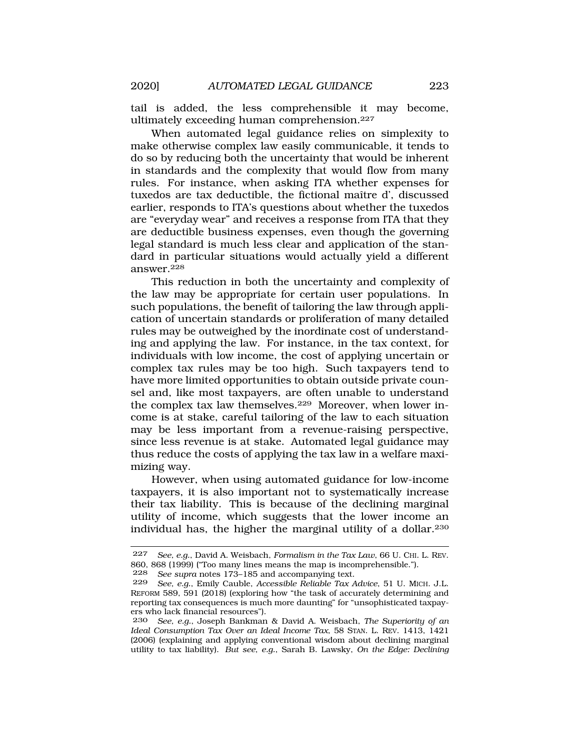tail is added, the less comprehensible it may become, ultimately exceeding human comprehension.227

When automated legal guidance relies on simplexity to make otherwise complex law easily communicable, it tends to do so by reducing both the uncertainty that would be inherent in standards and the complexity that would flow from many rules. For instance, when asking ITA whether expenses for tuxedos are tax deductible, the fictional maître d', discussed earlier, responds to ITA's questions about whether the tuxedos are "everyday wear" and receives a response from ITA that they are deductible business expenses, even though the governing legal standard is much less clear and application of the standard in particular situations would actually yield a different answer.228

This reduction in both the uncertainty and complexity of the law may be appropriate for certain user populations. In such populations, the benefit of tailoring the law through application of uncertain standards or proliferation of many detailed rules may be outweighed by the inordinate cost of understanding and applying the law. For instance, in the tax context, for individuals with low income, the cost of applying uncertain or complex tax rules may be too high. Such taxpayers tend to have more limited opportunities to obtain outside private counsel and, like most taxpayers, are often unable to understand the complex tax law themselves.229 Moreover, when lower income is at stake, careful tailoring of the law to each situation may be less important from a revenue-raising perspective, since less revenue is at stake. Automated legal guidance may thus reduce the costs of applying the tax law in a welfare maximizing way.

However, when using automated guidance for low-income taxpayers, it is also important not to systematically increase their tax liability. This is because of the declining marginal utility of income, which suggests that the lower income an individual has, the higher the marginal utility of a dollar.230

<sup>227</sup> *See, e.g.*, David A. Weisbach, *Formalism in the Tax Law*, 66 U. CHI. L. REV. 860, 868 (1999) ("Too many lines means the map is incomprehensible.").

<sup>228</sup> *See supra* notes 173–185 and accompanying text.

<sup>229</sup> *See, e.g.*, Emily Cauble, *Accessible Reliable Tax Advice*, 51 U. MICH. J.L. REFORM 589, 591 (2018) (exploring how "the task of accurately determining and reporting tax consequences is much more daunting" for "unsophisticated taxpayers who lack financial resources").

<sup>230</sup> *See, e.g.*, Joseph Bankman & David A. Weisbach, *The Superiority of an Ideal Consumption Tax Over an Ideal Income Tax*, 58 STAN. L. REV. 1413, 1421 (2006) (explaining and applying conventional wisdom about declining marginal utility to tax liability). *But see, e.g.*, Sarah B. Lawsky, *On the Edge: Declining*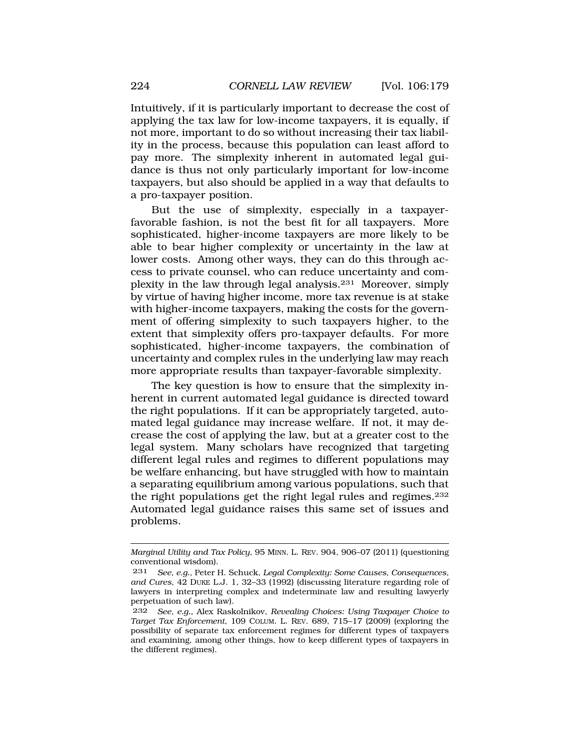Intuitively, if it is particularly important to decrease the cost of applying the tax law for low-income taxpayers, it is equally, if not more, important to do so without increasing their tax liability in the process, because this population can least afford to pay more. The simplexity inherent in automated legal guidance is thus not only particularly important for low-income taxpayers, but also should be applied in a way that defaults to a pro-taxpayer position.

But the use of simplexity, especially in a taxpayerfavorable fashion, is not the best fit for all taxpayers. More sophisticated, higher-income taxpayers are more likely to be able to bear higher complexity or uncertainty in the law at lower costs. Among other ways, they can do this through access to private counsel, who can reduce uncertainty and complexity in the law through legal analysis.231 Moreover, simply by virtue of having higher income, more tax revenue is at stake with higher-income taxpayers, making the costs for the government of offering simplexity to such taxpayers higher, to the extent that simplexity offers pro-taxpayer defaults. For more sophisticated, higher-income taxpayers, the combination of uncertainty and complex rules in the underlying law may reach more appropriate results than taxpayer-favorable simplexity.

The key question is how to ensure that the simplexity inherent in current automated legal guidance is directed toward the right populations. If it can be appropriately targeted, automated legal guidance may increase welfare. If not, it may decrease the cost of applying the law, but at a greater cost to the legal system. Many scholars have recognized that targeting different legal rules and regimes to different populations may be welfare enhancing, but have struggled with how to maintain a separating equilibrium among various populations, such that the right populations get the right legal rules and regimes.232 Automated legal guidance raises this same set of issues and problems.

*Marginal Utility and Tax Policy*, 95 MINN. L. REV. 904, 906–07 (2011) (questioning conventional wisdom).

<sup>231</sup> *See, e.g.*, Peter H. Schuck, *Legal Complexity: Some Causes, Consequences, and Cures*, 42 DUKE L.J. 1, 32–33 (1992) (discussing literature regarding role of lawyers in interpreting complex and indeterminate law and resulting lawyerly perpetuation of such law).

<sup>232</sup> *See, e.g.*, Alex Raskolnikov, *Revealing Choices: Using Taxpayer Choice to Target Tax Enforcement*, 109 COLUM. L. REV. 689, 715–17 (2009) (exploring the possibility of separate tax enforcement regimes for different types of taxpayers and examining, among other things, how to keep different types of taxpayers in the different regimes).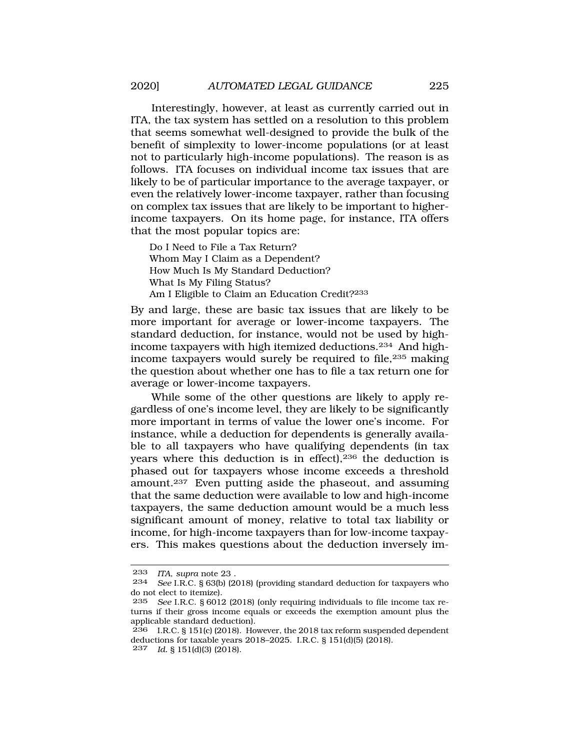Interestingly, however, at least as currently carried out in ITA, the tax system has settled on a resolution to this problem that seems somewhat well-designed to provide the bulk of the benefit of simplexity to lower-income populations (or at least not to particularly high-income populations). The reason is as follows. ITA focuses on individual income tax issues that are likely to be of particular importance to the average taxpayer, or even the relatively lower-income taxpayer, rather than focusing on complex tax issues that are likely to be important to higherincome taxpayers. On its home page, for instance, ITA offers that the most popular topics are:

Do I Need to File a Tax Return? Whom May I Claim as a Dependent? How Much Is My Standard Deduction? What Is My Filing Status? Am I Eligible to Claim an Education Credit?233

By and large, these are basic tax issues that are likely to be more important for average or lower-income taxpayers. The standard deduction, for instance, would not be used by highincome taxpayers with high itemized deductions.234 And highincome taxpayers would surely be required to file,<sup>235</sup> making the question about whether one has to file a tax return one for average or lower-income taxpayers.

While some of the other questions are likely to apply regardless of one's income level, they are likely to be significantly more important in terms of value the lower one's income. For instance, while a deduction for dependents is generally available to all taxpayers who have qualifying dependents (in tax years where this deduction is in effect), $236$  the deduction is phased out for taxpayers whose income exceeds a threshold amount.237 Even putting aside the phaseout, and assuming that the same deduction were available to low and high-income taxpayers, the same deduction amount would be a much less significant amount of money, relative to total tax liability or income, for high-income taxpayers than for low-income taxpayers. This makes questions about the deduction inversely im-

<sup>233</sup> *ITA*, *supra* note 23 .

<sup>234</sup> *See* I.R.C. § 63(b) (2018) (providing standard deduction for taxpayers who do not elect to itemize).<br>235 See LR.C. 86019

See I.R.C. § 6012 (2018) (only requiring individuals to file income tax returns if their gross income equals or exceeds the exemption amount plus the applicable standard deduction).

 $236$  I.R.C. § 151(c) (2018). However, the 2018 tax reform suspended dependent deductions for taxable years 2018–2025. I.R.C. § 151(d)(5) (2018). 237 *Id.* § 151(d)(3) (2018).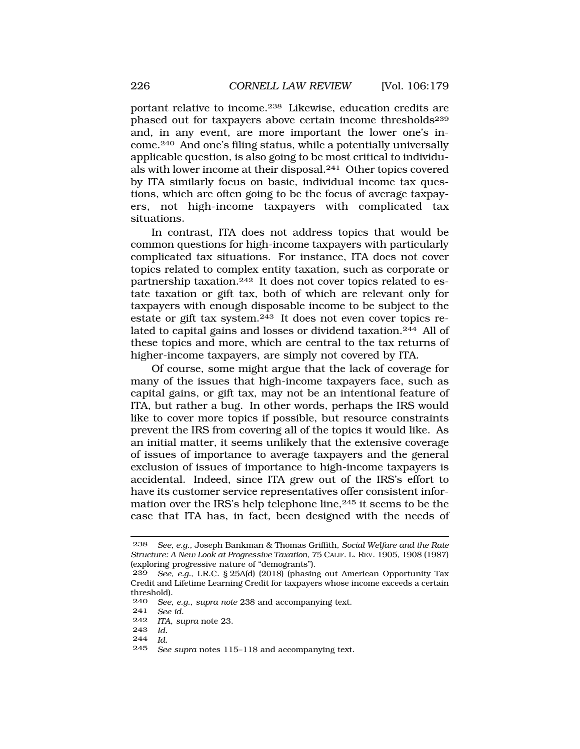portant relative to income.238 Likewise, education credits are phased out for taxpayers above certain income thresholds<sup>239</sup> and, in any event, are more important the lower one's income.240 And one's filing status, while a potentially universally applicable question, is also going to be most critical to individuals with lower income at their disposal.241 Other topics covered by ITA similarly focus on basic, individual income tax questions, which are often going to be the focus of average taxpayers, not high-income taxpayers with complicated tax situations.

In contrast, ITA does not address topics that would be common questions for high-income taxpayers with particularly complicated tax situations. For instance, ITA does not cover topics related to complex entity taxation, such as corporate or partnership taxation.242 It does not cover topics related to estate taxation or gift tax, both of which are relevant only for taxpayers with enough disposable income to be subject to the estate or gift tax system.243 It does not even cover topics related to capital gains and losses or dividend taxation.<sup>244</sup> All of these topics and more, which are central to the tax returns of higher-income taxpayers, are simply not covered by ITA.

Of course, some might argue that the lack of coverage for many of the issues that high-income taxpayers face, such as capital gains, or gift tax, may not be an intentional feature of ITA, but rather a bug. In other words, perhaps the IRS would like to cover more topics if possible, but resource constraints prevent the IRS from covering all of the topics it would like. As an initial matter, it seems unlikely that the extensive coverage of issues of importance to average taxpayers and the general exclusion of issues of importance to high-income taxpayers is accidental. Indeed, since ITA grew out of the IRS's effort to have its customer service representatives offer consistent information over the IRS's help telephone line,245 it seems to be the case that ITA has, in fact, been designed with the needs of

- 243 *Id.*
- $\frac{244}{245}$  *Id.*

<sup>238</sup> *See, e.g.*, Joseph Bankman & Thomas Griffith, *Social Welfare and the Rate Structure: A New Look at Progressive Taxation*, 75 CALIF. L. REV. 1905, 1908 (1987) (exploring progressive nature of "demogrants").

<sup>239</sup> *See, e.g.*, I.R.C. § 25A(d) (2018) (phasing out American Opportunity Tax Credit and Lifetime Learning Credit for taxpayers whose income exceeds a certain threshold).<br> $240$  See

See, e.g., supra note 238 and accompanying text.

<sup>241</sup> *See id.* 

*ITA*, *supra* note 23.

See supra notes 115–118 and accompanying text.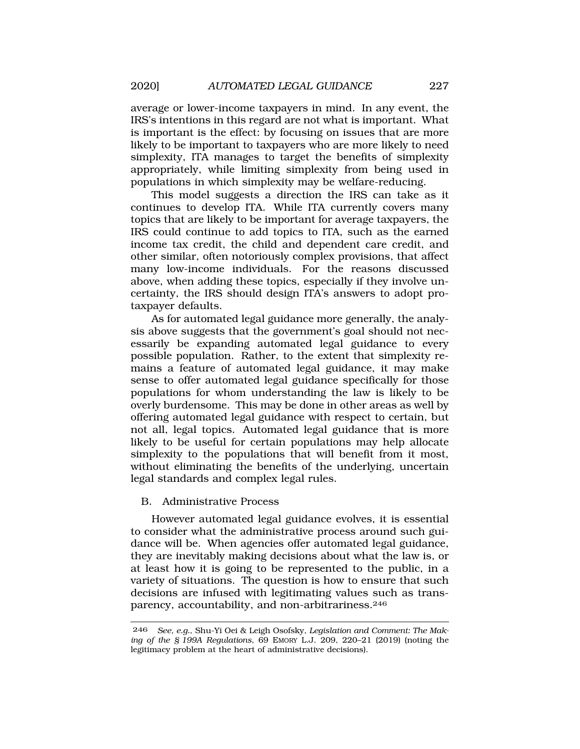average or lower-income taxpayers in mind. In any event, the IRS's intentions in this regard are not what is important. What is important is the effect: by focusing on issues that are more likely to be important to taxpayers who are more likely to need simplexity, ITA manages to target the benefits of simplexity appropriately, while limiting simplexity from being used in populations in which simplexity may be welfare-reducing.

This model suggests a direction the IRS can take as it continues to develop ITA. While ITA currently covers many topics that are likely to be important for average taxpayers, the IRS could continue to add topics to ITA, such as the earned income tax credit, the child and dependent care credit, and other similar, often notoriously complex provisions, that affect many low-income individuals. For the reasons discussed above, when adding these topics, especially if they involve uncertainty, the IRS should design ITA's answers to adopt protaxpayer defaults.

As for automated legal guidance more generally, the analysis above suggests that the government's goal should not necessarily be expanding automated legal guidance to every possible population. Rather, to the extent that simplexity remains a feature of automated legal guidance, it may make sense to offer automated legal guidance specifically for those populations for whom understanding the law is likely to be overly burdensome. This may be done in other areas as well by offering automated legal guidance with respect to certain, but not all, legal topics. Automated legal guidance that is more likely to be useful for certain populations may help allocate simplexity to the populations that will benefit from it most, without eliminating the benefits of the underlying, uncertain legal standards and complex legal rules.

## B. Administrative Process

However automated legal guidance evolves, it is essential to consider what the administrative process around such guidance will be. When agencies offer automated legal guidance, they are inevitably making decisions about what the law is, or at least how it is going to be represented to the public, in a variety of situations. The question is how to ensure that such decisions are infused with legitimating values such as transparency, accountability, and non-arbitrariness.<sup>246</sup>

<sup>246</sup> *See, e.g.*, Shu-Yi Oei & Leigh Osofsky, *Legislation and Comment: The Making of the § 199A Regulations*, 69 EMORY L.J. 209, 220–21 (2019) (noting the legitimacy problem at the heart of administrative decisions).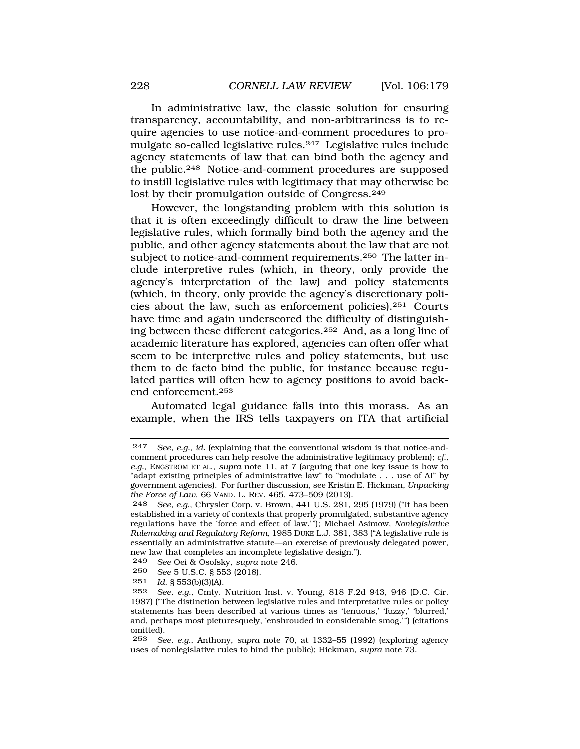In administrative law, the classic solution for ensuring transparency, accountability, and non-arbitrariness is to require agencies to use notice-and-comment procedures to promulgate so-called legislative rules.247 Legislative rules include agency statements of law that can bind both the agency and the public.248 Notice-and-comment procedures are supposed to instill legislative rules with legitimacy that may otherwise be lost by their promulgation outside of Congress.<sup>249</sup>

However, the longstanding problem with this solution is that it is often exceedingly difficult to draw the line between legislative rules, which formally bind both the agency and the public, and other agency statements about the law that are not subject to notice-and-comment requirements.250 The latter include interpretive rules (which, in theory, only provide the agency's interpretation of the law) and policy statements (which, in theory, only provide the agency's discretionary policies about the law, such as enforcement policies).251 Courts have time and again underscored the difficulty of distinguishing between these different categories.252 And, as a long line of academic literature has explored, agencies can often offer what seem to be interpretive rules and policy statements, but use them to de facto bind the public, for instance because regulated parties will often hew to agency positions to avoid backend enforcement.253

Automated legal guidance falls into this morass. As an example, when the IRS tells taxpayers on ITA that artificial

<sup>247</sup> *See, e.g.*, *id.* (explaining that the conventional wisdom is that notice-andcomment procedures can help resolve the administrative legitimacy problem); *cf., e.g.*, ENGSTROM ET AL., *supra* note 11, at 7 (arguing that one key issue is how to "adapt existing principles of administrative law" to "modulate . . . use of AI" by government agencies). For further discussion, see Kristin E. Hickman, *Unpacking the Force of Law*, 66 VAND. L. REV. 465, 473–509 (2013).

<sup>248</sup> *See, e.g.*, Chrysler Corp. v. Brown, 441 U.S. 281, 295 (1979) ("It has been established in a variety of contexts that properly promulgated, substantive agency regulations have the 'force and effect of law.'"); Michael Asimow, *Nonlegislative Rulemaking and Regulatory Reform*, 1985 DUKE L.J. 381, 383 ("A legislative rule is essentially an administrative statute—an exercise of previously delegated power, new law that completes an incomplete legislative design.").

<sup>249</sup> *See* Oei & Osofsky, *supra* note 246.

<sup>250</sup> *See* 5 U.S.C. § 553 (2018).

<sup>251</sup> *Id.* § 553(b)(3)(A).

<sup>252</sup> *See, e.g.*, Cmty. Nutrition Inst. v. Young, 818 F.2d 943, 946 (D.C. Cir. 1987) ("The distinction between legislative rules and interpretative rules or policy statements has been described at various times as 'tenuous,' 'fuzzy,' 'blurred,' and, perhaps most picturesquely, 'enshrouded in considerable smog.'") (citations omitted).

<sup>253</sup> *See, e.g.*, Anthony, *supra* note 70, at 1332–55 (1992) (exploring agency uses of nonlegislative rules to bind the public); Hickman*, supra* note 73.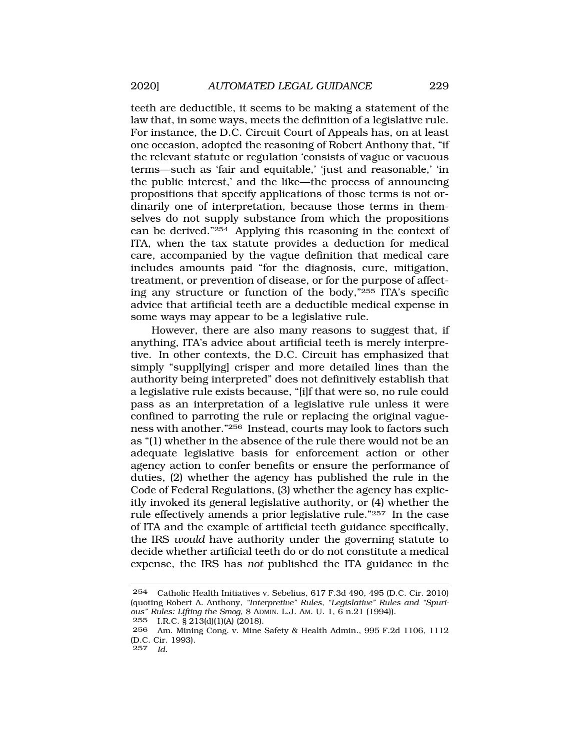teeth are deductible, it seems to be making a statement of the law that, in some ways, meets the definition of a legislative rule. For instance, the D.C. Circuit Court of Appeals has, on at least one occasion, adopted the reasoning of Robert Anthony that, "if the relevant statute or regulation 'consists of vague or vacuous terms—such as 'fair and equitable,' 'just and reasonable,' 'in the public interest,' and the like—the process of announcing propositions that specify applications of those terms is not ordinarily one of interpretation, because those terms in themselves do not supply substance from which the propositions can be derived."254 Applying this reasoning in the context of ITA, when the tax statute provides a deduction for medical care, accompanied by the vague definition that medical care includes amounts paid "for the diagnosis, cure, mitigation, treatment, or prevention of disease, or for the purpose of affecting any structure or function of the body,"255 ITA's specific advice that artificial teeth are a deductible medical expense in some ways may appear to be a legislative rule.

However, there are also many reasons to suggest that, if anything, ITA's advice about artificial teeth is merely interpretive. In other contexts, the D.C. Circuit has emphasized that simply "suppl[ying] crisper and more detailed lines than the authority being interpreted" does not definitively establish that a legislative rule exists because, "[i]f that were so, no rule could pass as an interpretation of a legislative rule unless it were confined to parroting the rule or replacing the original vagueness with another."256 Instead, courts may look to factors such as "(1) whether in the absence of the rule there would not be an adequate legislative basis for enforcement action or other agency action to confer benefits or ensure the performance of duties, (2) whether the agency has published the rule in the Code of Federal Regulations, (3) whether the agency has explicitly invoked its general legislative authority, or (4) whether the rule effectively amends a prior legislative rule."257 In the case of ITA and the example of artificial teeth guidance specifically, the IRS *would* have authority under the governing statute to decide whether artificial teeth do or do not constitute a medical expense, the IRS has *not* published the ITA guidance in the

<sup>254</sup> Catholic Health Initiatives v. Sebelius, 617 F.3d 490, 495 (D.C. Cir. 2010) (quoting Robert A. Anthony, *"Interpretive" Rules, "Legislative" Rules and "Spurious" Rules: Lifting the Smog*, 8 ADMIN. L.J. AM. U. 1, 6 n.21 (1994)).

<sup>255</sup> I.R.C. § 213(d)(1)(A) (2018).

<sup>256</sup> Am. Mining Cong. v. Mine Safety & Health Admin., 995 F.2d 1106, 1112 (D.C. Cir. 1993).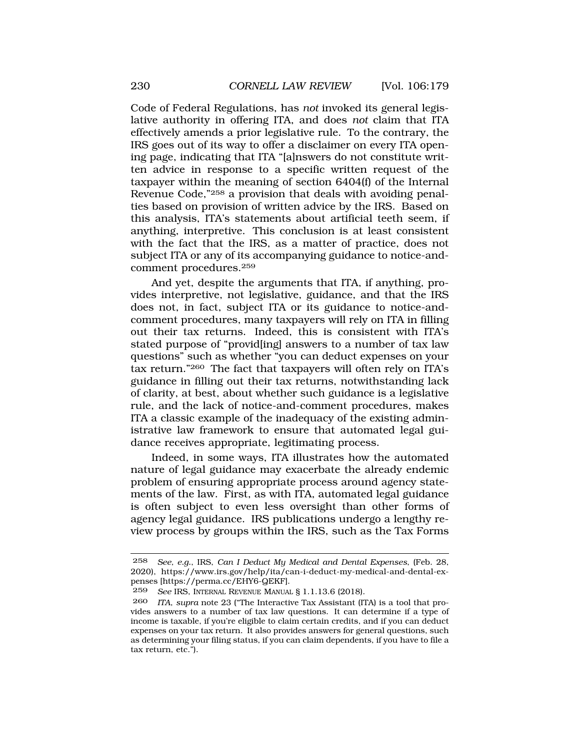Code of Federal Regulations, has *not* invoked its general legislative authority in offering ITA, and does *not* claim that ITA effectively amends a prior legislative rule. To the contrary, the IRS goes out of its way to offer a disclaimer on every ITA opening page, indicating that ITA "[a]nswers do not constitute written advice in response to a specific written request of the taxpayer within the meaning of section 6404(f) of the Internal Revenue Code,"258 a provision that deals with avoiding penalties based on provision of written advice by the IRS. Based on this analysis, ITA's statements about artificial teeth seem, if anything, interpretive. This conclusion is at least consistent with the fact that the IRS, as a matter of practice, does not subject ITA or any of its accompanying guidance to notice-andcomment procedures.259

And yet, despite the arguments that ITA, if anything, provides interpretive, not legislative, guidance, and that the IRS does not, in fact, subject ITA or its guidance to notice-andcomment procedures, many taxpayers will rely on ITA in filling out their tax returns. Indeed, this is consistent with ITA's stated purpose of "provid[ing] answers to a number of tax law questions" such as whether "you can deduct expenses on your tax return."260 The fact that taxpayers will often rely on ITA's guidance in filling out their tax returns, notwithstanding lack of clarity, at best, about whether such guidance is a legislative rule, and the lack of notice-and-comment procedures, makes ITA a classic example of the inadequacy of the existing administrative law framework to ensure that automated legal guidance receives appropriate, legitimating process.

Indeed, in some ways, ITA illustrates how the automated nature of legal guidance may exacerbate the already endemic problem of ensuring appropriate process around agency statements of the law. First, as with ITA, automated legal guidance is often subject to even less oversight than other forms of agency legal guidance. IRS publications undergo a lengthy review process by groups within the IRS, such as the Tax Forms

<sup>258</sup> *See, e.g.*, IRS, *Can I Deduct My Medical and Dental Expenses*, (Feb. 28, 2020), <https://www.irs.gov/help/ita/can-i-deduct-my-medical-and-dental-ex>penses [<https://perma.cc/EHY6-QEKF>].

<sup>259</sup> *See* IRS, INTERNAL REVENUE MANUAL § 1.1.13.6 (2018).

<sup>260</sup> *ITA*, *supra* note 23 ("The Interactive Tax Assistant (ITA) is a tool that provides answers to a number of tax law questions. It can determine if a type of income is taxable, if you're eligible to claim certain credits, and if you can deduct expenses on your tax return. It also provides answers for general questions, such as determining your filing status, if you can claim dependents, if you have to file a tax return, etc.").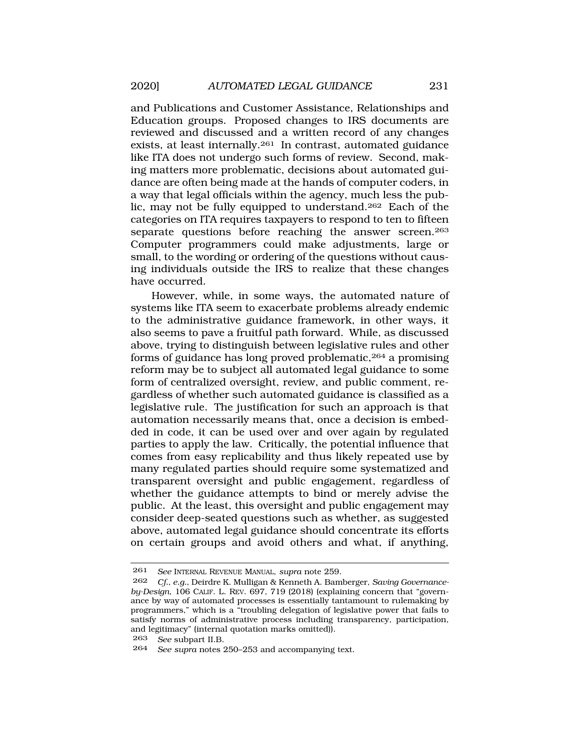and Publications and Customer Assistance, Relationships and Education groups. Proposed changes to IRS documents are reviewed and discussed and a written record of any changes exists, at least internally.261 In contrast, automated guidance like ITA does not undergo such forms of review. Second, making matters more problematic, decisions about automated guidance are often being made at the hands of computer coders, in a way that legal officials within the agency, much less the public, may not be fully equipped to understand.262 Each of the categories on ITA requires taxpayers to respond to ten to fifteen separate questions before reaching the answer screen.<sup>263</sup> Computer programmers could make adjustments, large or small, to the wording or ordering of the questions without causing individuals outside the IRS to realize that these changes have occurred.

However, while, in some ways, the automated nature of systems like ITA seem to exacerbate problems already endemic to the administrative guidance framework, in other ways, it also seems to pave a fruitful path forward. While, as discussed above, trying to distinguish between legislative rules and other forms of guidance has long proved problematic,264 a promising reform may be to subject all automated legal guidance to some form of centralized oversight, review, and public comment, regardless of whether such automated guidance is classified as a legislative rule. The justification for such an approach is that automation necessarily means that, once a decision is embedded in code, it can be used over and over again by regulated parties to apply the law. Critically, the potential influence that comes from easy replicability and thus likely repeated use by many regulated parties should require some systematized and transparent oversight and public engagement, regardless of whether the guidance attempts to bind or merely advise the public. At the least, this oversight and public engagement may consider deep-seated questions such as whether, as suggested above, automated legal guidance should concentrate its efforts on certain groups and avoid others and what, if anything,

<sup>261</sup> *See* INTERNAL REVENUE MANUAL, *supra* note 259.

<sup>262</sup> *Cf., e.g.*, Deirdre K. Mulligan & Kenneth A. Bamberger, *Saving Governanceby-Design*, 106 CALIF. L. REV. 697, 719 (2018) (explaining concern that "governance by way of automated processes is essentially tantamount to rulemaking by programmers," which is a "troubling delegation of legislative power that fails to satisfy norms of administrative process including transparency, participation, and legitimacy" (internal quotation marks omitted)).

<sup>263</sup> *See* subpart II.B.

<sup>264</sup> *See supra* notes 250–253 and accompanying text.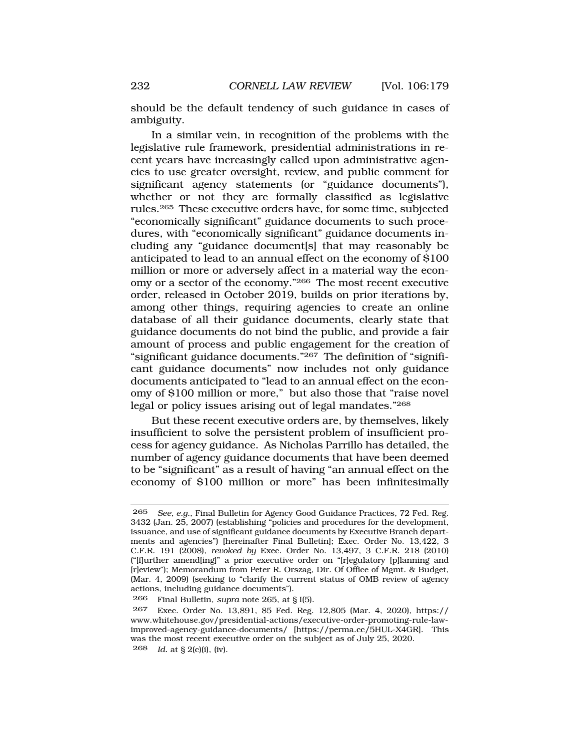should be the default tendency of such guidance in cases of ambiguity.

In a similar vein, in recognition of the problems with the legislative rule framework, presidential administrations in recent years have increasingly called upon administrative agencies to use greater oversight, review, and public comment for significant agency statements (or "guidance documents"), whether or not they are formally classified as legislative rules.265 These executive orders have, for some time, subjected "economically significant" guidance documents to such procedures, with "economically significant" guidance documents including any "guidance document[s] that may reasonably be anticipated to lead to an annual effect on the economy of \$100 million or more or adversely affect in a material way the economy or a sector of the economy."266 The most recent executive order, released in October 2019, builds on prior iterations by, among other things, requiring agencies to create an online database of all their guidance documents, clearly state that guidance documents do not bind the public, and provide a fair amount of process and public engagement for the creation of "significant guidance documents."267 The definition of "significant guidance documents" now includes not only guidance documents anticipated to "lead to an annual effect on the economy of \$100 million or more," but also those that "raise novel legal or policy issues arising out of legal mandates."268

But these recent executive orders are, by themselves, likely insufficient to solve the persistent problem of insufficient process for agency guidance. As Nicholas Parrillo has detailed, the number of agency guidance documents that have been deemed to be "significant" as a result of having "an annual effect on the economy of \$100 million or more" has been infinitesimally

<sup>265</sup> *See, e.g.*, Final Bulletin for Agency Good Guidance Practices, 72 Fed. Reg. 3432 (Jan. 25, 2007) (establishing "policies and procedures for the development, issuance, and use of significant guidance documents by Executive Branch departments and agencies") [hereinafter Final Bulletin]; Exec. Order No. 13,422, 3 C.F.R. 191 (2008), *revoked by* Exec. Order No. 13,497, 3 C.F.R. 218 (2010) ("[f]urther amend[ing]" a prior executive order on "[r]egulatory [p]lanning and [r]eview"); Memorandum from Peter R. Orszag, Dir. Of Office of Mgmt. & Budget, (Mar. 4, 2009) (seeking to "clarify the current status of OMB review of agency actions, including guidance documents").

<sup>266</sup> Final Bulletin, *supra* note 265, at § I(5).

<sup>267</sup> Exec. Order No. 13,891, 85 Fed. Reg. 12,805 (Mar. 4, 2020), https:// <www.whitehouse.gov/presidential-actions/executive-order-promoting-rule-law>improved-agency-guidance-documents/ [[https://perma.cc/5HUL-X4GR\]](https://perma.cc/5HUL-X4GR). This was the most recent executive order on the subject as of July 25, 2020. 268 *Id.* at § 2(c)(i), (iv).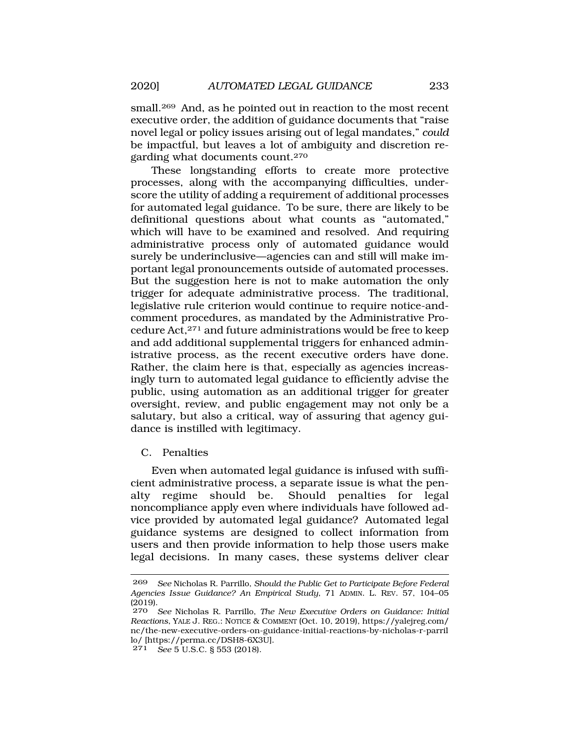small.<sup>269</sup> And, as he pointed out in reaction to the most recent executive order, the addition of guidance documents that "raise novel legal or policy issues arising out of legal mandates," *could*  be impactful, but leaves a lot of ambiguity and discretion regarding what documents count.270

These longstanding efforts to create more protective processes, along with the accompanying difficulties, underscore the utility of adding a requirement of additional processes for automated legal guidance. To be sure, there are likely to be definitional questions about what counts as "automated," which will have to be examined and resolved. And requiring administrative process only of automated guidance would surely be underinclusive—agencies can and still will make important legal pronouncements outside of automated processes. But the suggestion here is not to make automation the only trigger for adequate administrative process. The traditional, legislative rule criterion would continue to require notice-andcomment procedures, as mandated by the Administrative Procedure Act,271 and future administrations would be free to keep and add additional supplemental triggers for enhanced administrative process, as the recent executive orders have done. Rather, the claim here is that, especially as agencies increasingly turn to automated legal guidance to efficiently advise the public, using automation as an additional trigger for greater oversight, review, and public engagement may not only be a salutary, but also a critical, way of assuring that agency guidance is instilled with legitimacy.

C. Penalties

Even when automated legal guidance is infused with sufficient administrative process, a separate issue is what the penalty regime should be. Should penalties for legal noncompliance apply even where individuals have followed advice provided by automated legal guidance? Automated legal guidance systems are designed to collect information from users and then provide information to help those users make legal decisions. In many cases, these systems deliver clear

<sup>269</sup> *See* Nicholas R. Parrillo, *Should the Public Get to Participate Before Federal Agencies Issue Guidance? An Empirical Study*, 71 ADMIN. L. REV. 57, 104–05 (2019).

<sup>270</sup> *See* Nicholas R. Parrillo, *The New Executive Orders on Guidance: Initial Reactions*, YALE J. REG.: NOTICE & COMMENT (Oct. 10, 2019), [https://yalejreg.com/](https://yalejreg.com) nc/the-new-executive-orders-on-guidance-initial-reactions-by-nicholas-r-parril lo/ [[https://perma.cc/DSH8-6X3U\]](https://perma.cc/DSH8-6X3U).

<sup>271</sup> *See* 5 U.S.C. § 553 (2018).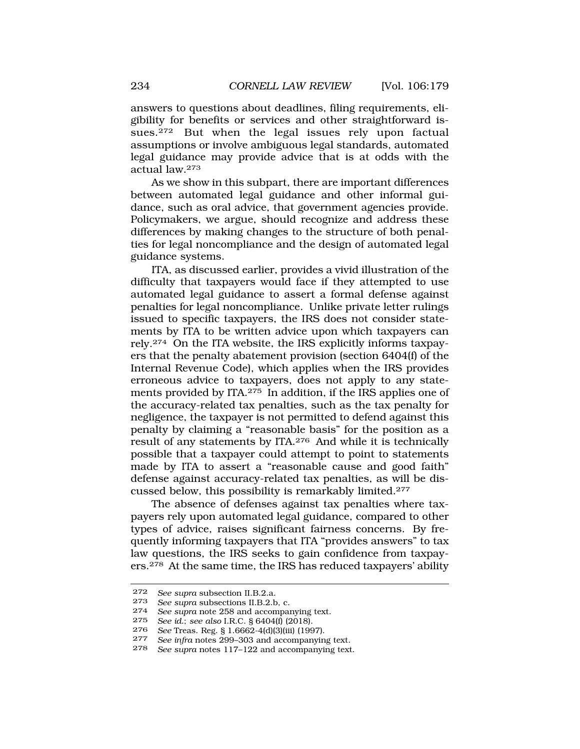answers to questions about deadlines, filing requirements, eligibility for benefits or services and other straightforward issues.272 But when the legal issues rely upon factual assumptions or involve ambiguous legal standards, automated legal guidance may provide advice that is at odds with the actual law.273

As we show in this subpart, there are important differences between automated legal guidance and other informal guidance, such as oral advice, that government agencies provide. Policymakers, we argue, should recognize and address these differences by making changes to the structure of both penalties for legal noncompliance and the design of automated legal guidance systems.

ITA, as discussed earlier, provides a vivid illustration of the difficulty that taxpayers would face if they attempted to use automated legal guidance to assert a formal defense against penalties for legal noncompliance. Unlike private letter rulings issued to specific taxpayers, the IRS does not consider statements by ITA to be written advice upon which taxpayers can rely.274 On the ITA website, the IRS explicitly informs taxpayers that the penalty abatement provision (section 6404(f) of the Internal Revenue Code), which applies when the IRS provides erroneous advice to taxpayers, does not apply to any statements provided by ITA.275 In addition, if the IRS applies one of the accuracy-related tax penalties, such as the tax penalty for negligence, the taxpayer is not permitted to defend against this penalty by claiming a "reasonable basis" for the position as a result of any statements by ITA.276 And while it is technically possible that a taxpayer could attempt to point to statements made by ITA to assert a "reasonable cause and good faith" defense against accuracy-related tax penalties, as will be discussed below, this possibility is remarkably limited.277

The absence of defenses against tax penalties where taxpayers rely upon automated legal guidance, compared to other types of advice, raises significant fairness concerns. By frequently informing taxpayers that ITA "provides answers" to tax law questions, the IRS seeks to gain confidence from taxpayers.278 At the same time, the IRS has reduced taxpayers' ability

<sup>272</sup>*See supra* subsection II.B.2.a*.* 273 *See supra* subsections II.B.2.b, c.

<sup>274</sup> *See supra* note 258 and accompanying text.<br>275 *See id: see also* LRC 8 6404(f) (2018)

<sup>275</sup> *See id.*; *see also* I.R.C. § 6404(f) (2018).

<sup>276</sup> *See* Treas. Reg. § 1.6662-4(d)(3)(iii) (1997).

<sup>277</sup> *See infra* notes 299–303 and accompanying text.

See supra notes 117–122 and accompanying text.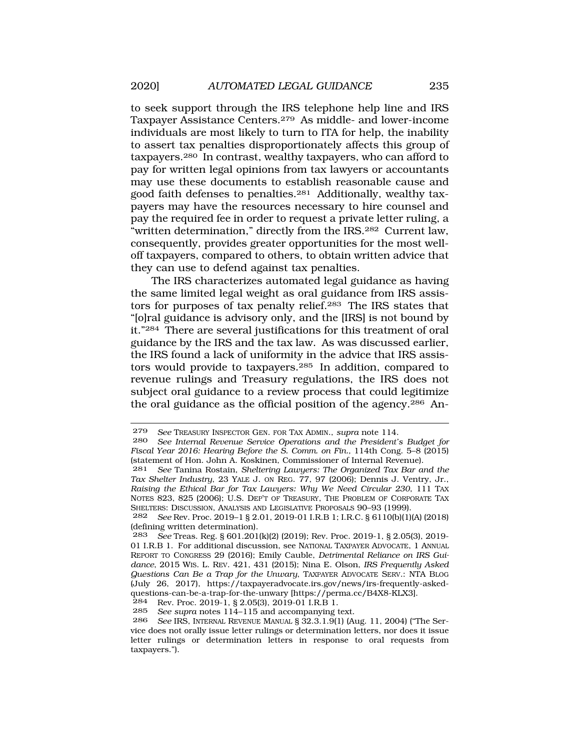to seek support through the IRS telephone help line and IRS Taxpayer Assistance Centers.279 As middle- and lower-income individuals are most likely to turn to ITA for help, the inability to assert tax penalties disproportionately affects this group of taxpayers.280 In contrast, wealthy taxpayers, who can afford to pay for written legal opinions from tax lawyers or accountants may use these documents to establish reasonable cause and good faith defenses to penalties.281 Additionally, wealthy taxpayers may have the resources necessary to hire counsel and pay the required fee in order to request a private letter ruling, a "written determination," directly from the IRS.282 Current law, consequently, provides greater opportunities for the most welloff taxpayers, compared to others, to obtain written advice that they can use to defend against tax penalties.

The IRS characterizes automated legal guidance as having the same limited legal weight as oral guidance from IRS assistors for purposes of tax penalty relief.283 The IRS states that "[o]ral guidance is advisory only, and the [IRS] is not bound by it."284 There are several justifications for this treatment of oral guidance by the IRS and the tax law. As was discussed earlier, the IRS found a lack of uniformity in the advice that IRS assistors would provide to taxpayers.285 In addition, compared to revenue rulings and Treasury regulations, the IRS does not subject oral guidance to a review process that could legitimize the oral guidance as the official position of the agency.286 An-

<sup>284</sup> Rev. Proc. 2019-1, § 2.05(3), 2019-01 I.R.B 1.<br>285 See supra notes 114–115 and accompanying t

<sup>279</sup> *See* TREASURY INSPECTOR GEN. FOR TAX ADMIN., *supra* note 114.

<sup>280</sup> *See Internal Revenue Service Operations and the President's Budget for Fiscal Year 2016: Hearing Before the S. Comm. on Fin.,* 114th Cong. 5–8 (2015) (statement of Hon. John A. Koskinen, Commissioner of Internal Revenue).

<sup>281</sup> *See* Tanina Rostain, *Sheltering Lawyers: The Organized Tax Bar and the Tax Shelter Industry*, 23 YALE J. ON REG. 77, 97 (2006); Dennis J. Ventry, Jr., *Raising the Ethical Bar for Tax Lawyers: Why We Need Circular 230*, 111 TAX NOTES 823, 825 (2006); U.S. DEP'T OF TREASURY, THE PROBLEM OF CORPORATE TAX SHELTERS: DISCUSSION, ANALYSIS AND LEGISLATIVE PROPOSALS 90–93 (1999).

<sup>282</sup> *See* Rev. Proc. 2019–1 § 2.01, 2019-01 I.R.B 1; I.R.C. § 6110(b)(1)(A) (2018) (defining written determination).

<sup>283</sup> *See* Treas. Reg. § 601.201(k)(2) (2019); Rev. Proc. 2019-1, § 2.05(3), 2019- 01 I.R.B 1. For additional discussion, see NATIONAL TAXPAYER ADVOCATE, 1 ANNUAL REPORT TO CONGRESS 29 (2016); Emily Cauble, *Detrimental Reliance on IRS Guidance*, 2015 WIS. L. REV. 421, 431 (2015); Nina E. Olson, *IRS Frequently Asked Questions Can Be a Trap for the Unwary*, TAXPAYER ADVOCATE SERV.: NTA BLOG (July 26, 2017), <https://taxpayeradvocate.irs.gov/news/irs-frequently-asked>questions-can-be-a-trap-for-the-unwary [<https://perma.cc/B4X8-KLX3>].<br> $284$  Rev Proc 2019-1 8 2 05(3) 2019-01 J R B 1

<sup>285</sup> *See supra* notes 114–115 and accompanying text.

<sup>286</sup> *See* IRS, INTERNAL REVENUE MANUAL § 32.3.1.9(1) (Aug. 11, 2004) ("The Service does not orally issue letter rulings or determination letters, nor does it issue letter rulings or determination letters in response to oral requests from taxpayers.").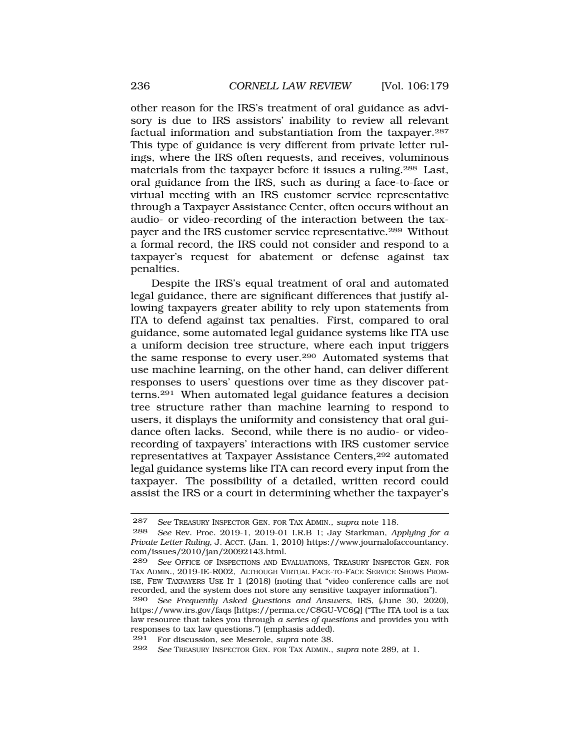other reason for the IRS's treatment of oral guidance as advisory is due to IRS assistors' inability to review all relevant factual information and substantiation from the taxpayer.287 This type of guidance is very different from private letter rulings, where the IRS often requests, and receives, voluminous materials from the taxpayer before it issues a ruling.288 Last, oral guidance from the IRS, such as during a face-to-face or virtual meeting with an IRS customer service representative through a Taxpayer Assistance Center, often occurs without an audio- or video-recording of the interaction between the taxpayer and the IRS customer service representative.289 Without a formal record, the IRS could not consider and respond to a taxpayer's request for abatement or defense against tax penalties.

Despite the IRS's equal treatment of oral and automated legal guidance, there are significant differences that justify allowing taxpayers greater ability to rely upon statements from ITA to defend against tax penalties. First, compared to oral guidance, some automated legal guidance systems like ITA use a uniform decision tree structure, where each input triggers the same response to every user.290 Automated systems that use machine learning, on the other hand, can deliver different responses to users' questions over time as they discover patterns.291 When automated legal guidance features a decision tree structure rather than machine learning to respond to users, it displays the uniformity and consistency that oral guidance often lacks. Second, while there is no audio- or videorecording of taxpayers' interactions with IRS customer service representatives at Taxpayer Assistance Centers,292 automated legal guidance systems like ITA can record every input from the taxpayer. The possibility of a detailed, written record could assist the IRS or a court in determining whether the taxpayer's

<sup>287</sup> *See* TREASURY INSPECTOR GEN. FOR TAX ADMIN., *supra* note 118.

<sup>288</sup> *See* Rev. Proc. 2019-1, 2019-01 I.R.B 1; Jay Starkman, *Applying for a Private Letter Ruling*, J. ACCT. (Jan. 1, 2010) <https://www.journalofaccountancy>. com/issues/2010/jan/20092143.html.

<sup>289</sup> *See* OFFICE OF INSPECTIONS AND EVALUATIONS, TREASURY INSPECTOR GEN. FOR TAX ADMIN., 2019-IE-R002, ALTHOUGH VIRTUAL FACE-TO-FACE SERVICE SHOWS PROM-ISE, FEW TAXPAYERS USE IT 1 (2018) (noting that "video conference calls are not recorded, and the system does not store any sensitive taxpayer information").

<sup>290</sup> *See Frequently Asked Questions and Answers*, IRS, (June 30, 2020), <https://www.irs.gov/faqs>[<https://perma.cc/C8GU-VC6Q>] ("The ITA tool is a tax law resource that takes you through *a series of questions* and provides you with responses to tax law questions.") (emphasis added).

<sup>291</sup> For discussion, see Meserole, *supra* note 38.

<sup>292</sup> *See* TREASURY INSPECTOR GEN. FOR TAX ADMIN., *supra* note 289, at 1.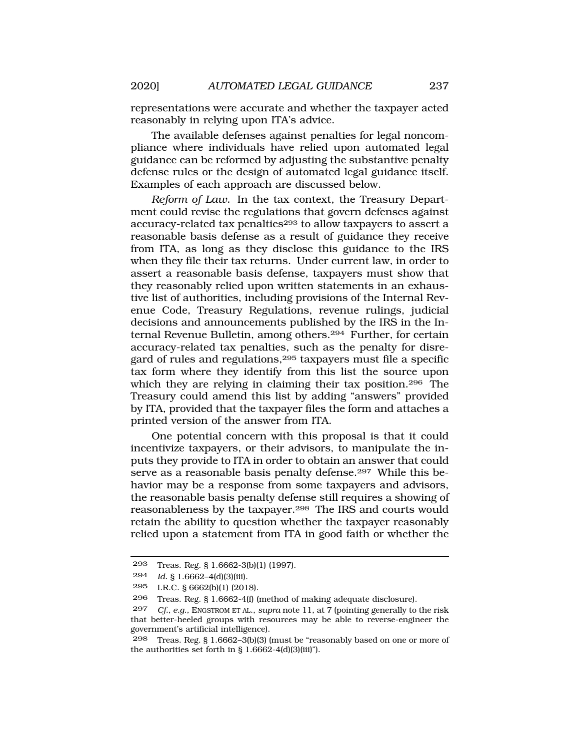representations were accurate and whether the taxpayer acted reasonably in relying upon ITA's advice.

The available defenses against penalties for legal noncompliance where individuals have relied upon automated legal guidance can be reformed by adjusting the substantive penalty defense rules or the design of automated legal guidance itself. Examples of each approach are discussed below.

*Reform of Law.* In the tax context, the Treasury Department could revise the regulations that govern defenses against accuracy-related tax penalties<sup>293</sup> to allow taxpayers to assert a reasonable basis defense as a result of guidance they receive from ITA, as long as they disclose this guidance to the IRS when they file their tax returns. Under current law, in order to assert a reasonable basis defense, taxpayers must show that they reasonably relied upon written statements in an exhaustive list of authorities, including provisions of the Internal Revenue Code, Treasury Regulations, revenue rulings, judicial decisions and announcements published by the IRS in the Internal Revenue Bulletin, among others.294 Further, for certain accuracy-related tax penalties, such as the penalty for disregard of rules and regulations,295 taxpayers must file a specific tax form where they identify from this list the source upon which they are relying in claiming their tax position.<sup>296</sup> The Treasury could amend this list by adding "answers" provided by ITA, provided that the taxpayer files the form and attaches a printed version of the answer from ITA.

One potential concern with this proposal is that it could incentivize taxpayers, or their advisors, to manipulate the inputs they provide to ITA in order to obtain an answer that could serve as a reasonable basis penalty defense.<sup>297</sup> While this behavior may be a response from some taxpayers and advisors, the reasonable basis penalty defense still requires a showing of reasonableness by the taxpayer.298 The IRS and courts would retain the ability to question whether the taxpayer reasonably relied upon a statement from ITA in good faith or whether the

<sup>293</sup> Treas. Reg. § 1.6662-3(b)(1) (1997).

<sup>294</sup> *Id.* § 1.6662–4(d)(3)(iii).

<sup>295</sup> I.R.C. § 6662(b)(1) (2018).

<sup>296</sup> Treas. Reg. § 1.6662-4(f) (method of making adequate disclosure).

<sup>297</sup> *Cf., e.g.*, ENGSTROM ET AL., *supra* note 11, at 7 (pointing generally to the risk that better-heeled groups with resources may be able to reverse-engineer the government's artificial intelligence).

<sup>298</sup> Treas. Reg. § 1.6662–3(b)(3) (must be "reasonably based on one or more of the authorities set forth in  $\S 1.6662-4(d)(3)(iii)$ ").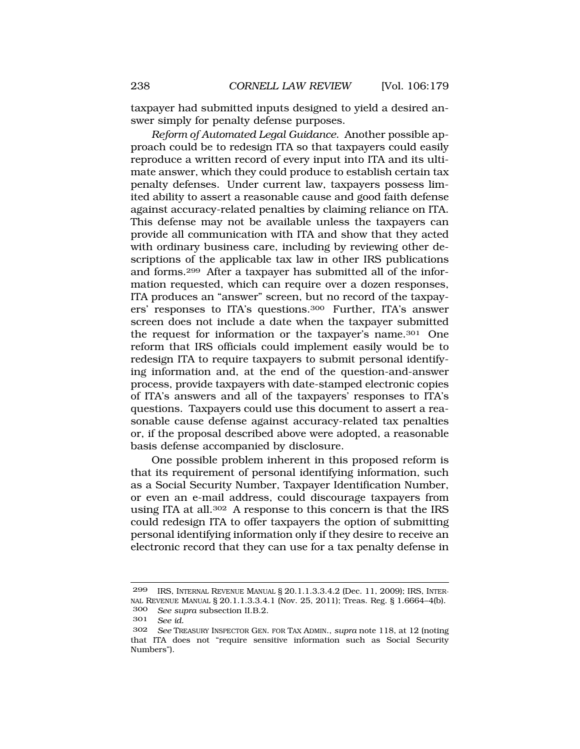taxpayer had submitted inputs designed to yield a desired answer simply for penalty defense purposes.

*Reform of Automated Legal Guidance*. Another possible approach could be to redesign ITA so that taxpayers could easily reproduce a written record of every input into ITA and its ultimate answer, which they could produce to establish certain tax penalty defenses. Under current law, taxpayers possess limited ability to assert a reasonable cause and good faith defense against accuracy-related penalties by claiming reliance on ITA. This defense may not be available unless the taxpayers can provide all communication with ITA and show that they acted with ordinary business care, including by reviewing other descriptions of the applicable tax law in other IRS publications and forms.299 After a taxpayer has submitted all of the information requested, which can require over a dozen responses, ITA produces an "answer" screen, but no record of the taxpayers' responses to ITA's questions.300 Further, ITA's answer screen does not include a date when the taxpayer submitted the request for information or the taxpayer's name.301 One reform that IRS officials could implement easily would be to redesign ITA to require taxpayers to submit personal identifying information and, at the end of the question-and-answer process, provide taxpayers with date-stamped electronic copies of ITA's answers and all of the taxpayers' responses to ITA's questions. Taxpayers could use this document to assert a reasonable cause defense against accuracy-related tax penalties or, if the proposal described above were adopted, a reasonable basis defense accompanied by disclosure.

One possible problem inherent in this proposed reform is that its requirement of personal identifying information, such as a Social Security Number, Taxpayer Identification Number, or even an e-mail address, could discourage taxpayers from using ITA at all.302 A response to this concern is that the IRS could redesign ITA to offer taxpayers the option of submitting personal identifying information only if they desire to receive an electronic record that they can use for a tax penalty defense in

<sup>299</sup> IRS, INTERNAL REVENUE MANUAL § 20.1.1.3.3.4.2 (Dec. 11, 2009); IRS, INTER-NAL REVENUE MANUAL § 20.1.1.3.3.4.1 (Nov. 25, 2011); Treas. Reg. § 1.6664–4(b).

<sup>300</sup> *See supra* subsection II.B.2.

<sup>301</sup> *See id.* 

<sup>302</sup> *See* TREASURY INSPECTOR GEN. FOR TAX ADMIN., *supra* note 118, at 12 (noting that ITA does not "require sensitive information such as Social Security Numbers").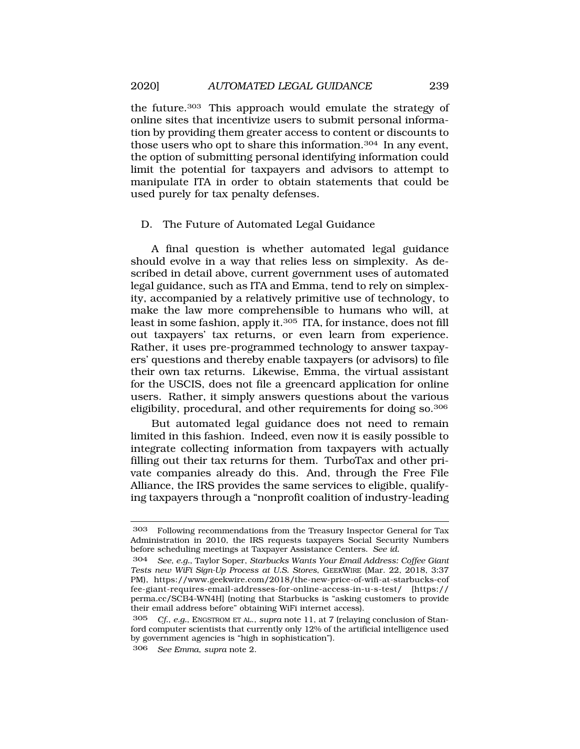the future.303 This approach would emulate the strategy of online sites that incentivize users to submit personal information by providing them greater access to content or discounts to those users who opt to share this information.304 In any event, the option of submitting personal identifying information could limit the potential for taxpayers and advisors to attempt to manipulate ITA in order to obtain statements that could be used purely for tax penalty defenses.

### D. The Future of Automated Legal Guidance

A final question is whether automated legal guidance should evolve in a way that relies less on simplexity. As described in detail above, current government uses of automated legal guidance, such as ITA and Emma, tend to rely on simplexity, accompanied by a relatively primitive use of technology, to make the law more comprehensible to humans who will, at least in some fashion, apply it.305 ITA, for instance, does not fill out taxpayers' tax returns, or even learn from experience. Rather, it uses pre-programmed technology to answer taxpayers' questions and thereby enable taxpayers (or advisors) to file their own tax returns. Likewise, Emma, the virtual assistant for the USCIS, does not file a greencard application for online users. Rather, it simply answers questions about the various eligibility, procedural, and other requirements for doing so.306

But automated legal guidance does not need to remain limited in this fashion. Indeed, even now it is easily possible to integrate collecting information from taxpayers with actually filling out their tax returns for them. TurboTax and other private companies already do this. And, through the Free File Alliance, the IRS provides the same services to eligible, qualifying taxpayers through a "nonprofit coalition of industry-leading

<sup>303</sup> Following recommendations from the Treasury Inspector General for Tax Administration in 2010, the IRS requests taxpayers Social Security Numbers before scheduling meetings at Taxpayer Assistance Centers. *See id.* 

<sup>304</sup> *See, e.g.*, Taylor Soper, *Starbucks Wants Your Email Address: Coffee Giant Tests new WiFi Sign-Up Process at U.S. Stores*, GEEKWIRE (Mar. 22, 2018, 3:37 PM), <https://www.geekwire.com/2018/the-new-price-of-wifi-at-starbucks-cof> fee-giant-requires-email-addresses-for-online-access-in-u-s-test/ [https:// perma.cc/SCB4-WN4H] (noting that Starbucks is "asking customers to provide their email address before" obtaining WiFi internet access).

<sup>305</sup> *Cf., e.g.*, ENGSTROM ET AL., *supra* note 11, at 7 (relaying conclusion of Stanford computer scientists that currently only 12% of the artificial intelligence used by government agencies is "high in sophistication").

<sup>306</sup> *See Emma*, *supra* note 2.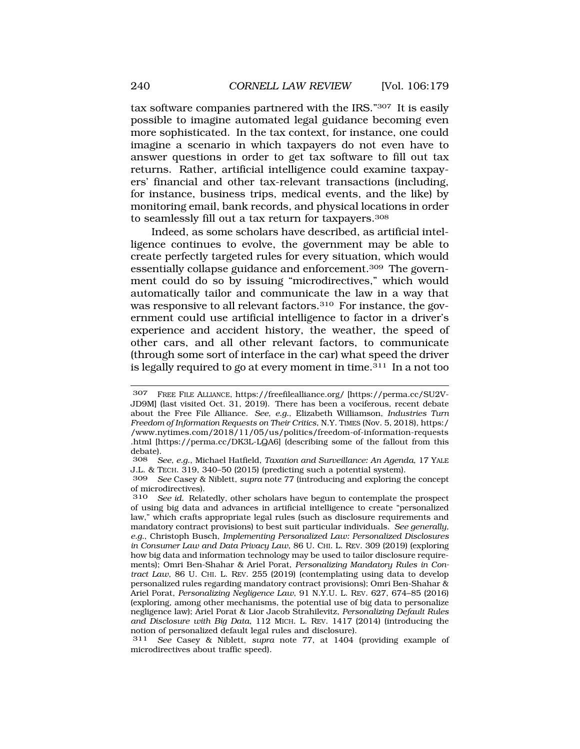tax software companies partnered with the IRS."307 It is easily possible to imagine automated legal guidance becoming even more sophisticated. In the tax context, for instance, one could imagine a scenario in which taxpayers do not even have to answer questions in order to get tax software to fill out tax returns. Rather, artificial intelligence could examine taxpayers' financial and other tax-relevant transactions (including, for instance, business trips, medical events, and the like) by monitoring email, bank records, and physical locations in order to seamlessly fill out a tax return for taxpayers.308

Indeed, as some scholars have described, as artificial intelligence continues to evolve, the government may be able to create perfectly targeted rules for every situation, which would essentially collapse guidance and enforcement.309 The government could do so by issuing "microdirectives," which would automatically tailor and communicate the law in a way that was responsive to all relevant factors.<sup>310</sup> For instance, the government could use artificial intelligence to factor in a driver's experience and accident history, the weather, the speed of other cars, and all other relevant factors, to communicate (through some sort of interface in the car) what speed the driver is legally required to go at every moment in time.311 In a not too

311 *See* Casey & Niblett, *supra* note 77, at 1404 (providing example of microdirectives about traffic speed).

<sup>307</sup> FREE FILE ALLIANCE, [https://freefilealliance.org/](https://freefilealliance.org) [\[https://perma.cc/SU2V-](https://perma.cc/SU2V)JD9M] (last visited Oct. 31, 2019). There has been a vociferous, recent debate about the Free File Alliance. *See, e.g.*, Elizabeth Williamson, *Industries Turn Freedom of Information Requests on Their Critics*, N.Y. TIMES (Nov. 5, 2018), https:/ [/www.nytimes.com/2018/11/05/us/politics/freedom-of-information-requests](www.nytimes.com/2018/11/05/us/politics/freedom-of-information-requests)  .html [<https://perma.cc/DK3L-LQA6>] (describing some of the fallout from this debate).

<sup>308</sup> *See, e.g.*, Michael Hatfield, *Taxation and Surveillance: An Agenda*, 17 YALE J.L. & TECH. 319, 340–50 (2015) (predicting such a potential system).

<sup>309</sup> *See* Casey & Niblett, *supra* note 77 (introducing and exploring the concept of microdirectives).

<sup>310</sup> *See id.* Relatedly, other scholars have begun to contemplate the prospect of using big data and advances in artificial intelligence to create "personalized law," which crafts appropriate legal rules (such as disclosure requirements and mandatory contract provisions) to best suit particular individuals. *See generally, e.g.*, Christoph Busch, *Implementing Personalized Law: Personalized Disclosures in Consumer Law and Data Privacy Law*, 86 U. CHI. L. REV. 309 (2019) (exploring how big data and information technology may be used to tailor disclosure requirements); Omri Ben-Shahar & Ariel Porat, *Personalizing Mandatory Rules in Contract Law*, 86 U. CHI. L. REV. 255 (2019) (contemplating using data to develop personalized rules regarding mandatory contract provisions); Omri Ben-Shahar & Ariel Porat, *Personalizing Negligence Law*, 91 N.Y.U. L. REV. 627, 674–85 (2016) (exploring, among other mechanisms, the potential use of big data to personalize negligence law); Ariel Porat & Lior Jacob Strahilevitz, *Personalizing Default Rules and Disclosure with Big Data*, 112 MICH. L. REV. 1417 (2014) (introducing the notion of personalized default legal rules and disclosure).<br>311 See Casey & Niblett, supra note 77, at 1404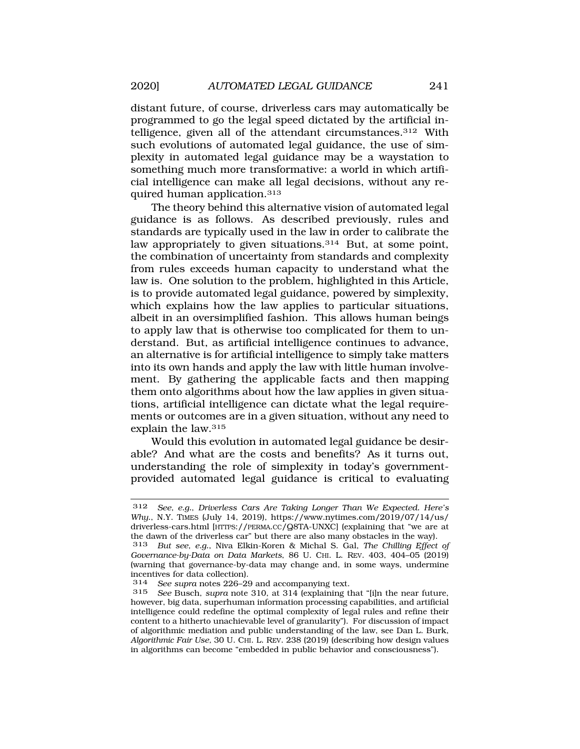distant future, of course, driverless cars may automatically be programmed to go the legal speed dictated by the artificial intelligence, given all of the attendant circumstances.312 With such evolutions of automated legal guidance, the use of simplexity in automated legal guidance may be a waystation to something much more transformative: a world in which artificial intelligence can make all legal decisions, without any required human application.313

The theory behind this alternative vision of automated legal guidance is as follows. As described previously, rules and standards are typically used in the law in order to calibrate the law appropriately to given situations.<sup>314</sup> But, at some point, the combination of uncertainty from standards and complexity from rules exceeds human capacity to understand what the law is. One solution to the problem, highlighted in this Article, is to provide automated legal guidance, powered by simplexity, which explains how the law applies to particular situations, albeit in an oversimplified fashion. This allows human beings to apply law that is otherwise too complicated for them to understand. But, as artificial intelligence continues to advance, an alternative is for artificial intelligence to simply take matters into its own hands and apply the law with little human involvement. By gathering the applicable facts and then mapping them onto algorithms about how the law applies in given situations, artificial intelligence can dictate what the legal requirements or outcomes are in a given situation, without any need to explain the law.315

Would this evolution in automated legal guidance be desirable? And what are the costs and benefits? As it turns out, understanding the role of simplexity in today's governmentprovided automated legal guidance is critical to evaluating

314 *See supra* notes 226–29 and accompanying text.

<sup>312</sup> *See, e.g.*, *Driverless Cars Are Taking Longer Than We Expected. Here's Why.*, N.Y. TIMES (July 14, 2019), [https://www.nytimes.com/2019/07/14/us/](https://www.nytimes.com/2019/07/14/us) driverless-cars.html [\[HTTPS://PERMA.CC/Q8TA-UNXC\]](HTTPS://PERMA.CC/Q8TA-UNXC) (explaining that "we are at the dawn of the driverless car" but there are also many obstacles in the way).

<sup>313</sup> *But see, e.g.*, Niva Elkin-Koren & Michal S. Gal, *The Chilling Effect of Governance-by-Data on Data Markets*, 86 U. CHI. L. REV. 403, 404–05 (2019) (warning that governance-by-data may change and, in some ways, undermine incentives for data collection).

<sup>315</sup> *See* Busch, *supra* note 310, at 314 (explaining that "[i]n the near future, however, big data, superhuman information processing capabilities, and artificial intelligence could redefine the optimal complexity of legal rules and refine their content to a hitherto unachievable level of granularity"). For discussion of impact of algorithmic mediation and public understanding of the law, see Dan L. Burk, *Algorithmic Fair Use,* 30 U. CHI. L. REV. 238 (2019) (describing how design values in algorithms can become "embedded in public behavior and consciousness").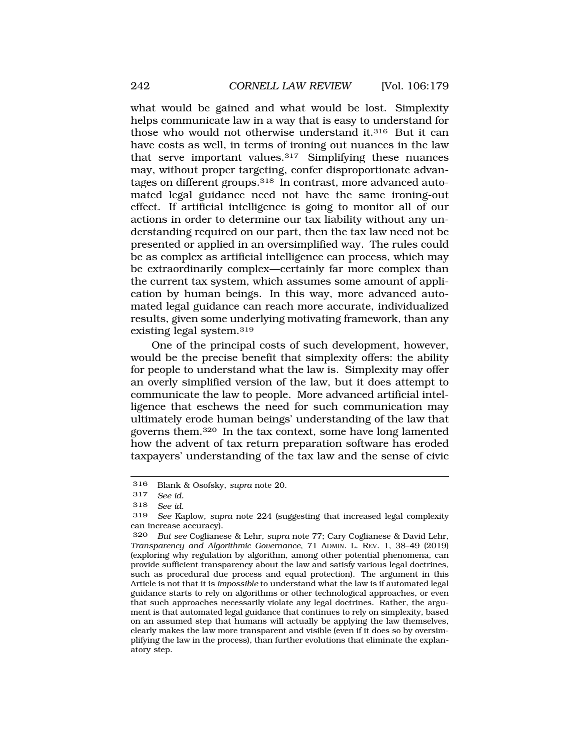what would be gained and what would be lost. Simplexity helps communicate law in a way that is easy to understand for those who would not otherwise understand it.316 But it can have costs as well, in terms of ironing out nuances in the law that serve important values.317 Simplifying these nuances may, without proper targeting, confer disproportionate advantages on different groups.318 In contrast, more advanced automated legal guidance need not have the same ironing-out effect. If artificial intelligence is going to monitor all of our actions in order to determine our tax liability without any understanding required on our part, then the tax law need not be presented or applied in an oversimplified way. The rules could be as complex as artificial intelligence can process, which may be extraordinarily complex—certainly far more complex than the current tax system, which assumes some amount of application by human beings. In this way, more advanced automated legal guidance can reach more accurate, individualized results, given some underlying motivating framework, than any existing legal system.319

One of the principal costs of such development, however, would be the precise benefit that simplexity offers: the ability for people to understand what the law is. Simplexity may offer an overly simplified version of the law, but it does attempt to communicate the law to people. More advanced artificial intelligence that eschews the need for such communication may ultimately erode human beings' understanding of the law that governs them.320 In the tax context, some have long lamented how the advent of tax return preparation software has eroded taxpayers' understanding of the tax law and the sense of civic

<sup>316</sup> Blank & Osofsky, *supra* note 20.

<sup>317</sup> *See id.* 

<sup>318</sup> *See id.* 

<sup>319</sup> *See* Kaplow, *supra* note 224 (suggesting that increased legal complexity can increase accuracy).

<sup>320</sup> *But see* Coglianese & Lehr, *supra* note 77; Cary Coglianese & David Lehr, *Transparency and Algorithmic Governance*, 71 ADMIN. L. REV. 1, 38–49 (2019) (exploring why regulation by algorithm, among other potential phenomena, can provide sufficient transparency about the law and satisfy various legal doctrines, such as procedural due process and equal protection). The argument in this Article is not that it is *impossible* to understand what the law is if automated legal guidance starts to rely on algorithms or other technological approaches, or even that such approaches necessarily violate any legal doctrines. Rather, the argument is that automated legal guidance that continues to rely on simplexity, based on an assumed step that humans will actually be applying the law themselves, clearly makes the law more transparent and visible (even if it does so by oversimplifying the law in the process), than further evolutions that eliminate the explanatory step.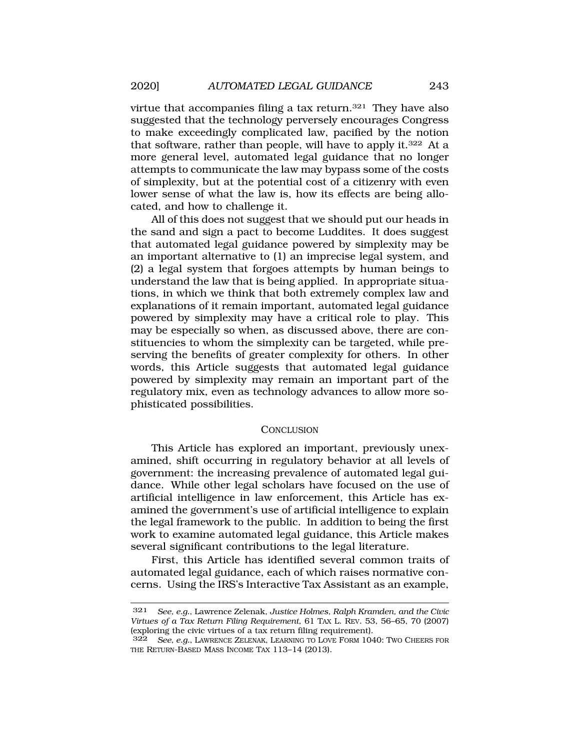virtue that accompanies filing a tax return.321 They have also suggested that the technology perversely encourages Congress to make exceedingly complicated law, pacified by the notion that software, rather than people, will have to apply it.322 At a more general level, automated legal guidance that no longer attempts to communicate the law may bypass some of the costs of simplexity, but at the potential cost of a citizenry with even lower sense of what the law is, how its effects are being allocated, and how to challenge it.

All of this does not suggest that we should put our heads in the sand and sign a pact to become Luddites. It does suggest that automated legal guidance powered by simplexity may be an important alternative to (1) an imprecise legal system, and (2) a legal system that forgoes attempts by human beings to understand the law that is being applied. In appropriate situations, in which we think that both extremely complex law and explanations of it remain important, automated legal guidance powered by simplexity may have a critical role to play. This may be especially so when, as discussed above, there are constituencies to whom the simplexity can be targeted, while preserving the benefits of greater complexity for others. In other words, this Article suggests that automated legal guidance powered by simplexity may remain an important part of the regulatory mix, even as technology advances to allow more sophisticated possibilities.

#### **CONCLUSION**

This Article has explored an important, previously unexamined, shift occurring in regulatory behavior at all levels of government: the increasing prevalence of automated legal guidance. While other legal scholars have focused on the use of artificial intelligence in law enforcement, this Article has examined the government's use of artificial intelligence to explain the legal framework to the public. In addition to being the first work to examine automated legal guidance, this Article makes several significant contributions to the legal literature.

First, this Article has identified several common traits of automated legal guidance, each of which raises normative concerns. Using the IRS's Interactive Tax Assistant as an example,

<sup>321</sup> *See, e.g.*, Lawrence Zelenak, *Justice Holmes, Ralph Kramden, and the Civic Virtues of a Tax Return Filing Requirement*, 61 TAX L. REV. 53, 56–65, 70 (2007) (exploring the civic virtues of a tax return filing requirement).

<sup>322</sup> *See, e.g.*, LAWRENCE ZELENAK, LEARNING TO LOVE FORM 1040: TWO CHEERS FOR THE RETURN-BASED MASS INCOME TAX 113–14 (2013).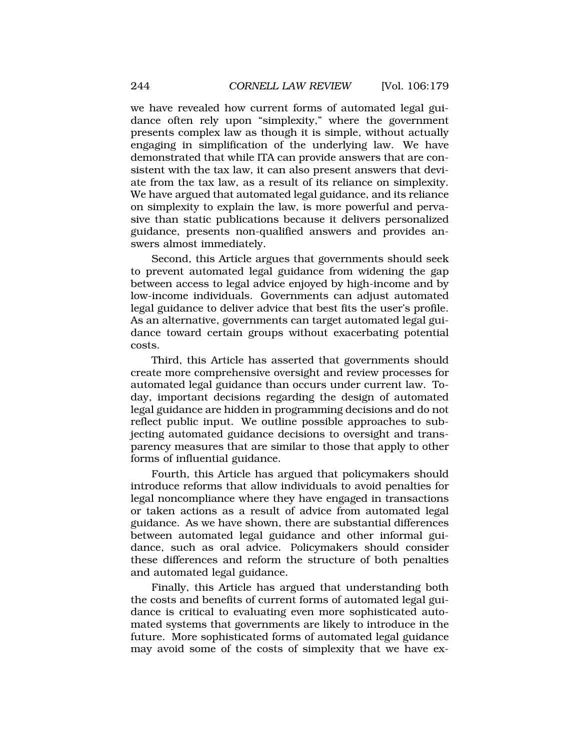we have revealed how current forms of automated legal guidance often rely upon "simplexity," where the government presents complex law as though it is simple, without actually engaging in simplification of the underlying law. We have demonstrated that while ITA can provide answers that are consistent with the tax law, it can also present answers that deviate from the tax law, as a result of its reliance on simplexity. We have argued that automated legal guidance, and its reliance on simplexity to explain the law, is more powerful and pervasive than static publications because it delivers personalized guidance, presents non-qualified answers and provides answers almost immediately.

Second, this Article argues that governments should seek to prevent automated legal guidance from widening the gap between access to legal advice enjoyed by high-income and by low-income individuals. Governments can adjust automated legal guidance to deliver advice that best fits the user's profile. As an alternative, governments can target automated legal guidance toward certain groups without exacerbating potential costs.

Third, this Article has asserted that governments should create more comprehensive oversight and review processes for automated legal guidance than occurs under current law. Today, important decisions regarding the design of automated legal guidance are hidden in programming decisions and do not reflect public input. We outline possible approaches to subjecting automated guidance decisions to oversight and transparency measures that are similar to those that apply to other forms of influential guidance.

Fourth, this Article has argued that policymakers should introduce reforms that allow individuals to avoid penalties for legal noncompliance where they have engaged in transactions or taken actions as a result of advice from automated legal guidance. As we have shown, there are substantial differences between automated legal guidance and other informal guidance, such as oral advice. Policymakers should consider these differences and reform the structure of both penalties and automated legal guidance.

Finally, this Article has argued that understanding both the costs and benefits of current forms of automated legal guidance is critical to evaluating even more sophisticated automated systems that governments are likely to introduce in the future. More sophisticated forms of automated legal guidance may avoid some of the costs of simplexity that we have ex-